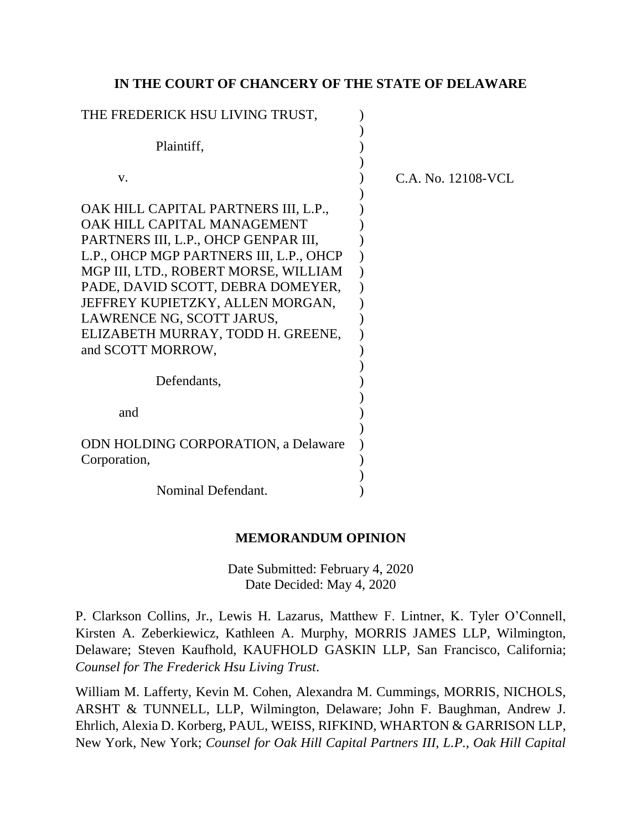# **IN THE COURT OF CHANCERY OF THE STATE OF DELAWARE**

| THE FREDERICK HSU LIVING TRUST,                                                                                                                                                                                                                                                                                                           |                    |
|-------------------------------------------------------------------------------------------------------------------------------------------------------------------------------------------------------------------------------------------------------------------------------------------------------------------------------------------|--------------------|
| Plaintiff,                                                                                                                                                                                                                                                                                                                                |                    |
| V.                                                                                                                                                                                                                                                                                                                                        | C.A. No. 12108-VCL |
| OAK HILL CAPITAL PARTNERS III, L.P.,<br>OAK HILL CAPITAL MANAGEMENT<br>PARTNERS III, L.P., OHCP GENPAR III,<br>L.P., OHCP MGP PARTNERS III, L.P., OHCP<br>MGP III, LTD., ROBERT MORSE, WILLIAM<br>PADE, DAVID SCOTT, DEBRA DOMEYER,<br>JEFFREY KUPIETZKY, ALLEN MORGAN,<br>LAWRENCE NG, SCOTT JARUS,<br>ELIZABETH MURRAY, TODD H. GREENE, |                    |
| and SCOTT MORROW,                                                                                                                                                                                                                                                                                                                         |                    |
| Defendants,                                                                                                                                                                                                                                                                                                                               |                    |
| and                                                                                                                                                                                                                                                                                                                                       |                    |
| <b>ODN HOLDING CORPORATION, a Delaware</b><br>Corporation,                                                                                                                                                                                                                                                                                |                    |
| Nominal Defendant.                                                                                                                                                                                                                                                                                                                        |                    |

## **MEMORANDUM OPINION**

Date Submitted: February 4, 2020 Date Decided: May 4, 2020

P. Clarkson Collins, Jr., Lewis H. Lazarus, Matthew F. Lintner, K. Tyler O'Connell, Kirsten A. Zeberkiewicz, Kathleen A. Murphy, MORRIS JAMES LLP, Wilmington, Delaware; Steven Kaufhold, KAUFHOLD GASKIN LLP, San Francisco, California; *Counsel for The Frederick Hsu Living Trust*.

William M. Lafferty, Kevin M. Cohen, Alexandra M. Cummings, MORRIS, NICHOLS, ARSHT & TUNNELL, LLP, Wilmington, Delaware; John F. Baughman, Andrew J. Ehrlich, Alexia D. Korberg, PAUL, WEISS, RIFKIND, WHARTON & GARRISON LLP, New York, New York; *Counsel for Oak Hill Capital Partners III, L.P., Oak Hill Capital*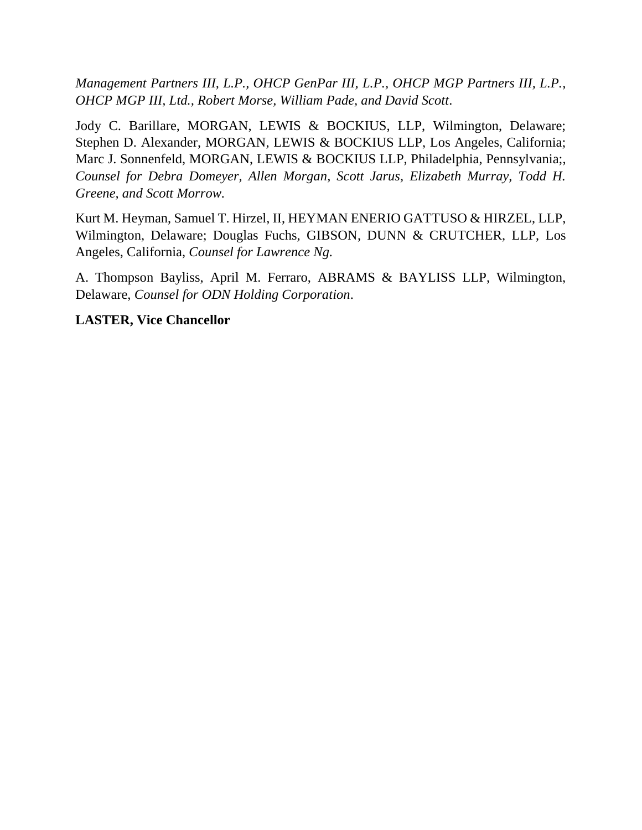*Management Partners III, L.P., OHCP GenPar III, L.P., OHCP MGP Partners III, L.P., OHCP MGP III, Ltd., Robert Morse, William Pade, and David Scott*.

Jody C. Barillare, MORGAN, LEWIS & BOCKIUS, LLP, Wilmington, Delaware; Stephen D. Alexander, MORGAN, LEWIS & BOCKIUS LLP, Los Angeles, California; Marc J. Sonnenfeld, MORGAN, LEWIS & BOCKIUS LLP, Philadelphia, Pennsylvania;, *Counsel for Debra Domeyer, Allen Morgan, Scott Jarus, Elizabeth Murray, Todd H. Greene, and Scott Morrow.*

Kurt M. Heyman, Samuel T. Hirzel, II, HEYMAN ENERIO GATTUSO & HIRZEL, LLP, Wilmington, Delaware; Douglas Fuchs, GIBSON, DUNN & CRUTCHER, LLP, Los Angeles, California, *Counsel for Lawrence Ng.*

A. Thompson Bayliss, April M. Ferraro, ABRAMS & BAYLISS LLP, Wilmington, Delaware, *Counsel for ODN Holding Corporation*.

**LASTER, Vice Chancellor**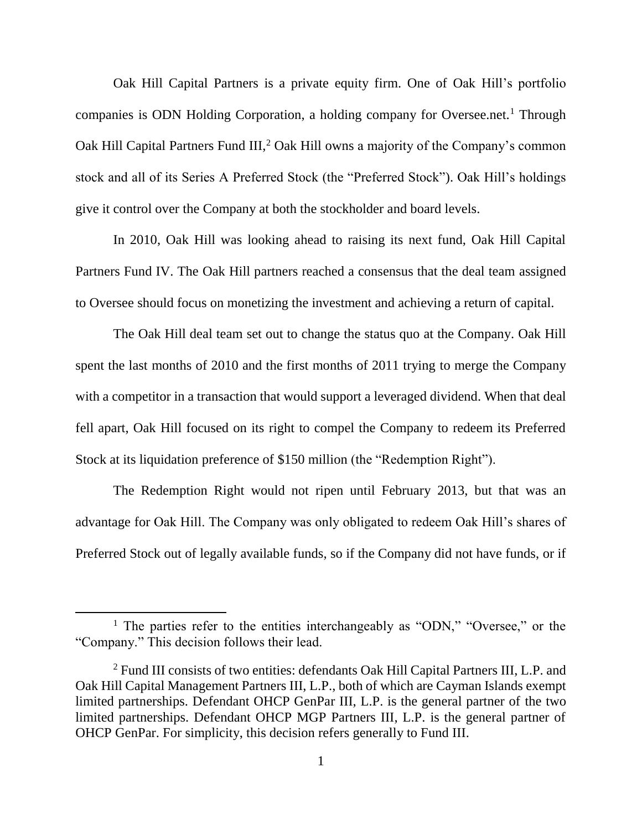Oak Hill Capital Partners is a private equity firm. One of Oak Hill's portfolio companies is ODN Holding Corporation, a holding company for Oversee.net.<sup>1</sup> Through Oak Hill Capital Partners Fund III,<sup>2</sup> Oak Hill owns a majority of the Company's common stock and all of its Series A Preferred Stock (the "Preferred Stock"). Oak Hill's holdings give it control over the Company at both the stockholder and board levels.

In 2010, Oak Hill was looking ahead to raising its next fund, Oak Hill Capital Partners Fund IV. The Oak Hill partners reached a consensus that the deal team assigned to Oversee should focus on monetizing the investment and achieving a return of capital.

The Oak Hill deal team set out to change the status quo at the Company. Oak Hill spent the last months of 2010 and the first months of 2011 trying to merge the Company with a competitor in a transaction that would support a leveraged dividend. When that deal fell apart, Oak Hill focused on its right to compel the Company to redeem its Preferred Stock at its liquidation preference of \$150 million (the "Redemption Right").

The Redemption Right would not ripen until February 2013, but that was an advantage for Oak Hill. The Company was only obligated to redeem Oak Hill's shares of Preferred Stock out of legally available funds, so if the Company did not have funds, or if

 $\overline{\phantom{a}}$ 

<sup>&</sup>lt;sup>1</sup> The parties refer to the entities interchangeably as "ODN," "Oversee," or the "Company." This decision follows their lead.

<sup>&</sup>lt;sup>2</sup> Fund III consists of two entities: defendants Oak Hill Capital Partners III, L.P. and Oak Hill Capital Management Partners III, L.P., both of which are Cayman Islands exempt limited partnerships. Defendant OHCP GenPar III, L.P. is the general partner of the two limited partnerships. Defendant OHCP MGP Partners III, L.P. is the general partner of OHCP GenPar. For simplicity, this decision refers generally to Fund III.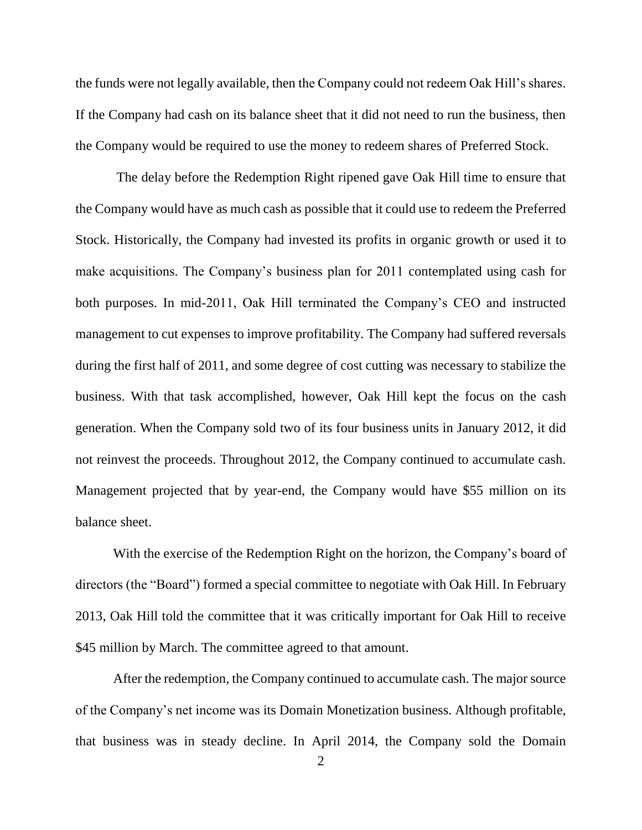the funds were not legally available, then the Company could not redeem Oak Hill's shares. If the Company had cash on its balance sheet that it did not need to run the business, then the Company would be required to use the money to redeem shares of Preferred Stock.

The delay before the Redemption Right ripened gave Oak Hill time to ensure that the Company would have as much cash as possible that it could use to redeem the Preferred Stock. Historically, the Company had invested its profits in organic growth or used it to make acquisitions. The Company's business plan for 2011 contemplated using cash for both purposes. In mid-2011, Oak Hill terminated the Company's CEO and instructed management to cut expenses to improve profitability. The Company had suffered reversals during the first half of 2011, and some degree of cost cutting was necessary to stabilize the business. With that task accomplished, however, Oak Hill kept the focus on the cash generation. When the Company sold two of its four business units in January 2012, it did not reinvest the proceeds. Throughout 2012, the Company continued to accumulate cash. Management projected that by year-end, the Company would have \$55 million on its balance sheet.

With the exercise of the Redemption Right on the horizon, the Company's board of directors (the "Board") formed a special committee to negotiate with Oak Hill. In February 2013, Oak Hill told the committee that it was critically important for Oak Hill to receive \$45 million by March. The committee agreed to that amount.

After the redemption, the Company continued to accumulate cash. The major source of the Company's net income was its Domain Monetization business. Although profitable, that business was in steady decline. In April 2014, the Company sold the Domain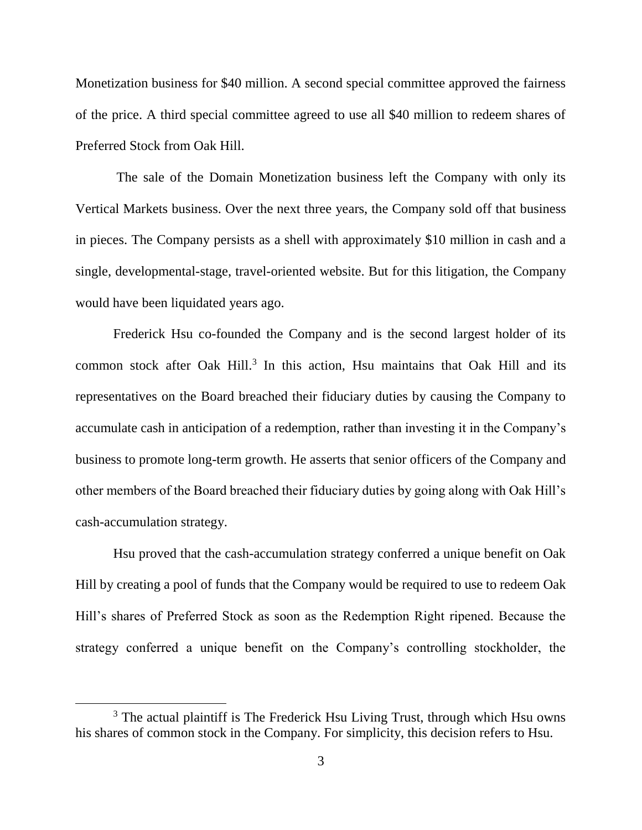Monetization business for \$40 million. A second special committee approved the fairness of the price. A third special committee agreed to use all \$40 million to redeem shares of Preferred Stock from Oak Hill.

The sale of the Domain Monetization business left the Company with only its Vertical Markets business. Over the next three years, the Company sold off that business in pieces. The Company persists as a shell with approximately \$10 million in cash and a single, developmental-stage, travel-oriented website. But for this litigation, the Company would have been liquidated years ago.

Frederick Hsu co-founded the Company and is the second largest holder of its common stock after Oak Hill.<sup>3</sup> In this action, Hsu maintains that Oak Hill and its representatives on the Board breached their fiduciary duties by causing the Company to accumulate cash in anticipation of a redemption, rather than investing it in the Company's business to promote long-term growth. He asserts that senior officers of the Company and other members of the Board breached their fiduciary duties by going along with Oak Hill's cash-accumulation strategy.

Hsu proved that the cash-accumulation strategy conferred a unique benefit on Oak Hill by creating a pool of funds that the Company would be required to use to redeem Oak Hill's shares of Preferred Stock as soon as the Redemption Right ripened. Because the strategy conferred a unique benefit on the Company's controlling stockholder, the

 $\overline{a}$ 

<sup>&</sup>lt;sup>3</sup> The actual plaintiff is The Frederick Hsu Living Trust, through which Hsu owns his shares of common stock in the Company. For simplicity, this decision refers to Hsu.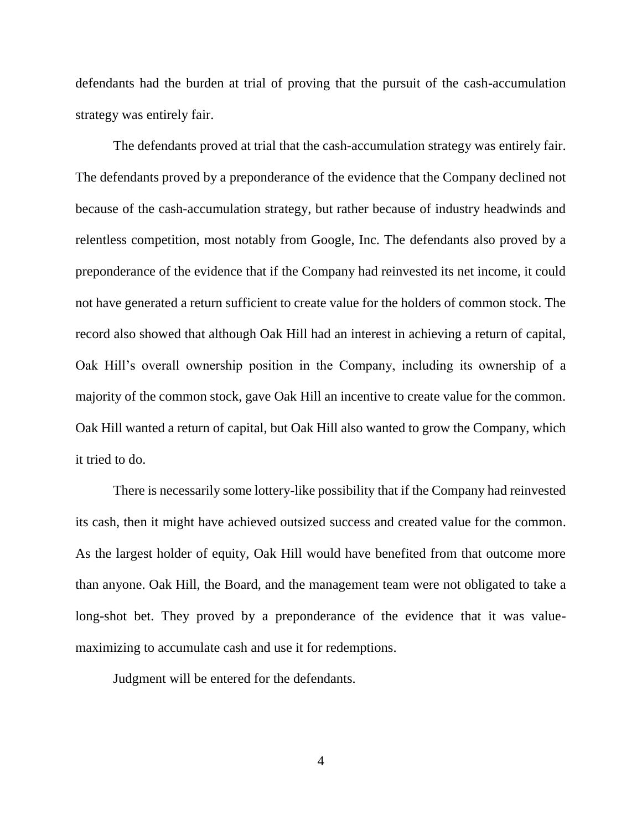defendants had the burden at trial of proving that the pursuit of the cash-accumulation strategy was entirely fair.

The defendants proved at trial that the cash-accumulation strategy was entirely fair. The defendants proved by a preponderance of the evidence that the Company declined not because of the cash-accumulation strategy, but rather because of industry headwinds and relentless competition, most notably from Google, Inc. The defendants also proved by a preponderance of the evidence that if the Company had reinvested its net income, it could not have generated a return sufficient to create value for the holders of common stock. The record also showed that although Oak Hill had an interest in achieving a return of capital, Oak Hill's overall ownership position in the Company, including its ownership of a majority of the common stock, gave Oak Hill an incentive to create value for the common. Oak Hill wanted a return of capital, but Oak Hill also wanted to grow the Company, which it tried to do.

There is necessarily some lottery-like possibility that if the Company had reinvested its cash, then it might have achieved outsized success and created value for the common. As the largest holder of equity, Oak Hill would have benefited from that outcome more than anyone. Oak Hill, the Board, and the management team were not obligated to take a long-shot bet. They proved by a preponderance of the evidence that it was valuemaximizing to accumulate cash and use it for redemptions.

Judgment will be entered for the defendants.

4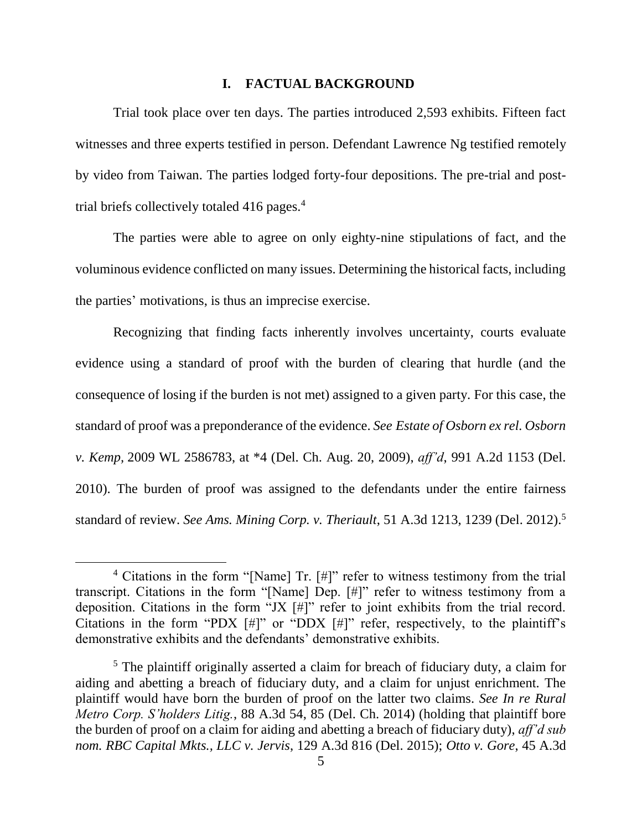#### **I. FACTUAL BACKGROUND**

Trial took place over ten days. The parties introduced 2,593 exhibits. Fifteen fact witnesses and three experts testified in person. Defendant Lawrence Ng testified remotely by video from Taiwan. The parties lodged forty-four depositions. The pre-trial and posttrial briefs collectively totaled 416 pages.<sup>4</sup>

The parties were able to agree on only eighty-nine stipulations of fact, and the voluminous evidence conflicted on many issues. Determining the historical facts, including the parties' motivations, is thus an imprecise exercise.

Recognizing that finding facts inherently involves uncertainty, courts evaluate evidence using a standard of proof with the burden of clearing that hurdle (and the consequence of losing if the burden is not met) assigned to a given party. For this case, the standard of proof was a preponderance of the evidence. *See Estate of Osborn ex rel. Osborn v. Kemp,* 2009 WL 2586783, at \*4 (Del. Ch. Aug. 20, 2009), *aff'd*, 991 A.2d 1153 (Del. 2010). The burden of proof was assigned to the defendants under the entire fairness standard of review. *See Ams. Mining Corp. v. Theriault*, 51 A.3d 1213, 1239 (Del. 2012).<sup>5</sup>

l

<sup>4</sup> Citations in the form "[Name] Tr. [#]" refer to witness testimony from the trial transcript. Citations in the form "[Name] Dep. [#]" refer to witness testimony from a deposition. Citations in the form "JX [#]" refer to joint exhibits from the trial record. Citations in the form "PDX  $[\#]$ " or "DDX  $[\#]$ " refer, respectively, to the plaintiff's demonstrative exhibits and the defendants' demonstrative exhibits.

<sup>&</sup>lt;sup>5</sup> The plaintiff originally asserted a claim for breach of fiduciary duty, a claim for aiding and abetting a breach of fiduciary duty, and a claim for unjust enrichment. The plaintiff would have born the burden of proof on the latter two claims. *See In re Rural Metro Corp. S'holders Litig.*, 88 A.3d 54, 85 (Del. Ch. 2014) (holding that plaintiff bore the burden of proof on a claim for aiding and abetting a breach of fiduciary duty), *aff'd sub nom. RBC Capital Mkts., LLC v. Jervis*, 129 A.3d 816 (Del. 2015); *Otto v. Gore*, 45 A.3d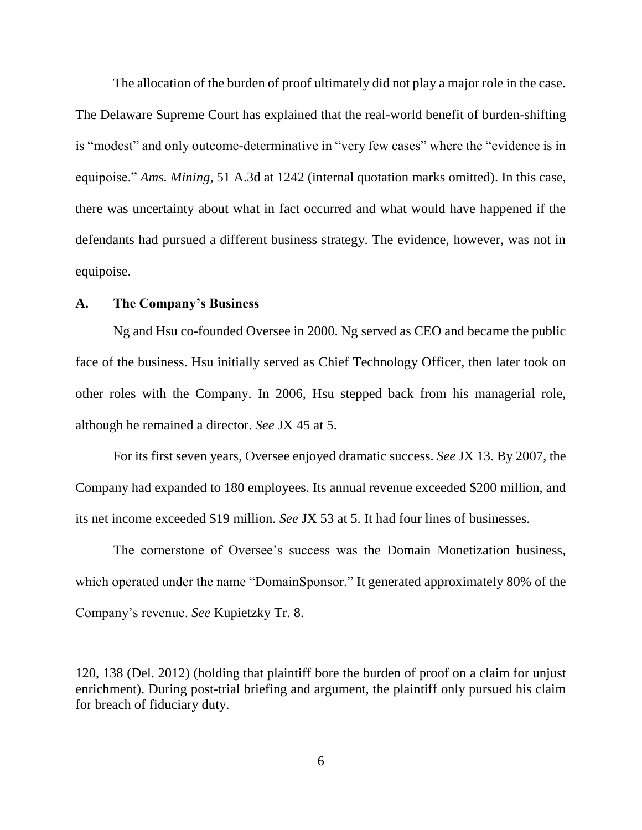The allocation of the burden of proof ultimately did not play a major role in the case. The Delaware Supreme Court has explained that the real-world benefit of burden-shifting is "modest" and only outcome-determinative in "very few cases" where the "evidence is in equipoise." *Ams. Mining*, 51 A.3d at 1242 (internal quotation marks omitted). In this case, there was uncertainty about what in fact occurred and what would have happened if the defendants had pursued a different business strategy. The evidence, however, was not in equipoise.

## **A. The Company's Business**

l

Ng and Hsu co-founded Oversee in 2000. Ng served as CEO and became the public face of the business. Hsu initially served as Chief Technology Officer, then later took on other roles with the Company. In 2006, Hsu stepped back from his managerial role, although he remained a director. *See* JX 45 at 5.

For its first seven years, Oversee enjoyed dramatic success. *See* JX 13. By 2007, the Company had expanded to 180 employees. Its annual revenue exceeded \$200 million, and its net income exceeded \$19 million. *See* JX 53 at 5. It had four lines of businesses.

The cornerstone of Oversee's success was the Domain Monetization business, which operated under the name "DomainSponsor." It generated approximately 80% of the Company's revenue. *See* Kupietzky Tr. 8.

<sup>120, 138 (</sup>Del. 2012) (holding that plaintiff bore the burden of proof on a claim for unjust enrichment). During post-trial briefing and argument, the plaintiff only pursued his claim for breach of fiduciary duty.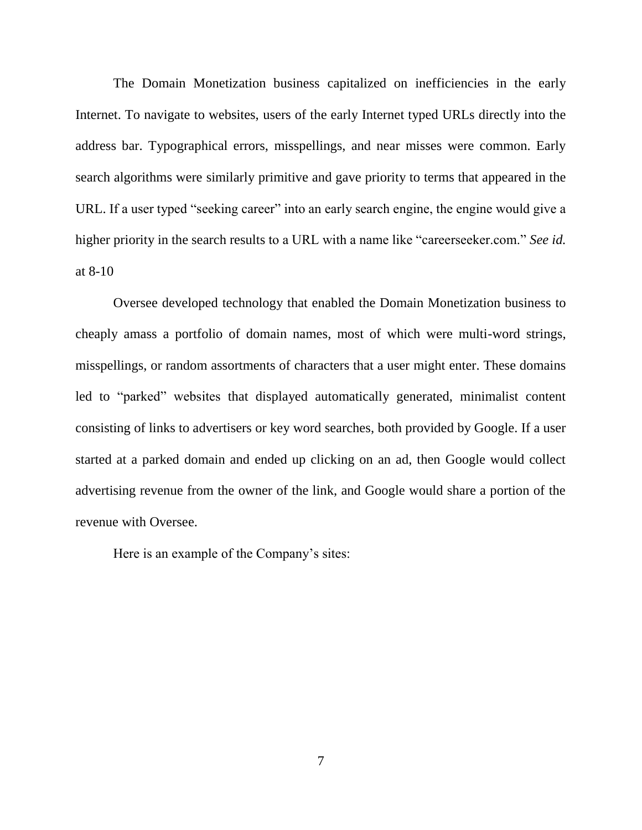The Domain Monetization business capitalized on inefficiencies in the early Internet. To navigate to websites, users of the early Internet typed URLs directly into the address bar. Typographical errors, misspellings, and near misses were common. Early search algorithms were similarly primitive and gave priority to terms that appeared in the URL. If a user typed "seeking career" into an early search engine, the engine would give a higher priority in the search results to a URL with a name like "careerseeker.com." *See id.* at 8-10

Oversee developed technology that enabled the Domain Monetization business to cheaply amass a portfolio of domain names, most of which were multi-word strings, misspellings, or random assortments of characters that a user might enter. These domains led to "parked" websites that displayed automatically generated, minimalist content consisting of links to advertisers or key word searches, both provided by Google. If a user started at a parked domain and ended up clicking on an ad, then Google would collect advertising revenue from the owner of the link, and Google would share a portion of the revenue with Oversee.

Here is an example of the Company's sites: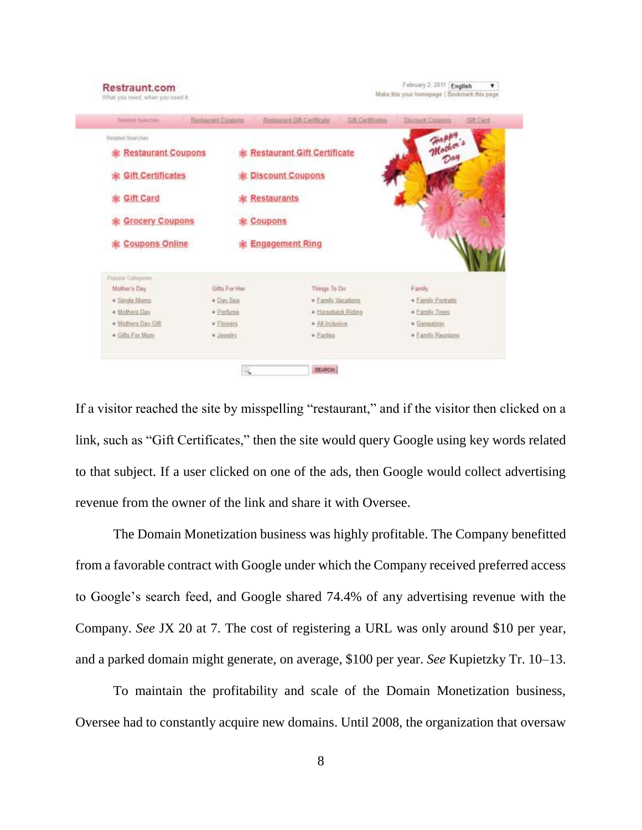| <b>Balded Sawches</b>           | <b>Restaurant Caspons</b> | Rentmount Cift Certificate         | <b>Gift Gerbfrontes</b> | <b>Descriunt Coopping</b> | <b>Bilt</b> Card |
|---------------------------------|---------------------------|------------------------------------|-------------------------|---------------------------|------------------|
| <b>Hotated Searches</b>         |                           |                                    |                         | Happy<br>Mother's         |                  |
| <b>&amp; Restaurant Coupons</b> |                           | <b>Restaurant Gift Certificate</b> |                         | Day                       |                  |
| <b>&amp; Gift Certificates</b>  |                           | <b>St. Discount Coupons</b>        |                         |                           |                  |
| 愈 Gift Card                     |                           | <b>虚 Restaurants</b>               |                         |                           |                  |
| <b>&amp; Grocery Coupons</b>    |                           | 愈 Coupons                          |                         |                           |                  |
| <b>&amp; Coupons Online</b>     |                           | <b>&amp; Engagement Ring</b>       |                         |                           |                  |
| Proute Coleganes                |                           |                                    |                         |                           |                  |
| Mother's Day                    | Gifts For Har             | Things To Do                       |                         | Family                    |                  |
| · Sloule Morns                  | * Day Seis                | · Family Vacations                 |                         | · Family Portraits        |                  |
| · Mothers Day                   | * Perfume                 | · Horseback Riding                 |                         | * Family Trees            |                  |
| · Mothers Day Gift              | # Flowers                 | * All Inclusive                    |                         | · Genealpox               |                  |
| · Gifts. East Morn              | · Jawairy                 | · Earliss                          |                         | · Eamly Reunions          |                  |

If a visitor reached the site by misspelling "restaurant," and if the visitor then clicked on a link, such as "Gift Certificates," then the site would query Google using key words related to that subject. If a user clicked on one of the ads, then Google would collect advertising revenue from the owner of the link and share it with Oversee.

The Domain Monetization business was highly profitable. The Company benefitted from a favorable contract with Google under which the Company received preferred access to Google's search feed, and Google shared 74.4% of any advertising revenue with the Company. *See* JX 20 at 7. The cost of registering a URL was only around \$10 per year, and a parked domain might generate, on average, \$100 per year. *See* Kupietzky Tr. 10–13.

To maintain the profitability and scale of the Domain Monetization business, Oversee had to constantly acquire new domains. Until 2008, the organization that oversaw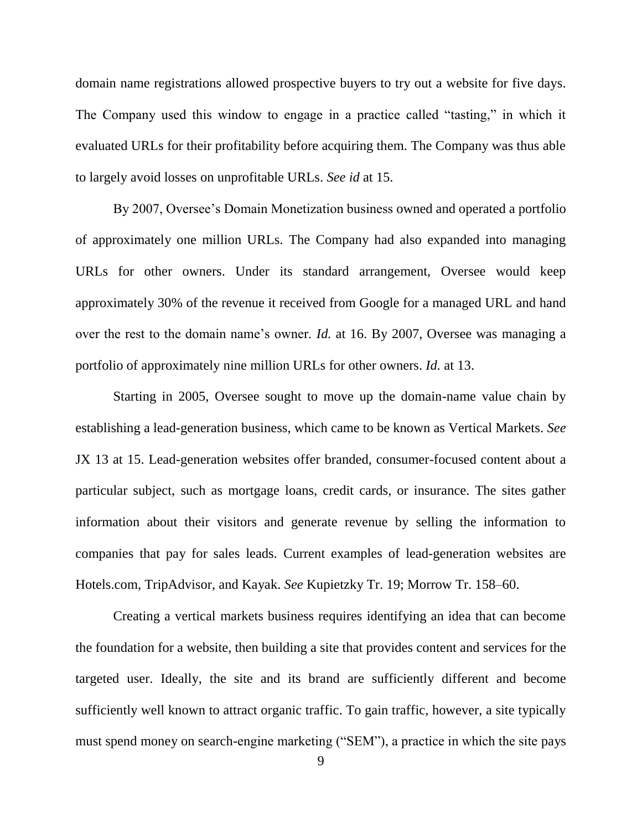domain name registrations allowed prospective buyers to try out a website for five days. The Company used this window to engage in a practice called "tasting," in which it evaluated URLs for their profitability before acquiring them. The Company was thus able to largely avoid losses on unprofitable URLs. *See id* at 15.

By 2007, Oversee's Domain Monetization business owned and operated a portfolio of approximately one million URLs. The Company had also expanded into managing URLs for other owners. Under its standard arrangement, Oversee would keep approximately 30% of the revenue it received from Google for a managed URL and hand over the rest to the domain name's owner. *Id.* at 16. By 2007, Oversee was managing a portfolio of approximately nine million URLs for other owners. *Id.* at 13.

Starting in 2005, Oversee sought to move up the domain-name value chain by establishing a lead-generation business, which came to be known as Vertical Markets. *See*  JX 13 at 15. Lead-generation websites offer branded, consumer-focused content about a particular subject, such as mortgage loans, credit cards, or insurance. The sites gather information about their visitors and generate revenue by selling the information to companies that pay for sales leads. Current examples of lead-generation websites are Hotels.com, TripAdvisor, and Kayak. *See* Kupietzky Tr. 19; Morrow Tr. 158–60.

Creating a vertical markets business requires identifying an idea that can become the foundation for a website, then building a site that provides content and services for the targeted user. Ideally, the site and its brand are sufficiently different and become sufficiently well known to attract organic traffic. To gain traffic, however, a site typically must spend money on search-engine marketing ("SEM"), a practice in which the site pays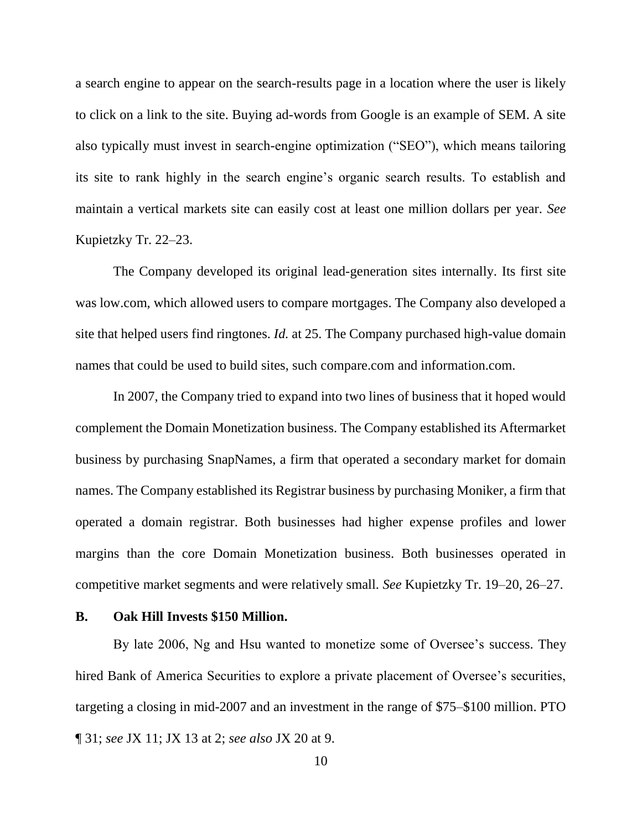a search engine to appear on the search-results page in a location where the user is likely to click on a link to the site. Buying ad-words from Google is an example of SEM. A site also typically must invest in search-engine optimization ("SEO"), which means tailoring its site to rank highly in the search engine's organic search results. To establish and maintain a vertical markets site can easily cost at least one million dollars per year. *See*  Kupietzky Tr. 22–23.

The Company developed its original lead-generation sites internally. Its first site was low.com, which allowed users to compare mortgages. The Company also developed a site that helped users find ringtones. *Id.* at 25. The Company purchased high-value domain names that could be used to build sites, such compare.com and information.com.

In 2007, the Company tried to expand into two lines of business that it hoped would complement the Domain Monetization business. The Company established its Aftermarket business by purchasing SnapNames, a firm that operated a secondary market for domain names. The Company established its Registrar business by purchasing Moniker, a firm that operated a domain registrar. Both businesses had higher expense profiles and lower margins than the core Domain Monetization business. Both businesses operated in competitive market segments and were relatively small. *See* Kupietzky Tr. 19–20, 26–27.

#### **B. Oak Hill Invests \$150 Million.**

By late 2006, Ng and Hsu wanted to monetize some of Oversee's success. They hired Bank of America Securities to explore a private placement of Oversee's securities, targeting a closing in mid-2007 and an investment in the range of \$75–\$100 million. PTO ¶ 31; *see* JX 11; JX 13 at 2; *see also* JX 20 at 9.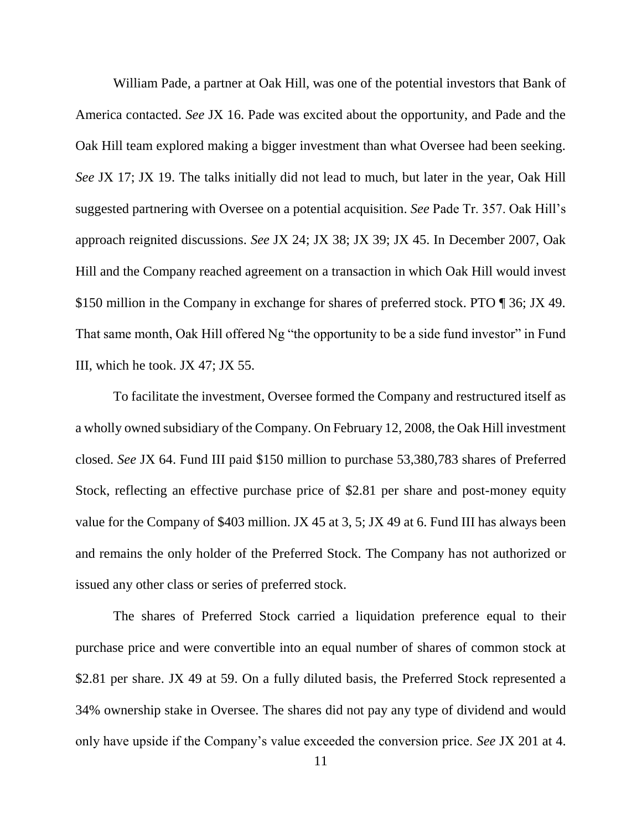William Pade, a partner at Oak Hill, was one of the potential investors that Bank of America contacted. *See* JX 16. Pade was excited about the opportunity, and Pade and the Oak Hill team explored making a bigger investment than what Oversee had been seeking. *See* JX 17; JX 19. The talks initially did not lead to much, but later in the year, Oak Hill suggested partnering with Oversee on a potential acquisition. *See* Pade Tr. 357. Oak Hill's approach reignited discussions. *See* JX 24; JX 38; JX 39; JX 45. In December 2007, Oak Hill and the Company reached agreement on a transaction in which Oak Hill would invest \$150 million in the Company in exchange for shares of preferred stock. PTO ¶ 36; JX 49. That same month, Oak Hill offered Ng "the opportunity to be a side fund investor" in Fund III, which he took. JX 47; JX 55.

To facilitate the investment, Oversee formed the Company and restructured itself as a wholly owned subsidiary of the Company. On February 12, 2008, the Oak Hill investment closed. *See* JX 64. Fund III paid \$150 million to purchase 53,380,783 shares of Preferred Stock, reflecting an effective purchase price of \$2.81 per share and post-money equity value for the Company of \$403 million. JX 45 at 3, 5; JX 49 at 6. Fund III has always been and remains the only holder of the Preferred Stock. The Company has not authorized or issued any other class or series of preferred stock.

The shares of Preferred Stock carried a liquidation preference equal to their purchase price and were convertible into an equal number of shares of common stock at \$2.81 per share. JX 49 at 59. On a fully diluted basis, the Preferred Stock represented a 34% ownership stake in Oversee. The shares did not pay any type of dividend and would only have upside if the Company's value exceeded the conversion price. *See* JX 201 at 4.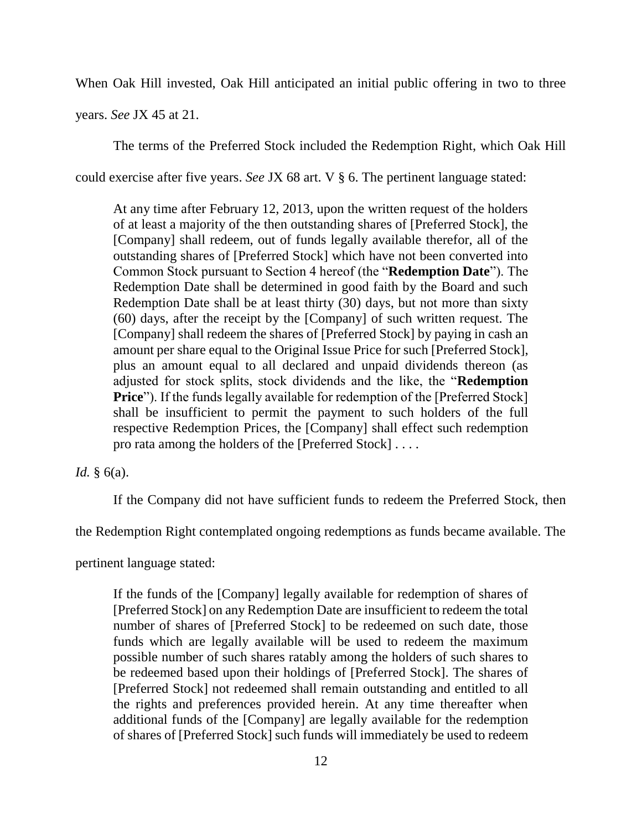When Oak Hill invested, Oak Hill anticipated an initial public offering in two to three

years. *See* JX 45 at 21.

The terms of the Preferred Stock included the Redemption Right, which Oak Hill

could exercise after five years. *See* JX 68 art. V § 6. The pertinent language stated:

At any time after February 12, 2013, upon the written request of the holders of at least a majority of the then outstanding shares of [Preferred Stock], the [Company] shall redeem, out of funds legally available therefor, all of the outstanding shares of [Preferred Stock] which have not been converted into Common Stock pursuant to Section 4 hereof (the "**Redemption Date**"). The Redemption Date shall be determined in good faith by the Board and such Redemption Date shall be at least thirty (30) days, but not more than sixty (60) days, after the receipt by the [Company] of such written request. The [Company] shall redeem the shares of [Preferred Stock] by paying in cash an amount per share equal to the Original Issue Price for such [Preferred Stock], plus an amount equal to all declared and unpaid dividends thereon (as adjusted for stock splits, stock dividends and the like, the "**Redemption Price**"). If the funds legally available for redemption of the [Preferred Stock] shall be insufficient to permit the payment to such holders of the full respective Redemption Prices, the [Company] shall effect such redemption pro rata among the holders of the [Preferred Stock] . . . .

*Id.* § 6(a).

If the Company did not have sufficient funds to redeem the Preferred Stock, then

the Redemption Right contemplated ongoing redemptions as funds became available. The

pertinent language stated:

If the funds of the [Company] legally available for redemption of shares of [Preferred Stock] on any Redemption Date are insufficient to redeem the total number of shares of [Preferred Stock] to be redeemed on such date, those funds which are legally available will be used to redeem the maximum possible number of such shares ratably among the holders of such shares to be redeemed based upon their holdings of [Preferred Stock]. The shares of [Preferred Stock] not redeemed shall remain outstanding and entitled to all the rights and preferences provided herein. At any time thereafter when additional funds of the [Company] are legally available for the redemption of shares of [Preferred Stock] such funds will immediately be used to redeem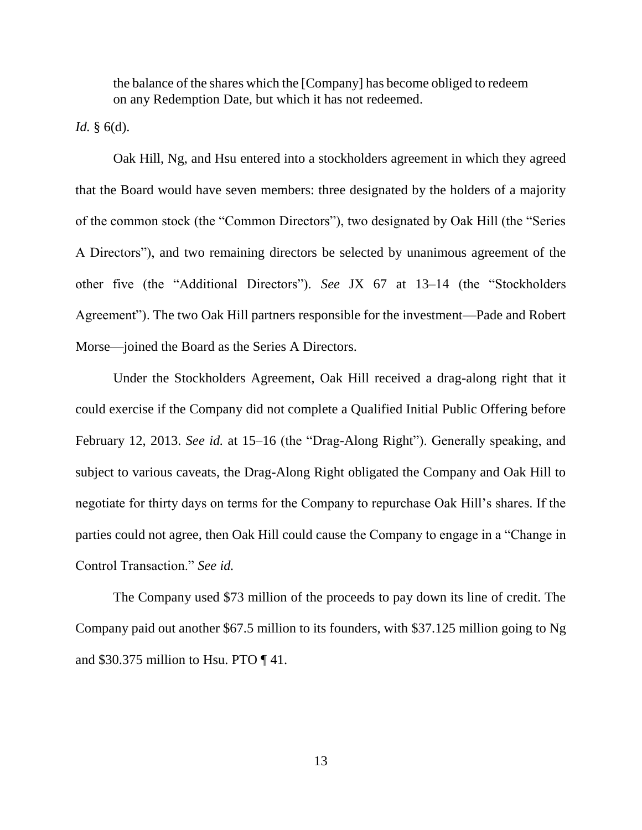the balance of the shares which the [Company] has become obliged to redeem on any Redemption Date, but which it has not redeemed.

*Id.* § 6(d).

Oak Hill, Ng, and Hsu entered into a stockholders agreement in which they agreed that the Board would have seven members: three designated by the holders of a majority of the common stock (the "Common Directors"), two designated by Oak Hill (the "Series A Directors"), and two remaining directors be selected by unanimous agreement of the other five (the "Additional Directors"). *See* JX 67 at 13–14 (the "Stockholders Agreement"). The two Oak Hill partners responsible for the investment—Pade and Robert Morse—joined the Board as the Series A Directors.

Under the Stockholders Agreement, Oak Hill received a drag-along right that it could exercise if the Company did not complete a Qualified Initial Public Offering before February 12, 2013. *See id.* at 15–16 (the "Drag-Along Right"). Generally speaking, and subject to various caveats, the Drag-Along Right obligated the Company and Oak Hill to negotiate for thirty days on terms for the Company to repurchase Oak Hill's shares. If the parties could not agree, then Oak Hill could cause the Company to engage in a "Change in Control Transaction." *See id.*

The Company used \$73 million of the proceeds to pay down its line of credit. The Company paid out another \$67.5 million to its founders, with \$37.125 million going to Ng and \$30.375 million to Hsu. PTO ¶ 41.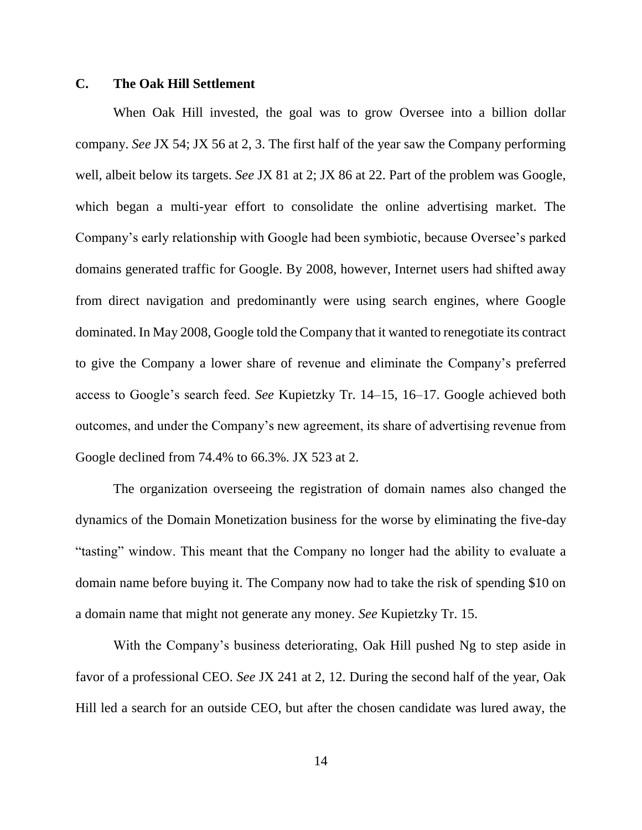# **C. The Oak Hill Settlement**

When Oak Hill invested, the goal was to grow Oversee into a billion dollar company. *See* JX 54; JX 56 at 2, 3. The first half of the year saw the Company performing well, albeit below its targets. *See* JX 81 at 2; JX 86 at 22. Part of the problem was Google, which began a multi-year effort to consolidate the online advertising market. The Company's early relationship with Google had been symbiotic, because Oversee's parked domains generated traffic for Google. By 2008, however, Internet users had shifted away from direct navigation and predominantly were using search engines, where Google dominated. In May 2008, Google told the Company that it wanted to renegotiate its contract to give the Company a lower share of revenue and eliminate the Company's preferred access to Google's search feed. *See* Kupietzky Tr. 14–15, 16–17. Google achieved both outcomes, and under the Company's new agreement, its share of advertising revenue from Google declined from 74.4% to 66.3%. JX 523 at 2.

The organization overseeing the registration of domain names also changed the dynamics of the Domain Monetization business for the worse by eliminating the five-day "tasting" window. This meant that the Company no longer had the ability to evaluate a domain name before buying it. The Company now had to take the risk of spending \$10 on a domain name that might not generate any money. *See* Kupietzky Tr. 15.

With the Company's business deteriorating, Oak Hill pushed Ng to step aside in favor of a professional CEO. *See* JX 241 at 2, 12. During the second half of the year, Oak Hill led a search for an outside CEO, but after the chosen candidate was lured away, the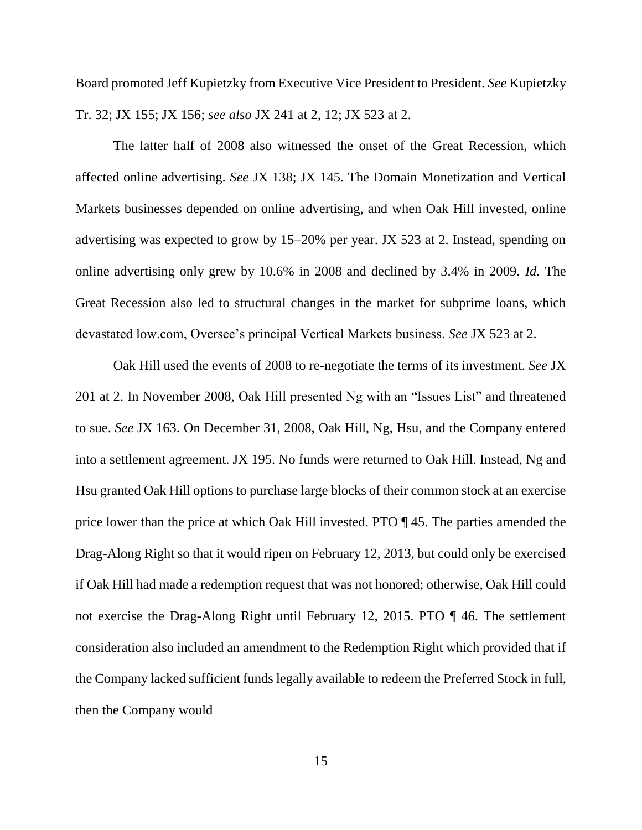Board promoted Jeff Kupietzky from Executive Vice President to President. *See* Kupietzky Tr. 32; JX 155; JX 156; *see also* JX 241 at 2, 12; JX 523 at 2.

The latter half of 2008 also witnessed the onset of the Great Recession, which affected online advertising. *See* JX 138; JX 145. The Domain Monetization and Vertical Markets businesses depended on online advertising, and when Oak Hill invested, online advertising was expected to grow by 15–20% per year. JX 523 at 2. Instead, spending on online advertising only grew by 10.6% in 2008 and declined by 3.4% in 2009. *Id.* The Great Recession also led to structural changes in the market for subprime loans, which devastated low.com, Oversee's principal Vertical Markets business. *See* JX 523 at 2.

Oak Hill used the events of 2008 to re-negotiate the terms of its investment. *See* JX 201 at 2. In November 2008, Oak Hill presented Ng with an "Issues List" and threatened to sue. *See* JX 163. On December 31, 2008, Oak Hill, Ng, Hsu, and the Company entered into a settlement agreement. JX 195. No funds were returned to Oak Hill. Instead, Ng and Hsu granted Oak Hill options to purchase large blocks of their common stock at an exercise price lower than the price at which Oak Hill invested. PTO ¶ 45. The parties amended the Drag-Along Right so that it would ripen on February 12, 2013, but could only be exercised if Oak Hill had made a redemption request that was not honored; otherwise, Oak Hill could not exercise the Drag-Along Right until February 12, 2015. PTO ¶ 46. The settlement consideration also included an amendment to the Redemption Right which provided that if the Company lacked sufficient funds legally available to redeem the Preferred Stock in full, then the Company would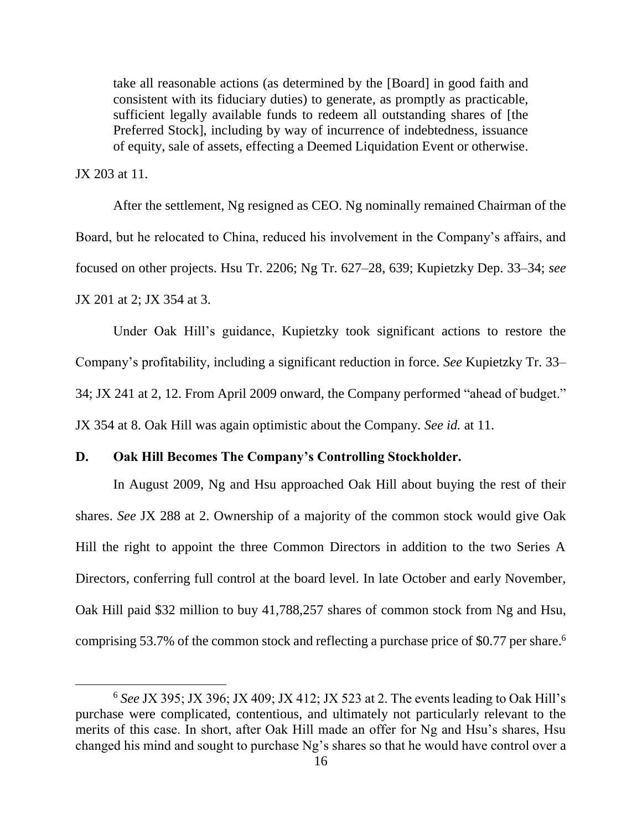take all reasonable actions (as determined by the [Board] in good faith and consistent with its fiduciary duties) to generate, as promptly as practicable, sufficient legally available funds to redeem all outstanding shares of [the Preferred Stock], including by way of incurrence of indebtedness, issuance of equity, sale of assets, effecting a Deemed Liquidation Event or otherwise.

JX 203 at 11.

l

After the settlement, Ng resigned as CEO. Ng nominally remained Chairman of the Board, but he relocated to China, reduced his involvement in the Company's affairs, and focused on other projects. Hsu Tr. 2206; Ng Tr. 627–28, 639; Kupietzky Dep. 33–34; *see* JX 201 at 2; JX 354 at 3.

Under Oak Hill's guidance, Kupietzky took significant actions to restore the Company's profitability, including a significant reduction in force. *See* Kupietzky Tr. 33– 34; JX 241 at 2, 12. From April 2009 onward, the Company performed "ahead of budget." JX 354 at 8. Oak Hill was again optimistic about the Company. *See id.* at 11.

## **D. Oak Hill Becomes The Company's Controlling Stockholder.**

In August 2009, Ng and Hsu approached Oak Hill about buying the rest of their shares. *See* JX 288 at 2. Ownership of a majority of the common stock would give Oak Hill the right to appoint the three Common Directors in addition to the two Series A Directors, conferring full control at the board level. In late October and early November, Oak Hill paid \$32 million to buy 41,788,257 shares of common stock from Ng and Hsu, comprising 53.7% of the common stock and reflecting a purchase price of \$0.77 per share. 6

<sup>6</sup> *See* JX 395; JX 396; JX 409; JX 412; JX 523 at 2. The events leading to Oak Hill's purchase were complicated, contentious, and ultimately not particularly relevant to the merits of this case. In short, after Oak Hill made an offer for Ng and Hsu's shares, Hsu changed his mind and sought to purchase Ng's shares so that he would have control over a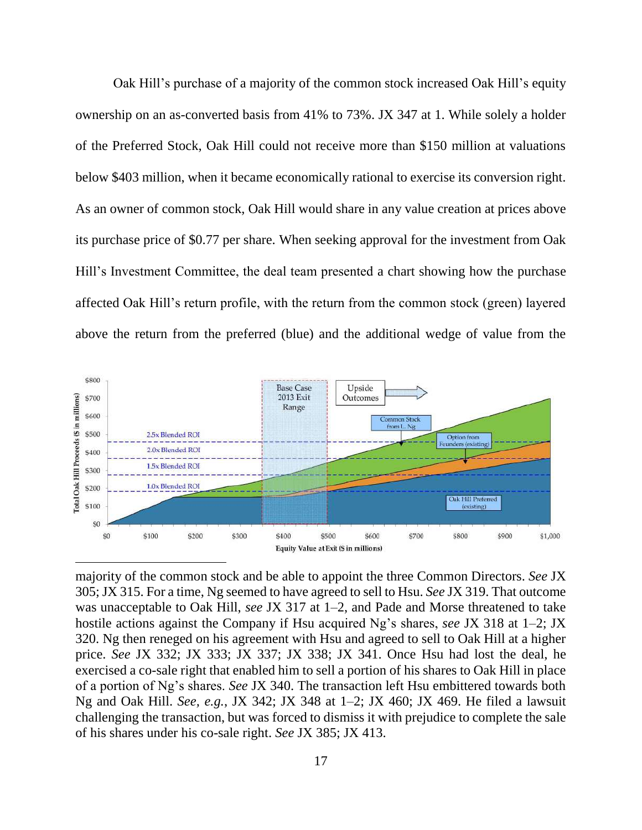Oak Hill's purchase of a majority of the common stock increased Oak Hill's equity ownership on an as-converted basis from 41% to 73%. JX 347 at 1. While solely a holder of the Preferred Stock, Oak Hill could not receive more than \$150 million at valuations below \$403 million, when it became economically rational to exercise its conversion right. As an owner of common stock, Oak Hill would share in any value creation at prices above its purchase price of \$0.77 per share. When seeking approval for the investment from Oak Hill's Investment Committee, the deal team presented a chart showing how the purchase affected Oak Hill's return profile, with the return from the common stock (green) layered above the return from the preferred (blue) and the additional wedge of value from the



majority of the common stock and be able to appoint the three Common Directors. *See* JX 305; JX 315. For a time, Ng seemed to have agreed to sell to Hsu. *See* JX 319. That outcome was unacceptable to Oak Hill, *see* JX 317 at 1–2, and Pade and Morse threatened to take hostile actions against the Company if Hsu acquired Ng's shares, *see* JX 318 at 1–2; JX 320. Ng then reneged on his agreement with Hsu and agreed to sell to Oak Hill at a higher price. *See* JX 332; JX 333; JX 337; JX 338; JX 341. Once Hsu had lost the deal, he exercised a co-sale right that enabled him to sell a portion of his shares to Oak Hill in place of a portion of Ng's shares. *See* JX 340. The transaction left Hsu embittered towards both Ng and Oak Hill. *See, e.g.*, JX 342; JX 348 at 1–2; JX 460; JX 469. He filed a lawsuit challenging the transaction, but was forced to dismiss it with prejudice to complete the sale of his shares under his co-sale right. *See* JX 385; JX 413.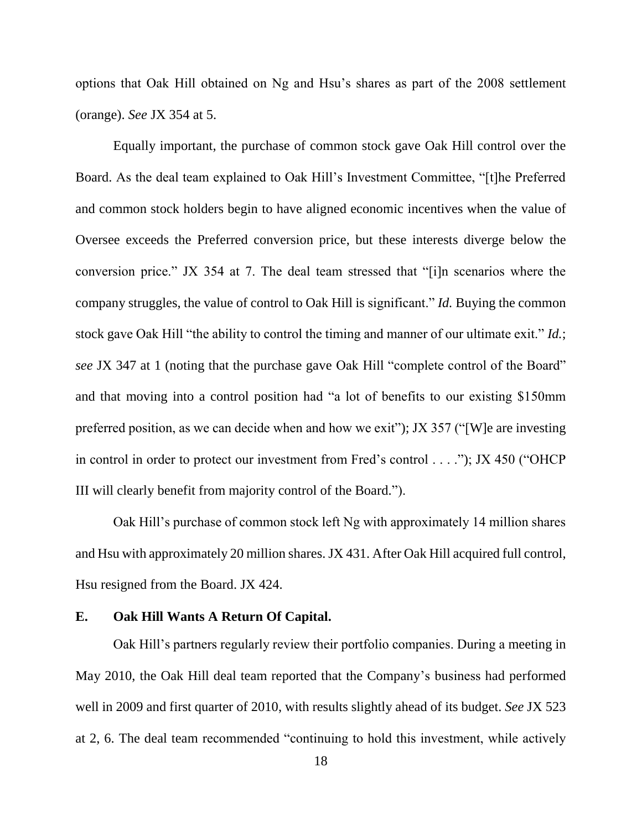options that Oak Hill obtained on Ng and Hsu's shares as part of the 2008 settlement (orange). *See* JX 354 at 5.

Equally important, the purchase of common stock gave Oak Hill control over the Board. As the deal team explained to Oak Hill's Investment Committee, "[t]he Preferred and common stock holders begin to have aligned economic incentives when the value of Oversee exceeds the Preferred conversion price, but these interests diverge below the conversion price." JX 354 at 7. The deal team stressed that "[i]n scenarios where the company struggles, the value of control to Oak Hill is significant." *Id.* Buying the common stock gave Oak Hill "the ability to control the timing and manner of our ultimate exit." *Id.*; *see* JX 347 at 1 (noting that the purchase gave Oak Hill "complete control of the Board" and that moving into a control position had "a lot of benefits to our existing \$150mm preferred position, as we can decide when and how we exit"); JX 357 ("[W]e are investing in control in order to protect our investment from Fred's control . . . ."); JX 450 ("OHCP III will clearly benefit from majority control of the Board.").

Oak Hill's purchase of common stock left Ng with approximately 14 million shares and Hsu with approximately 20 million shares. JX 431. After Oak Hill acquired full control, Hsu resigned from the Board. JX 424.

#### **E. Oak Hill Wants A Return Of Capital.**

Oak Hill's partners regularly review their portfolio companies. During a meeting in May 2010, the Oak Hill deal team reported that the Company's business had performed well in 2009 and first quarter of 2010, with results slightly ahead of its budget. *See* JX 523 at 2, 6. The deal team recommended "continuing to hold this investment, while actively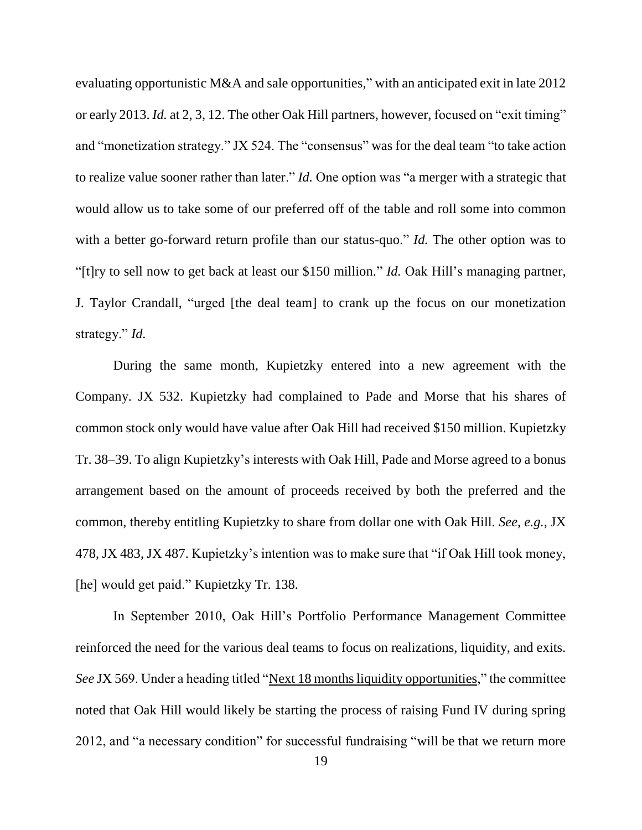evaluating opportunistic M&A and sale opportunities," with an anticipated exit in late 2012 or early 2013. *Id.* at 2, 3, 12. The other Oak Hill partners, however, focused on "exit timing" and "monetization strategy." JX 524. The "consensus" was for the deal team "to take action to realize value sooner rather than later." *Id.* One option was "a merger with a strategic that would allow us to take some of our preferred off of the table and roll some into common with a better go-forward return profile than our status-quo." *Id*. The other option was to "[t]ry to sell now to get back at least our \$150 million." *Id.* Oak Hill's managing partner, J. Taylor Crandall, "urged [the deal team] to crank up the focus on our monetization strategy." *Id.*

During the same month, Kupietzky entered into a new agreement with the Company. JX 532. Kupietzky had complained to Pade and Morse that his shares of common stock only would have value after Oak Hill had received \$150 million. Kupietzky Tr. 38–39. To align Kupietzky's interests with Oak Hill, Pade and Morse agreed to a bonus arrangement based on the amount of proceeds received by both the preferred and the common, thereby entitling Kupietzky to share from dollar one with Oak Hill. *See, e.g.*, JX 478, JX 483, JX 487. Kupietzky's intention was to make sure that "if Oak Hill took money, [he] would get paid." Kupietzky Tr. 138.

In September 2010, Oak Hill's Portfolio Performance Management Committee reinforced the need for the various deal teams to focus on realizations, liquidity, and exits. *See* JX 569. Under a heading titled "Next 18 months liquidity opportunities," the committee noted that Oak Hill would likely be starting the process of raising Fund IV during spring 2012, and "a necessary condition" for successful fundraising "will be that we return more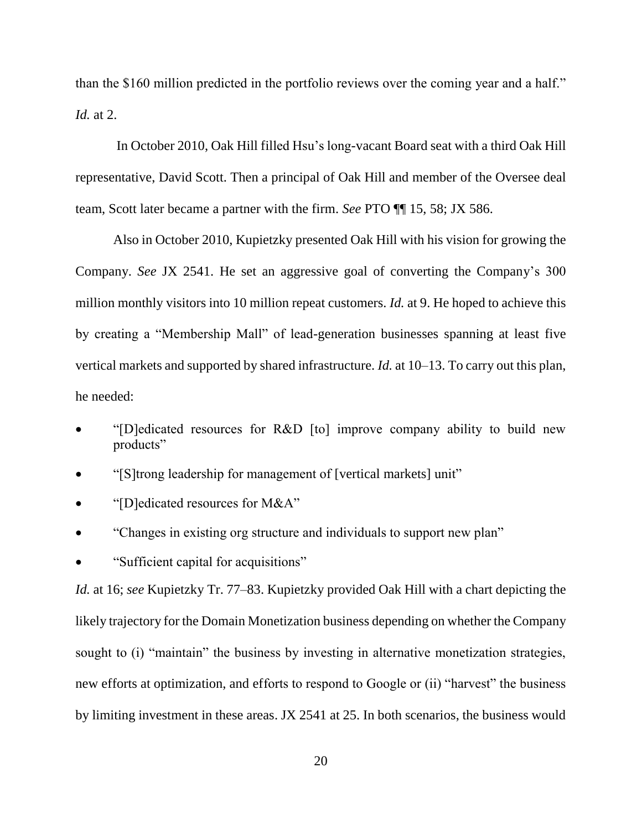than the \$160 million predicted in the portfolio reviews over the coming year and a half." *Id.* at 2.

In October 2010, Oak Hill filled Hsu's long-vacant Board seat with a third Oak Hill representative, David Scott. Then a principal of Oak Hill and member of the Oversee deal team, Scott later became a partner with the firm. *See* PTO ¶¶ 15, 58; JX 586.

Also in October 2010, Kupietzky presented Oak Hill with his vision for growing the Company. *See* JX 2541. He set an aggressive goal of converting the Company's 300 million monthly visitors into 10 million repeat customers. *Id.* at 9. He hoped to achieve this by creating a "Membership Mall" of lead-generation businesses spanning at least five vertical markets and supported by shared infrastructure. *Id.* at 10–13. To carry out this plan, he needed:

- "[D]edicated resources for R&D [to] improve company ability to build new products"
- "[S]trong leadership for management of [vertical markets] unit"
- "[D]edicated resources for M&A"
- "Changes in existing org structure and individuals to support new plan"
- "Sufficient capital for acquisitions"

*Id.* at 16; *see* Kupietzky Tr. 77–83. Kupietzky provided Oak Hill with a chart depicting the likely trajectory for the Domain Monetization business depending on whether the Company sought to (i) "maintain" the business by investing in alternative monetization strategies, new efforts at optimization, and efforts to respond to Google or (ii) "harvest" the business by limiting investment in these areas. JX 2541 at 25. In both scenarios, the business would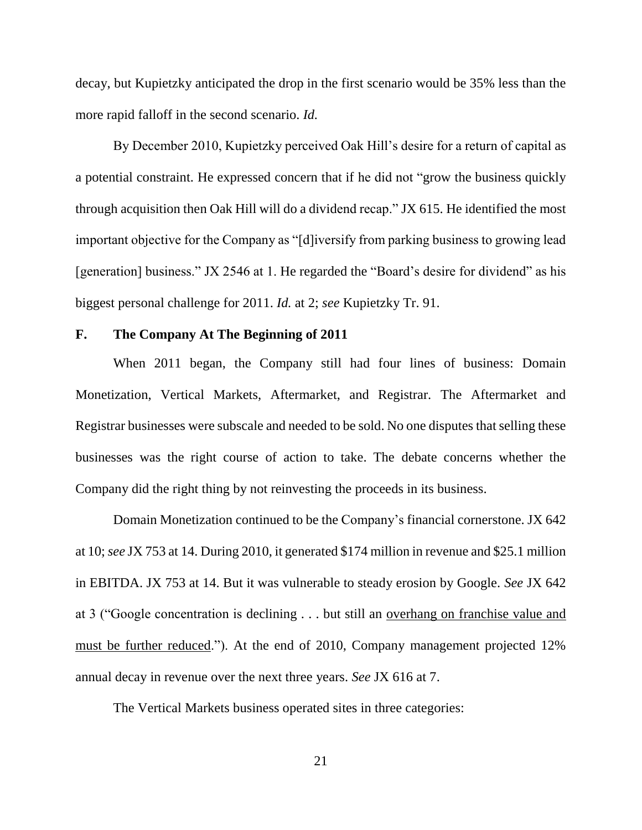decay, but Kupietzky anticipated the drop in the first scenario would be 35% less than the more rapid falloff in the second scenario. *Id.*

By December 2010, Kupietzky perceived Oak Hill's desire for a return of capital as a potential constraint. He expressed concern that if he did not "grow the business quickly through acquisition then Oak Hill will do a dividend recap." JX 615. He identified the most important objective for the Company as "[d]iversify from parking business to growing lead [generation] business." JX 2546 at 1. He regarded the "Board's desire for dividend" as his biggest personal challenge for 2011. *Id.* at 2; *see* Kupietzky Tr. 91.

#### **F. The Company At The Beginning of 2011**

When 2011 began, the Company still had four lines of business: Domain Monetization, Vertical Markets, Aftermarket, and Registrar. The Aftermarket and Registrar businesses were subscale and needed to be sold. No one disputes that selling these businesses was the right course of action to take. The debate concerns whether the Company did the right thing by not reinvesting the proceeds in its business.

Domain Monetization continued to be the Company's financial cornerstone. JX 642 at 10; *see* JX 753 at 14. During 2010, it generated \$174 million in revenue and \$25.1 million in EBITDA. JX 753 at 14. But it was vulnerable to steady erosion by Google. *See* JX 642 at 3 ("Google concentration is declining . . . but still an overhang on franchise value and must be further reduced."). At the end of 2010, Company management projected 12% annual decay in revenue over the next three years. *See* JX 616 at 7.

The Vertical Markets business operated sites in three categories: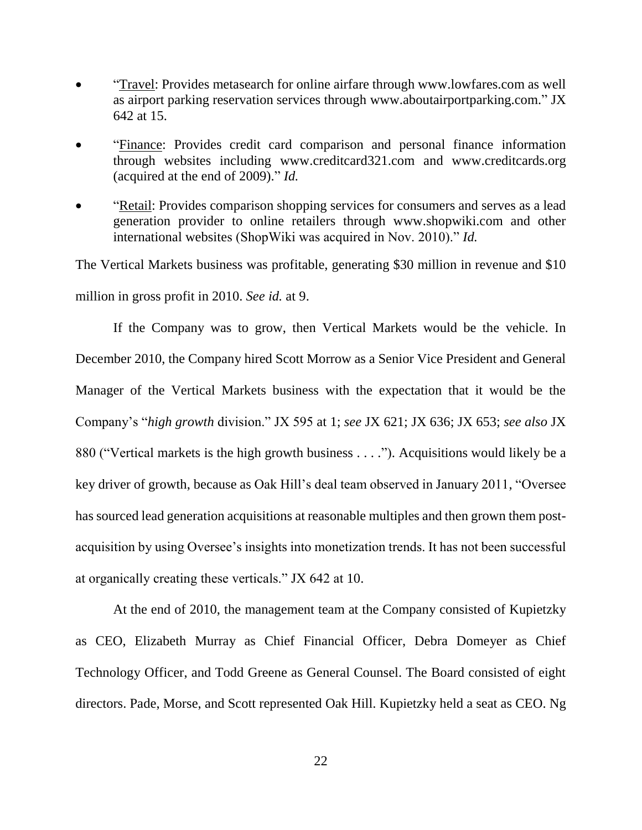- "Travel: Provides metasearch for online airfare through www.lowfares.com as well as airport parking reservation services through www.aboutairportparking.com." JX 642 at 15.
- "Finance: Provides credit card comparison and personal finance information through websites including www.creditcard321.com and www.creditcards.org (acquired at the end of 2009)." *Id.*
- "Retail: Provides comparison shopping services for consumers and serves as a lead generation provider to online retailers through www.shopwiki.com and other international websites (ShopWiki was acquired in Nov. 2010)." *Id.*

The Vertical Markets business was profitable, generating \$30 million in revenue and \$10 million in gross profit in 2010. *See id.* at 9.

If the Company was to grow, then Vertical Markets would be the vehicle. In December 2010, the Company hired Scott Morrow as a Senior Vice President and General Manager of the Vertical Markets business with the expectation that it would be the Company's "*high growth* division." JX 595 at 1; *see* JX 621; JX 636; JX 653; *see also* JX 880 ("Vertical markets is the high growth business . . . ."). Acquisitions would likely be a key driver of growth, because as Oak Hill's deal team observed in January 2011, "Oversee has sourced lead generation acquisitions at reasonable multiples and then grown them postacquisition by using Oversee's insights into monetization trends. It has not been successful at organically creating these verticals." JX 642 at 10.

At the end of 2010, the management team at the Company consisted of Kupietzky as CEO, Elizabeth Murray as Chief Financial Officer, Debra Domeyer as Chief Technology Officer, and Todd Greene as General Counsel. The Board consisted of eight directors. Pade, Morse, and Scott represented Oak Hill. Kupietzky held a seat as CEO. Ng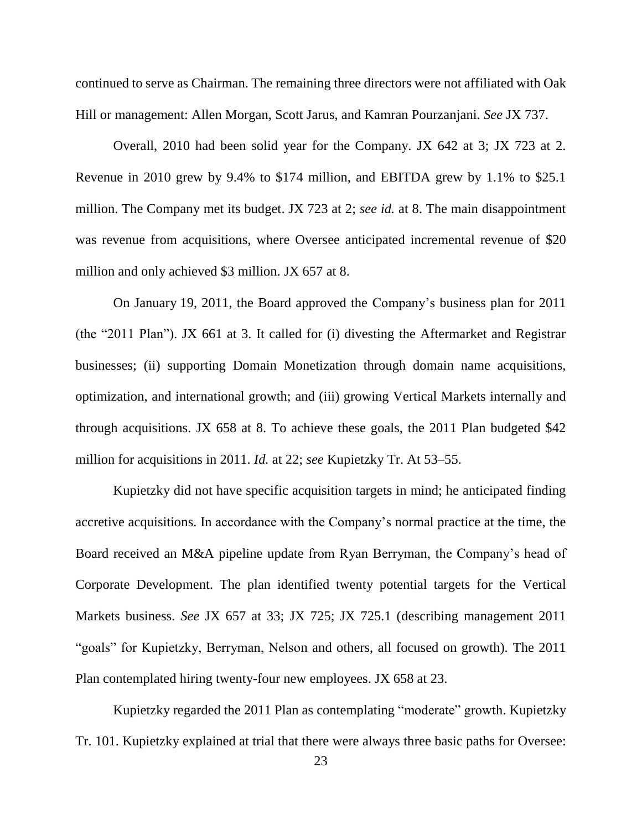continued to serve as Chairman. The remaining three directors were not affiliated with Oak Hill or management: Allen Morgan, Scott Jarus, and Kamran Pourzanjani. *See* JX 737.

Overall, 2010 had been solid year for the Company. JX 642 at 3; JX 723 at 2. Revenue in 2010 grew by 9.4% to \$174 million, and EBITDA grew by 1.1% to \$25.1 million. The Company met its budget. JX 723 at 2; *see id.* at 8. The main disappointment was revenue from acquisitions, where Oversee anticipated incremental revenue of \$20 million and only achieved \$3 million. JX 657 at 8.

On January 19, 2011, the Board approved the Company's business plan for 2011 (the "2011 Plan"). JX 661 at 3. It called for (i) divesting the Aftermarket and Registrar businesses; (ii) supporting Domain Monetization through domain name acquisitions, optimization, and international growth; and (iii) growing Vertical Markets internally and through acquisitions. JX 658 at 8. To achieve these goals, the 2011 Plan budgeted \$42 million for acquisitions in 2011. *Id.* at 22; *see* Kupietzky Tr. At 53–55.

Kupietzky did not have specific acquisition targets in mind; he anticipated finding accretive acquisitions. In accordance with the Company's normal practice at the time, the Board received an M&A pipeline update from Ryan Berryman, the Company's head of Corporate Development. The plan identified twenty potential targets for the Vertical Markets business. *See* JX 657 at 33; JX 725; JX 725.1 (describing management 2011 "goals" for Kupietzky, Berryman, Nelson and others, all focused on growth). The 2011 Plan contemplated hiring twenty-four new employees. JX 658 at 23.

Kupietzky regarded the 2011 Plan as contemplating "moderate" growth. Kupietzky Tr. 101. Kupietzky explained at trial that there were always three basic paths for Oversee: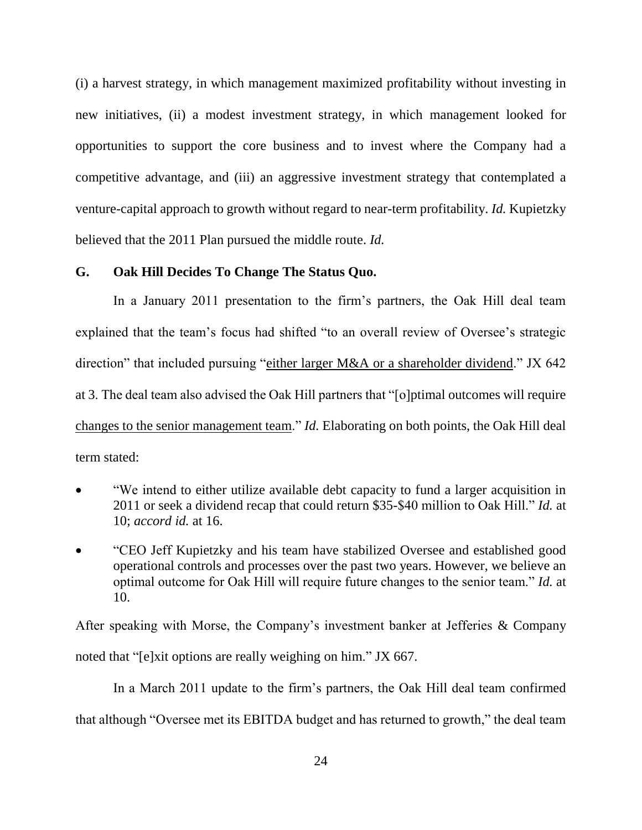(i) a harvest strategy, in which management maximized profitability without investing in new initiatives, (ii) a modest investment strategy, in which management looked for opportunities to support the core business and to invest where the Company had a competitive advantage, and (iii) an aggressive investment strategy that contemplated a venture-capital approach to growth without regard to near-term profitability. *Id.* Kupietzky believed that the 2011 Plan pursued the middle route. *Id.*

## **G. Oak Hill Decides To Change The Status Quo.**

In a January 2011 presentation to the firm's partners, the Oak Hill deal team explained that the team's focus had shifted "to an overall review of Oversee's strategic direction" that included pursuing "either larger M&A or a shareholder dividend." JX 642 at 3. The deal team also advised the Oak Hill partners that "[o]ptimal outcomes will require changes to the senior management team." *Id.* Elaborating on both points, the Oak Hill deal term stated:

- "We intend to either utilize available debt capacity to fund a larger acquisition in 2011 or seek a dividend recap that could return \$35-\$40 million to Oak Hill." *Id.* at 10; *accord id.* at 16.
- "CEO Jeff Kupietzky and his team have stabilized Oversee and established good operational controls and processes over the past two years. However, we believe an optimal outcome for Oak Hill will require future changes to the senior team." *Id.* at 10.

After speaking with Morse, the Company's investment banker at Jefferies & Company noted that "[e]xit options are really weighing on him." JX 667.

In a March 2011 update to the firm's partners, the Oak Hill deal team confirmed that although "Oversee met its EBITDA budget and has returned to growth," the deal team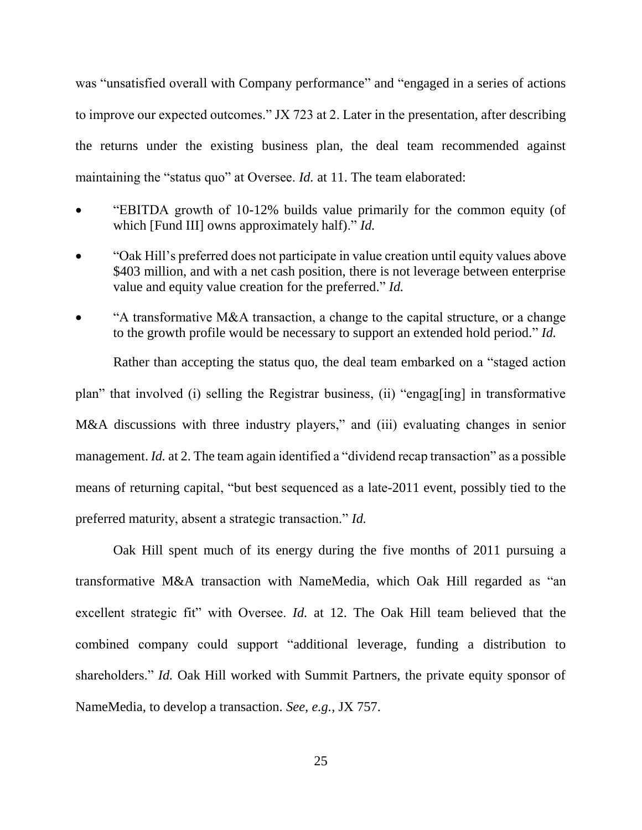was "unsatisfied overall with Company performance" and "engaged in a series of actions to improve our expected outcomes." JX 723 at 2. Later in the presentation, after describing the returns under the existing business plan, the deal team recommended against maintaining the "status quo" at Oversee. *Id.* at 11. The team elaborated:

- "EBITDA growth of 10-12% builds value primarily for the common equity (of which [Fund III] owns approximately half)." *Id.*
- "Oak Hill's preferred does not participate in value creation until equity values above \$403 million, and with a net cash position, there is not leverage between enterprise value and equity value creation for the preferred." *Id.*
- "A transformative M&A transaction, a change to the capital structure, or a change to the growth profile would be necessary to support an extended hold period." *Id.*

Rather than accepting the status quo, the deal team embarked on a "staged action plan" that involved (i) selling the Registrar business, (ii) "engag[ing] in transformative M&A discussions with three industry players," and (iii) evaluating changes in senior management. *Id.* at 2. The team again identified a "dividend recap transaction" as a possible means of returning capital, "but best sequenced as a late-2011 event, possibly tied to the preferred maturity, absent a strategic transaction." *Id.*

Oak Hill spent much of its energy during the five months of 2011 pursuing a transformative M&A transaction with NameMedia, which Oak Hill regarded as "an excellent strategic fit" with Oversee. *Id.* at 12. The Oak Hill team believed that the combined company could support "additional leverage, funding a distribution to shareholders." *Id.* Oak Hill worked with Summit Partners, the private equity sponsor of NameMedia, to develop a transaction. *See, e.g.*, JX 757.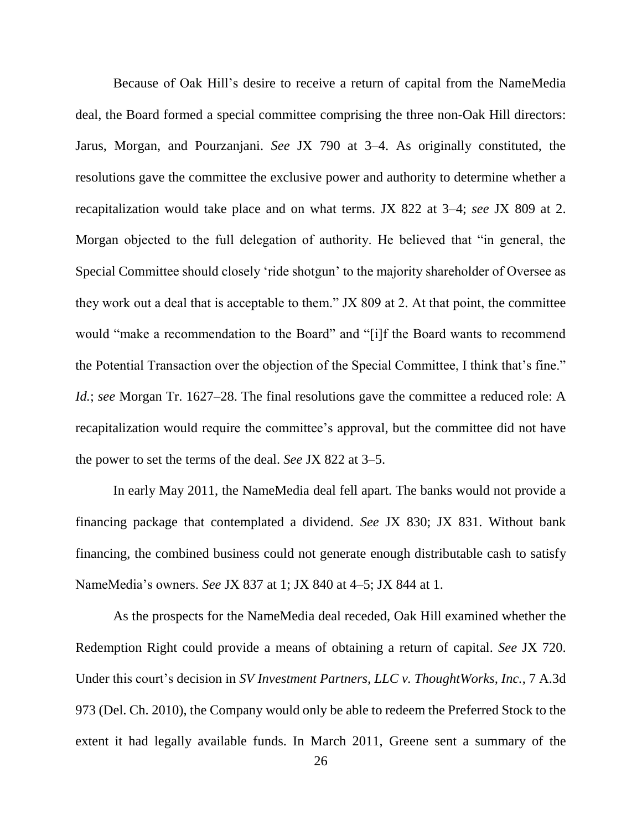Because of Oak Hill's desire to receive a return of capital from the NameMedia deal, the Board formed a special committee comprising the three non-Oak Hill directors: Jarus, Morgan, and Pourzanjani. *See* JX 790 at 3–4. As originally constituted, the resolutions gave the committee the exclusive power and authority to determine whether a recapitalization would take place and on what terms. JX 822 at 3–4; *see* JX 809 at 2. Morgan objected to the full delegation of authority. He believed that "in general, the Special Committee should closely 'ride shotgun' to the majority shareholder of Oversee as they work out a deal that is acceptable to them." JX 809 at 2. At that point, the committee would "make a recommendation to the Board" and "[i]f the Board wants to recommend the Potential Transaction over the objection of the Special Committee, I think that's fine." *Id.*; *see* Morgan Tr. 1627–28. The final resolutions gave the committee a reduced role: A recapitalization would require the committee's approval, but the committee did not have the power to set the terms of the deal. *See* JX 822 at 3–5.

In early May 2011, the NameMedia deal fell apart. The banks would not provide a financing package that contemplated a dividend. *See* JX 830; JX 831. Without bank financing, the combined business could not generate enough distributable cash to satisfy NameMedia's owners. *See* JX 837 at 1; JX 840 at 4–5; JX 844 at 1.

As the prospects for the NameMedia deal receded, Oak Hill examined whether the Redemption Right could provide a means of obtaining a return of capital. *See* JX 720. Under this court's decision in *SV Investment Partners, LLC v. ThoughtWorks, Inc.*, 7 A.3d 973 (Del. Ch. 2010), the Company would only be able to redeem the Preferred Stock to the extent it had legally available funds. In March 2011, Greene sent a summary of the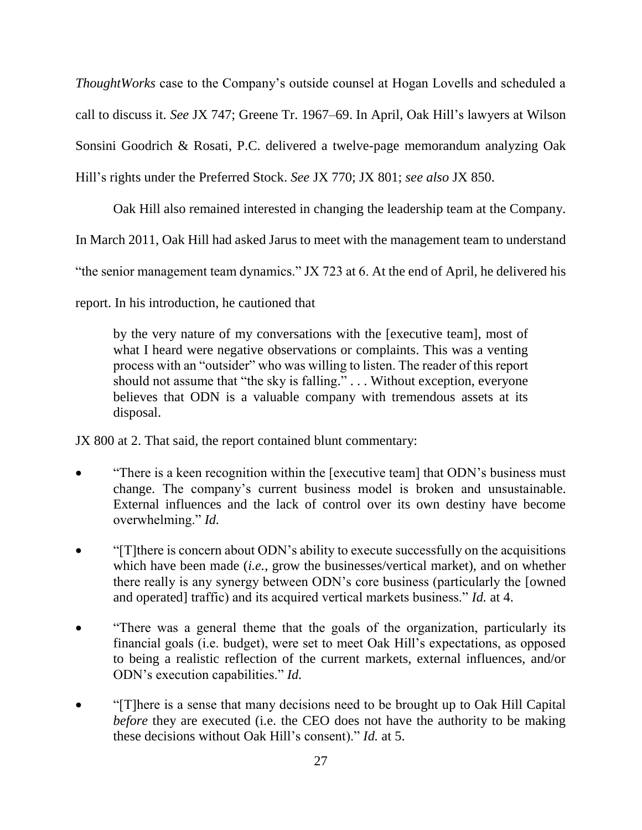*ThoughtWorks* case to the Company's outside counsel at Hogan Lovells and scheduled a call to discuss it. *See* JX 747; Greene Tr. 1967–69. In April, Oak Hill's lawyers at Wilson Sonsini Goodrich & Rosati, P.C. delivered a twelve-page memorandum analyzing Oak Hill's rights under the Preferred Stock. *See* JX 770; JX 801; *see also* JX 850.

Oak Hill also remained interested in changing the leadership team at the Company. In March 2011, Oak Hill had asked Jarus to meet with the management team to understand

"the senior management team dynamics." JX 723 at 6. At the end of April, he delivered his

report. In his introduction, he cautioned that

by the very nature of my conversations with the [executive team], most of what I heard were negative observations or complaints. This was a venting process with an "outsider" who was willing to listen. The reader of this report should not assume that "the sky is falling." . . . Without exception, everyone believes that ODN is a valuable company with tremendous assets at its disposal.

JX 800 at 2. That said, the report contained blunt commentary:

- "There is a keen recognition within the [executive team] that ODN's business must change. The company's current business model is broken and unsustainable. External influences and the lack of control over its own destiny have become overwhelming." *Id.*
- "[T]there is concern about ODN's ability to execute successfully on the acquisitions which have been made (*i.e.*, grow the businesses/vertical market), and on whether there really is any synergy between ODN's core business (particularly the [owned and operated] traffic) and its acquired vertical markets business." *Id.* at 4.
- "There was a general theme that the goals of the organization, particularly its financial goals (i.e. budget), were set to meet Oak Hill's expectations, as opposed to being a realistic reflection of the current markets, external influences, and/or ODN's execution capabilities." *Id.*
- "[T]here is a sense that many decisions need to be brought up to Oak Hill Capital *before* they are executed (i.e. the CEO does not have the authority to be making these decisions without Oak Hill's consent)." *Id.* at 5.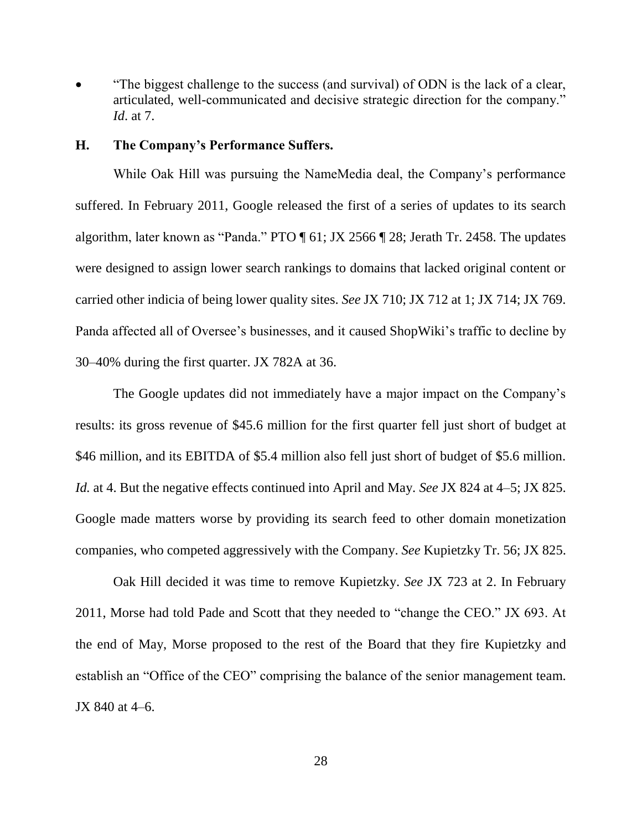"The biggest challenge to the success (and survival) of ODN is the lack of a clear, articulated, well-communicated and decisive strategic direction for the company." *Id*. at 7.

## **H. The Company's Performance Suffers.**

While Oak Hill was pursuing the NameMedia deal, the Company's performance suffered. In February 2011, Google released the first of a series of updates to its search algorithm, later known as "Panda." PTO ¶ 61; JX 2566 ¶ 28; Jerath Tr. 2458. The updates were designed to assign lower search rankings to domains that lacked original content or carried other indicia of being lower quality sites. *See* JX 710; JX 712 at 1; JX 714; JX 769. Panda affected all of Oversee's businesses, and it caused ShopWiki's traffic to decline by 30–40% during the first quarter. JX 782A at 36.

The Google updates did not immediately have a major impact on the Company's results: its gross revenue of \$45.6 million for the first quarter fell just short of budget at \$46 million, and its EBITDA of \$5.4 million also fell just short of budget of \$5.6 million. *Id.* at 4. But the negative effects continued into April and May. *See* JX 824 at 4–5; JX 825. Google made matters worse by providing its search feed to other domain monetization companies, who competed aggressively with the Company. *See* Kupietzky Tr. 56; JX 825.

Oak Hill decided it was time to remove Kupietzky. *See* JX 723 at 2. In February 2011, Morse had told Pade and Scott that they needed to "change the CEO." JX 693. At the end of May, Morse proposed to the rest of the Board that they fire Kupietzky and establish an "Office of the CEO" comprising the balance of the senior management team. JX 840 at 4–6.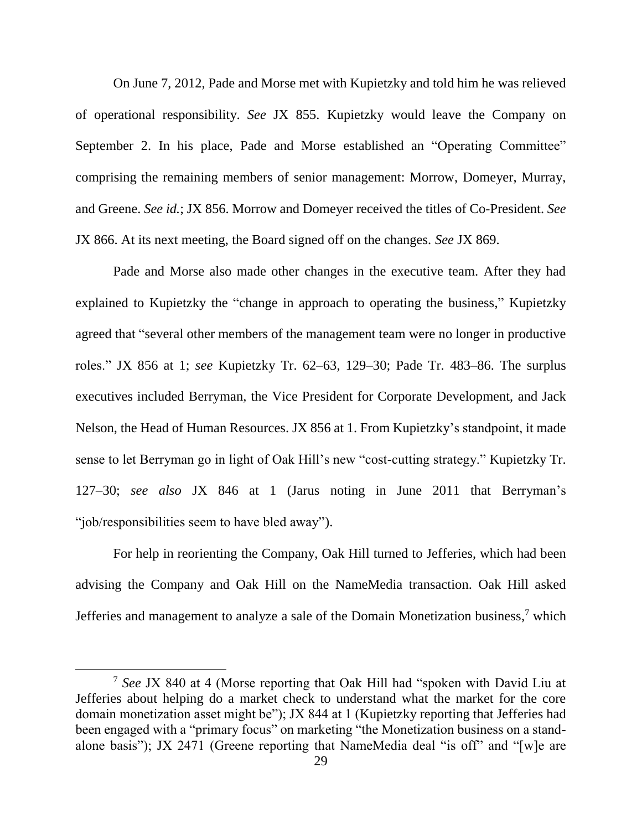On June 7, 2012, Pade and Morse met with Kupietzky and told him he was relieved of operational responsibility. *See* JX 855. Kupietzky would leave the Company on September 2. In his place, Pade and Morse established an "Operating Committee" comprising the remaining members of senior management: Morrow, Domeyer, Murray, and Greene. *See id.*; JX 856. Morrow and Domeyer received the titles of Co-President. *See*  JX 866. At its next meeting, the Board signed off on the changes. *See* JX 869.

Pade and Morse also made other changes in the executive team. After they had explained to Kupietzky the "change in approach to operating the business," Kupietzky agreed that "several other members of the management team were no longer in productive roles." JX 856 at 1; *see* Kupietzky Tr. 62–63, 129–30; Pade Tr. 483–86. The surplus executives included Berryman, the Vice President for Corporate Development, and Jack Nelson, the Head of Human Resources. JX 856 at 1. From Kupietzky's standpoint, it made sense to let Berryman go in light of Oak Hill's new "cost-cutting strategy." Kupietzky Tr. 127–30; *see also* JX 846 at 1 (Jarus noting in June 2011 that Berryman's "job/responsibilities seem to have bled away").

For help in reorienting the Company, Oak Hill turned to Jefferies, which had been advising the Company and Oak Hill on the NameMedia transaction. Oak Hill asked Jefferies and management to analyze a sale of the Domain Monetization business,<sup>7</sup> which

l

<sup>7</sup> *See* JX 840 at 4 (Morse reporting that Oak Hill had "spoken with David Liu at Jefferies about helping do a market check to understand what the market for the core domain monetization asset might be"); JX 844 at 1 (Kupietzky reporting that Jefferies had been engaged with a "primary focus" on marketing "the Monetization business on a standalone basis"); JX 2471 (Greene reporting that NameMedia deal "is off" and "[w]e are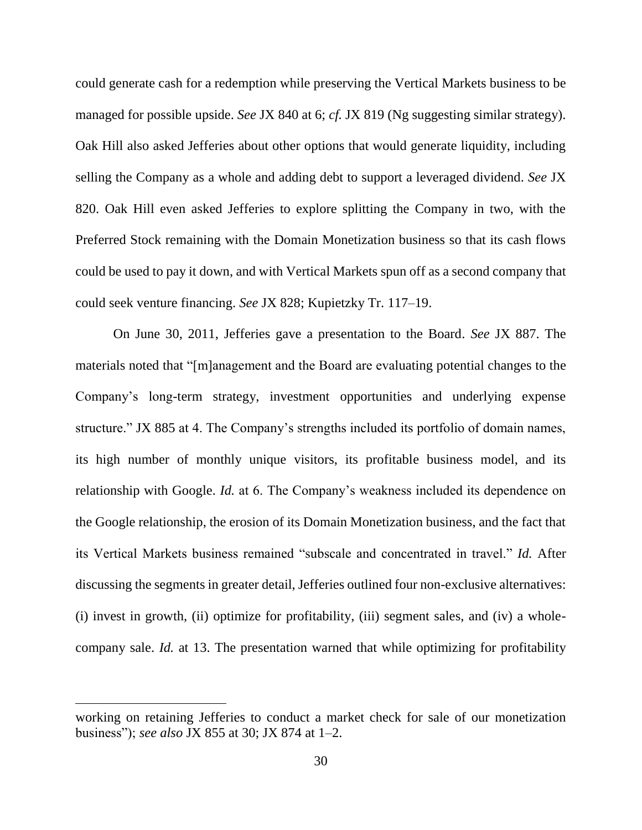could generate cash for a redemption while preserving the Vertical Markets business to be managed for possible upside. *See* JX 840 at 6; *cf.* JX 819 (Ng suggesting similar strategy). Oak Hill also asked Jefferies about other options that would generate liquidity, including selling the Company as a whole and adding debt to support a leveraged dividend. *See* JX 820. Oak Hill even asked Jefferies to explore splitting the Company in two, with the Preferred Stock remaining with the Domain Monetization business so that its cash flows could be used to pay it down, and with Vertical Markets spun off as a second company that could seek venture financing. *See* JX 828; Kupietzky Tr. 117–19.

On June 30, 2011, Jefferies gave a presentation to the Board. *See* JX 887. The materials noted that "[m]anagement and the Board are evaluating potential changes to the Company's long-term strategy, investment opportunities and underlying expense structure." JX 885 at 4. The Company's strengths included its portfolio of domain names, its high number of monthly unique visitors, its profitable business model, and its relationship with Google. *Id.* at 6. The Company's weakness included its dependence on the Google relationship, the erosion of its Domain Monetization business, and the fact that its Vertical Markets business remained "subscale and concentrated in travel." *Id.* After discussing the segments in greater detail, Jefferies outlined four non-exclusive alternatives: (i) invest in growth, (ii) optimize for profitability, (iii) segment sales, and (iv) a wholecompany sale. *Id.* at 13. The presentation warned that while optimizing for profitability

 $\overline{a}$ 

working on retaining Jefferies to conduct a market check for sale of our monetization business"); *see also* JX 855 at 30; JX 874 at 1–2.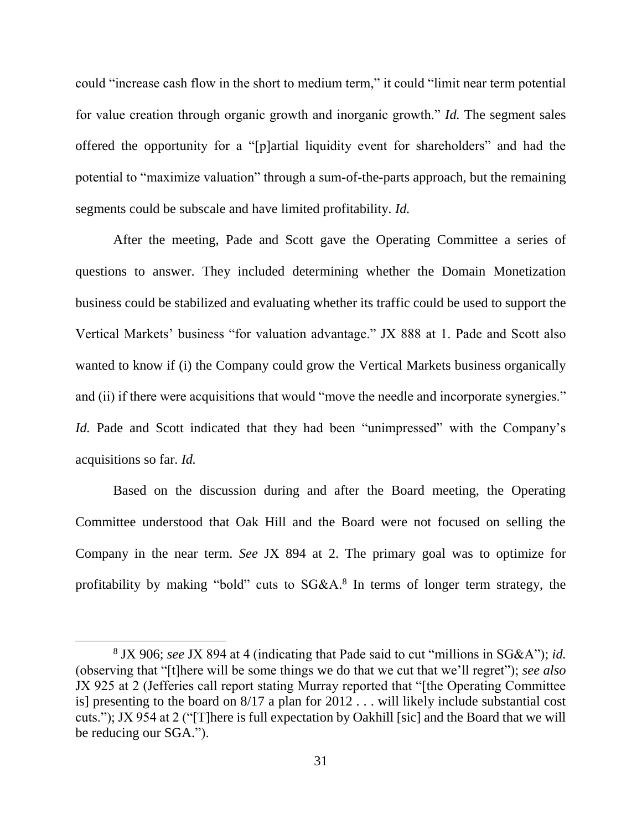could "increase cash flow in the short to medium term," it could "limit near term potential for value creation through organic growth and inorganic growth." *Id.* The segment sales offered the opportunity for a "[p]artial liquidity event for shareholders" and had the potential to "maximize valuation" through a sum-of-the-parts approach, but the remaining segments could be subscale and have limited profitability. *Id.*

After the meeting, Pade and Scott gave the Operating Committee a series of questions to answer. They included determining whether the Domain Monetization business could be stabilized and evaluating whether its traffic could be used to support the Vertical Markets' business "for valuation advantage." JX 888 at 1. Pade and Scott also wanted to know if (i) the Company could grow the Vertical Markets business organically and (ii) if there were acquisitions that would "move the needle and incorporate synergies." *Id.* Pade and Scott indicated that they had been "unimpressed" with the Company's acquisitions so far. *Id.*

Based on the discussion during and after the Board meeting, the Operating Committee understood that Oak Hill and the Board were not focused on selling the Company in the near term. *See* JX 894 at 2. The primary goal was to optimize for profitability by making "bold" cuts to SG&A.<sup>8</sup> In terms of longer term strategy, the

 $\overline{\phantom{a}}$ 

<sup>8</sup> JX 906; *see* JX 894 at 4 (indicating that Pade said to cut "millions in SG&A"); *id.* (observing that "[t]here will be some things we do that we cut that we'll regret"); *see also* JX 925 at 2 (Jefferies call report stating Murray reported that "[the Operating Committee is] presenting to the board on 8/17 a plan for 2012 . . . will likely include substantial cost cuts."); JX 954 at 2 ("[T]here is full expectation by Oakhill [sic] and the Board that we will be reducing our SGA.").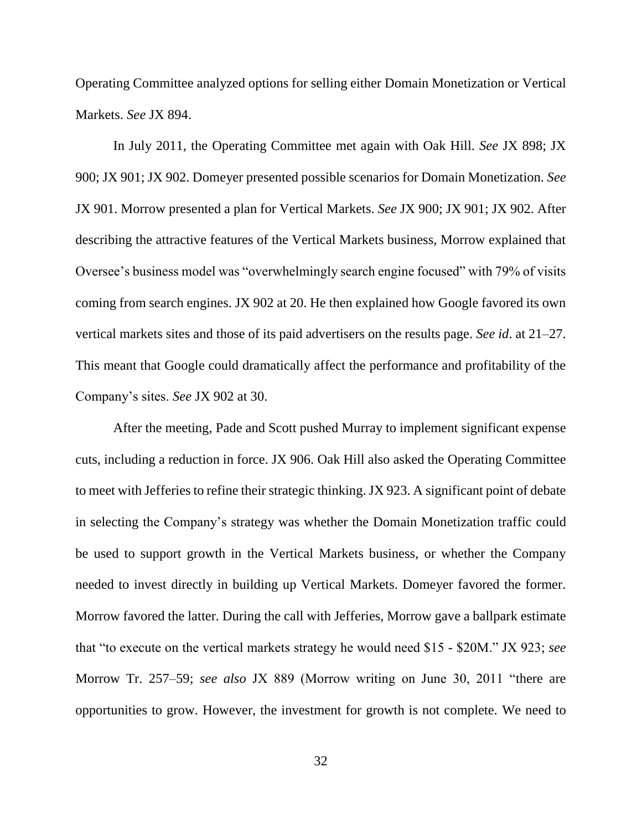Operating Committee analyzed options for selling either Domain Monetization or Vertical Markets. *See* JX 894.

In July 2011, the Operating Committee met again with Oak Hill. *See* JX 898; JX 900; JX 901; JX 902. Domeyer presented possible scenarios for Domain Monetization. *See*  JX 901. Morrow presented a plan for Vertical Markets. *See* JX 900; JX 901; JX 902. After describing the attractive features of the Vertical Markets business, Morrow explained that Oversee's business model was "overwhelmingly search engine focused" with 79% of visits coming from search engines. JX 902 at 20. He then explained how Google favored its own vertical markets sites and those of its paid advertisers on the results page. *See id*. at 21–27. This meant that Google could dramatically affect the performance and profitability of the Company's sites. *See* JX 902 at 30.

After the meeting, Pade and Scott pushed Murray to implement significant expense cuts, including a reduction in force. JX 906. Oak Hill also asked the Operating Committee to meet with Jefferies to refine their strategic thinking. JX 923. A significant point of debate in selecting the Company's strategy was whether the Domain Monetization traffic could be used to support growth in the Vertical Markets business, or whether the Company needed to invest directly in building up Vertical Markets. Domeyer favored the former. Morrow favored the latter. During the call with Jefferies, Morrow gave a ballpark estimate that "to execute on the vertical markets strategy he would need \$15 - \$20M." JX 923; *see*  Morrow Tr. 257–59; *see also* JX 889 (Morrow writing on June 30, 2011 "there are opportunities to grow. However, the investment for growth is not complete. We need to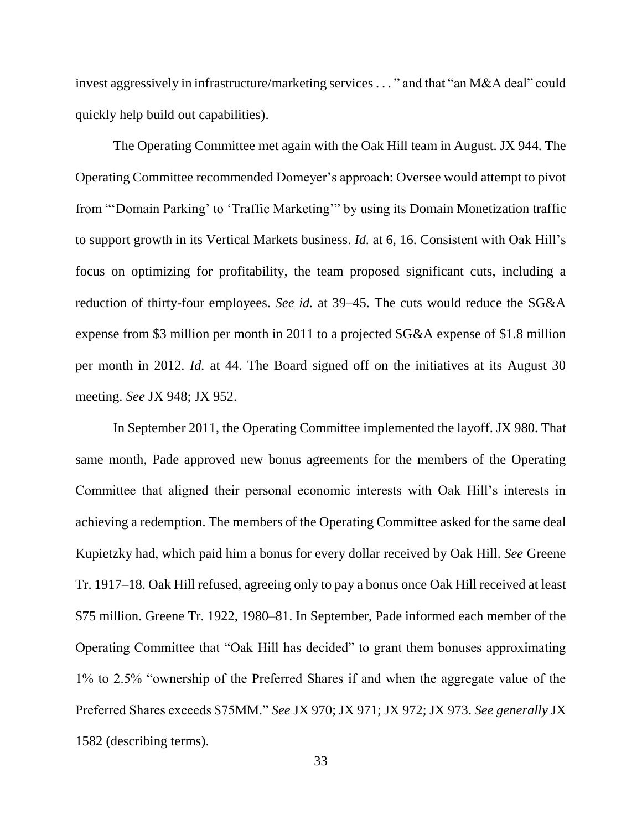invest aggressively in infrastructure/marketing services. . . " and that "an M&A deal" could quickly help build out capabilities).

The Operating Committee met again with the Oak Hill team in August. JX 944. The Operating Committee recommended Domeyer's approach: Oversee would attempt to pivot from "'Domain Parking' to 'Traffic Marketing'" by using its Domain Monetization traffic to support growth in its Vertical Markets business. *Id.* at 6, 16. Consistent with Oak Hill's focus on optimizing for profitability, the team proposed significant cuts, including a reduction of thirty-four employees. *See id.* at 39–45. The cuts would reduce the SG&A expense from \$3 million per month in 2011 to a projected SG&A expense of \$1.8 million per month in 2012. *Id.* at 44. The Board signed off on the initiatives at its August 30 meeting. *See* JX 948; JX 952.

In September 2011, the Operating Committee implemented the layoff. JX 980. That same month, Pade approved new bonus agreements for the members of the Operating Committee that aligned their personal economic interests with Oak Hill's interests in achieving a redemption. The members of the Operating Committee asked for the same deal Kupietzky had, which paid him a bonus for every dollar received by Oak Hill. *See* Greene Tr. 1917–18. Oak Hill refused, agreeing only to pay a bonus once Oak Hill received at least \$75 million. Greene Tr. 1922, 1980–81. In September, Pade informed each member of the Operating Committee that "Oak Hill has decided" to grant them bonuses approximating 1% to 2.5% "ownership of the Preferred Shares if and when the aggregate value of the Preferred Shares exceeds \$75MM." *See* JX 970; JX 971; JX 972; JX 973. *See generally* JX 1582 (describing terms).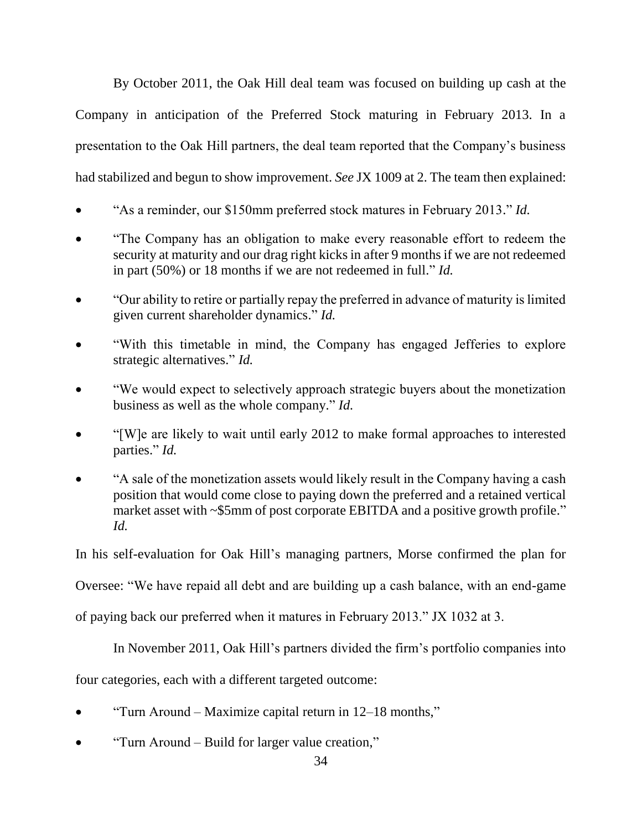By October 2011, the Oak Hill deal team was focused on building up cash at the Company in anticipation of the Preferred Stock maturing in February 2013. In a presentation to the Oak Hill partners, the deal team reported that the Company's business had stabilized and begun to show improvement. *See* JX 1009 at 2. The team then explained:

- "As a reminder, our \$150mm preferred stock matures in February 2013." *Id.*
- "The Company has an obligation to make every reasonable effort to redeem the security at maturity and our drag right kicks in after 9 months if we are not redeemed in part (50%) or 18 months if we are not redeemed in full." *Id.*
- "Our ability to retire or partially repay the preferred in advance of maturity is limited given current shareholder dynamics." *Id.*
- "With this timetable in mind, the Company has engaged Jefferies to explore strategic alternatives." *Id.*
- "We would expect to selectively approach strategic buyers about the monetization business as well as the whole company." *Id.*
- "[W]e are likely to wait until early 2012 to make formal approaches to interested parties." *Id.*
- "A sale of the monetization assets would likely result in the Company having a cash position that would come close to paying down the preferred and a retained vertical market asset with ~\$5mm of post corporate EBITDA and a positive growth profile." *Id.*

In his self-evaluation for Oak Hill's managing partners, Morse confirmed the plan for

Oversee: "We have repaid all debt and are building up a cash balance, with an end-game

of paying back our preferred when it matures in February 2013." JX 1032 at 3.

In November 2011, Oak Hill's partners divided the firm's portfolio companies into

four categories, each with a different targeted outcome:

- "Turn Around Maximize capital return in 12–18 months,"
- "Turn Around Build for larger value creation,"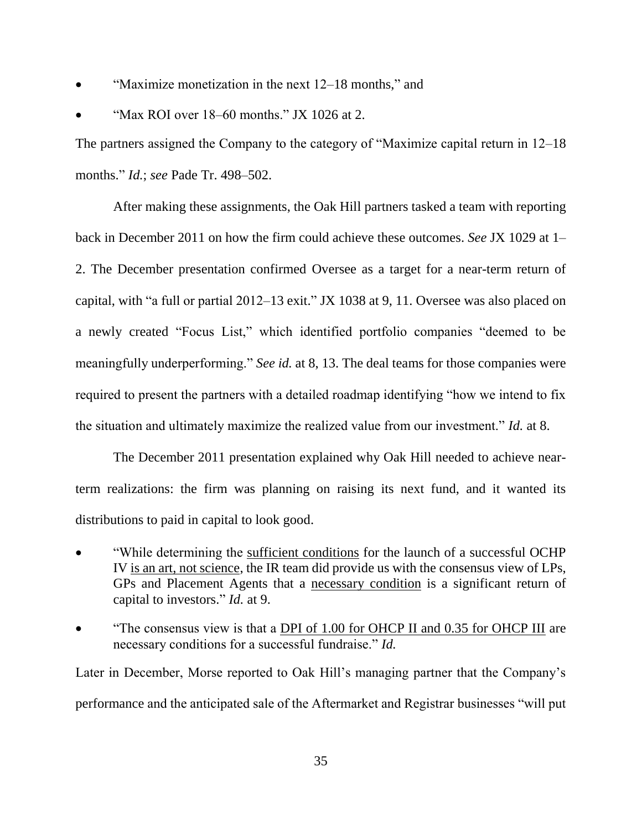- "Maximize monetization in the next 12–18 months," and
- "Max ROI over 18–60 months." JX 1026 at 2.

The partners assigned the Company to the category of "Maximize capital return in 12–18 months." *Id.*; *see* Pade Tr. 498–502.

After making these assignments, the Oak Hill partners tasked a team with reporting back in December 2011 on how the firm could achieve these outcomes. *See* JX 1029 at 1– 2. The December presentation confirmed Oversee as a target for a near-term return of capital, with "a full or partial 2012–13 exit." JX 1038 at 9, 11. Oversee was also placed on a newly created "Focus List," which identified portfolio companies "deemed to be meaningfully underperforming." *See id.* at 8, 13. The deal teams for those companies were required to present the partners with a detailed roadmap identifying "how we intend to fix the situation and ultimately maximize the realized value from our investment." *Id.* at 8.

The December 2011 presentation explained why Oak Hill needed to achieve nearterm realizations: the firm was planning on raising its next fund, and it wanted its distributions to paid in capital to look good.

- "While determining the sufficient conditions for the launch of a successful OCHP IV is an art, not science, the IR team did provide us with the consensus view of LPs, GPs and Placement Agents that a necessary condition is a significant return of capital to investors." *Id.* at 9.
- "The consensus view is that a DPI of 1.00 for OHCP II and 0.35 for OHCP III are necessary conditions for a successful fundraise." *Id.*

Later in December, Morse reported to Oak Hill's managing partner that the Company's performance and the anticipated sale of the Aftermarket and Registrar businesses "will put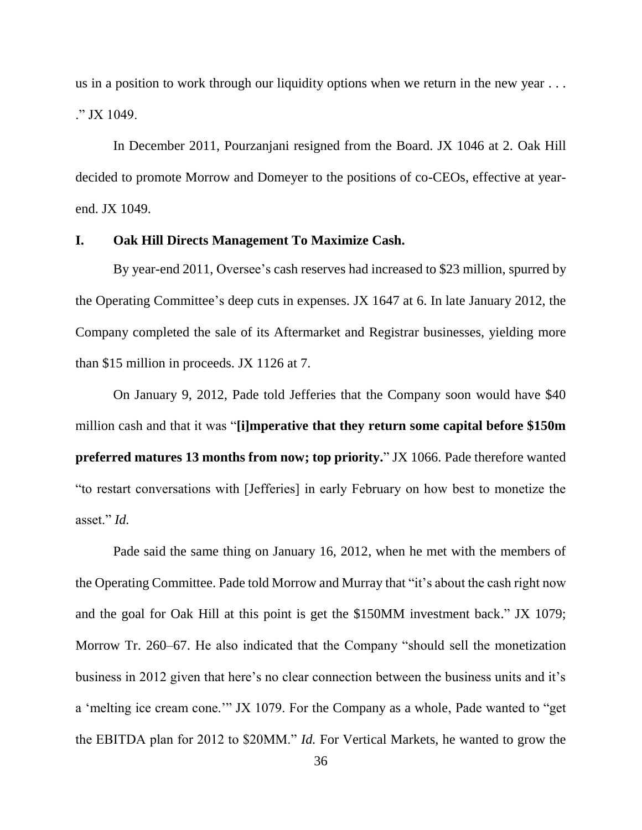us in a position to work through our liquidity options when we return in the new year . . . ." JX 1049.

In December 2011, Pourzanjani resigned from the Board. JX 1046 at 2. Oak Hill decided to promote Morrow and Domeyer to the positions of co-CEOs, effective at yearend. JX 1049.

#### **I. Oak Hill Directs Management To Maximize Cash.**

By year-end 2011, Oversee's cash reserves had increased to \$23 million, spurred by the Operating Committee's deep cuts in expenses. JX 1647 at 6. In late January 2012, the Company completed the sale of its Aftermarket and Registrar businesses, yielding more than \$15 million in proceeds. JX 1126 at 7.

On January 9, 2012, Pade told Jefferies that the Company soon would have \$40 million cash and that it was "**[i]mperative that they return some capital before \$150m preferred matures 13 months from now; top priority.**" JX 1066. Pade therefore wanted "to restart conversations with [Jefferies] in early February on how best to monetize the asset." *Id.*

Pade said the same thing on January 16, 2012, when he met with the members of the Operating Committee. Pade told Morrow and Murray that "it's about the cash right now and the goal for Oak Hill at this point is get the \$150MM investment back." JX 1079; Morrow Tr. 260–67. He also indicated that the Company "should sell the monetization business in 2012 given that here's no clear connection between the business units and it's a 'melting ice cream cone.'" JX 1079. For the Company as a whole, Pade wanted to "get the EBITDA plan for 2012 to \$20MM." *Id.* For Vertical Markets, he wanted to grow the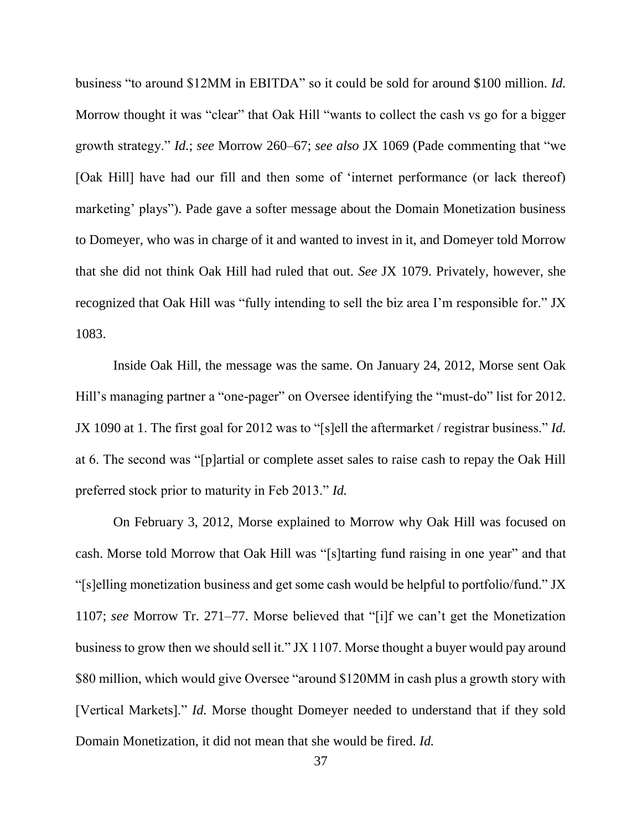business "to around \$12MM in EBITDA" so it could be sold for around \$100 million. *Id.* Morrow thought it was "clear" that Oak Hill "wants to collect the cash vs go for a bigger growth strategy." *Id.*; *see* Morrow 260–67; *see also* JX 1069 (Pade commenting that "we [Oak Hill] have had our fill and then some of 'internet performance (or lack thereof) marketing' plays"). Pade gave a softer message about the Domain Monetization business to Domeyer, who was in charge of it and wanted to invest in it, and Domeyer told Morrow that she did not think Oak Hill had ruled that out. *See* JX 1079. Privately, however, she recognized that Oak Hill was "fully intending to sell the biz area I'm responsible for." JX 1083.

Inside Oak Hill, the message was the same. On January 24, 2012, Morse sent Oak Hill's managing partner a "one-pager" on Oversee identifying the "must-do" list for 2012. JX 1090 at 1. The first goal for 2012 was to "[s]ell the aftermarket / registrar business." *Id.* at 6. The second was "[p]artial or complete asset sales to raise cash to repay the Oak Hill preferred stock prior to maturity in Feb 2013." *Id.*

On February 3, 2012, Morse explained to Morrow why Oak Hill was focused on cash. Morse told Morrow that Oak Hill was "[s]tarting fund raising in one year" and that "[s]elling monetization business and get some cash would be helpful to portfolio/fund." JX 1107; *see* Morrow Tr. 271–77. Morse believed that "[i]f we can't get the Monetization business to grow then we should sell it." JX 1107. Morse thought a buyer would pay around \$80 million, which would give Oversee "around \$120MM in cash plus a growth story with [Vertical Markets]." *Id.* Morse thought Domeyer needed to understand that if they sold Domain Monetization, it did not mean that she would be fired. *Id.*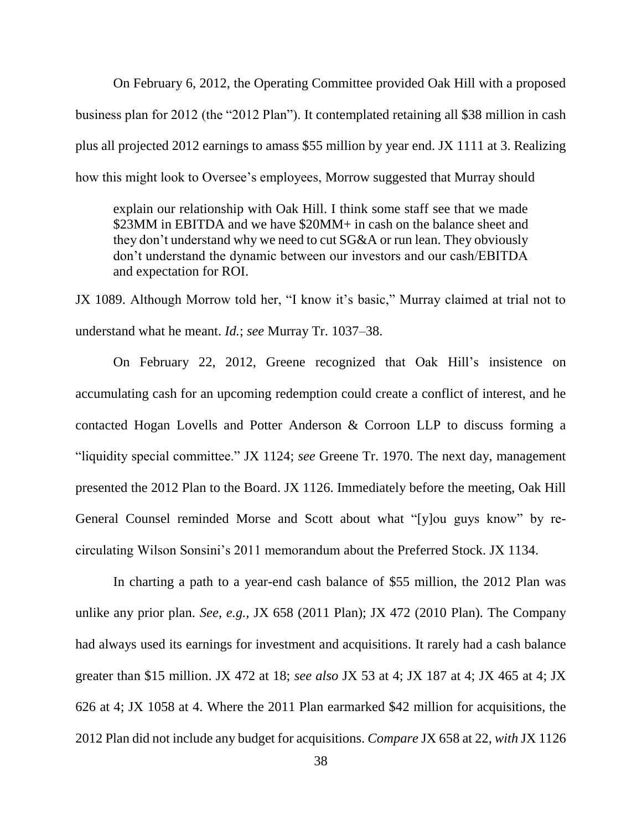On February 6, 2012, the Operating Committee provided Oak Hill with a proposed business plan for 2012 (the "2012 Plan"). It contemplated retaining all \$38 million in cash plus all projected 2012 earnings to amass \$55 million by year end. JX 1111 at 3. Realizing how this might look to Oversee's employees, Morrow suggested that Murray should

explain our relationship with Oak Hill. I think some staff see that we made \$23MM in EBITDA and we have \$20MM+ in cash on the balance sheet and they don't understand why we need to cut SG&A or run lean. They obviously don't understand the dynamic between our investors and our cash/EBITDA and expectation for ROI.

JX 1089. Although Morrow told her, "I know it's basic," Murray claimed at trial not to understand what he meant. *Id.*; *see* Murray Tr. 1037–38.

On February 22, 2012, Greene recognized that Oak Hill's insistence on accumulating cash for an upcoming redemption could create a conflict of interest, and he contacted Hogan Lovells and Potter Anderson & Corroon LLP to discuss forming a "liquidity special committee." JX 1124; *see* Greene Tr. 1970. The next day, management presented the 2012 Plan to the Board. JX 1126. Immediately before the meeting, Oak Hill General Counsel reminded Morse and Scott about what "[y]ou guys know" by recirculating Wilson Sonsini's 2011 memorandum about the Preferred Stock. JX 1134.

In charting a path to a year-end cash balance of \$55 million, the 2012 Plan was unlike any prior plan. *See*, *e.g.,* JX 658 (2011 Plan); JX 472 (2010 Plan). The Company had always used its earnings for investment and acquisitions. It rarely had a cash balance greater than \$15 million. JX 472 at 18; *see also* JX 53 at 4; JX 187 at 4; JX 465 at 4; JX 626 at 4; JX 1058 at 4. Where the 2011 Plan earmarked \$42 million for acquisitions, the 2012 Plan did not include any budget for acquisitions. *Compare* JX 658 at 22, *with* JX 1126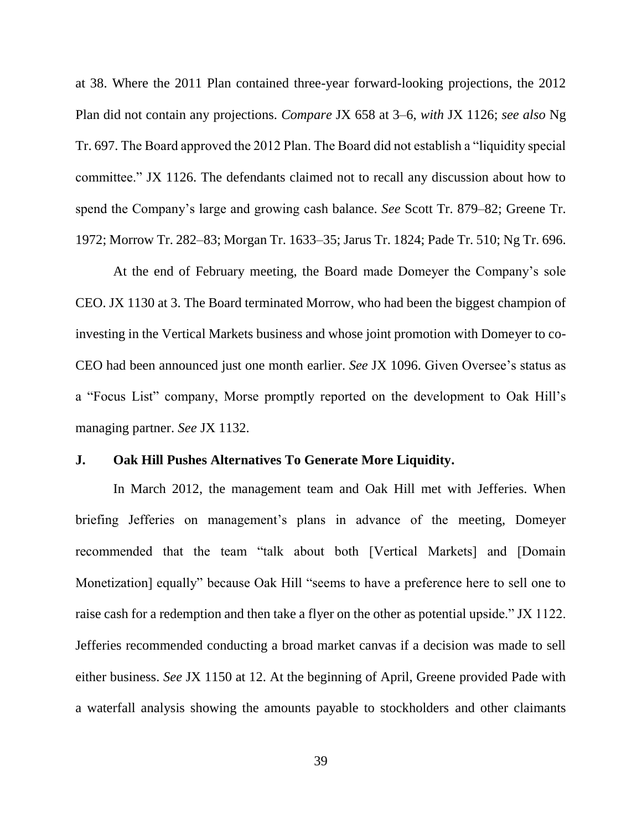at 38. Where the 2011 Plan contained three-year forward-looking projections, the 2012 Plan did not contain any projections. *Compare* JX 658 at 3–6, *with* JX 1126; *see also* Ng Tr. 697. The Board approved the 2012 Plan. The Board did not establish a "liquidity special committee." JX 1126. The defendants claimed not to recall any discussion about how to spend the Company's large and growing cash balance. *See* Scott Tr. 879–82; Greene Tr. 1972; Morrow Tr. 282–83; Morgan Tr. 1633–35; Jarus Tr. 1824; Pade Tr. 510; Ng Tr. 696.

At the end of February meeting, the Board made Domeyer the Company's sole CEO. JX 1130 at 3. The Board terminated Morrow, who had been the biggest champion of investing in the Vertical Markets business and whose joint promotion with Domeyer to co-CEO had been announced just one month earlier. *See* JX 1096. Given Oversee's status as a "Focus List" company, Morse promptly reported on the development to Oak Hill's managing partner. *See* JX 1132.

## **J. Oak Hill Pushes Alternatives To Generate More Liquidity.**

In March 2012, the management team and Oak Hill met with Jefferies. When briefing Jefferies on management's plans in advance of the meeting, Domeyer recommended that the team "talk about both [Vertical Markets] and [Domain Monetization] equally" because Oak Hill "seems to have a preference here to sell one to raise cash for a redemption and then take a flyer on the other as potential upside." JX 1122. Jefferies recommended conducting a broad market canvas if a decision was made to sell either business. *See* JX 1150 at 12. At the beginning of April, Greene provided Pade with a waterfall analysis showing the amounts payable to stockholders and other claimants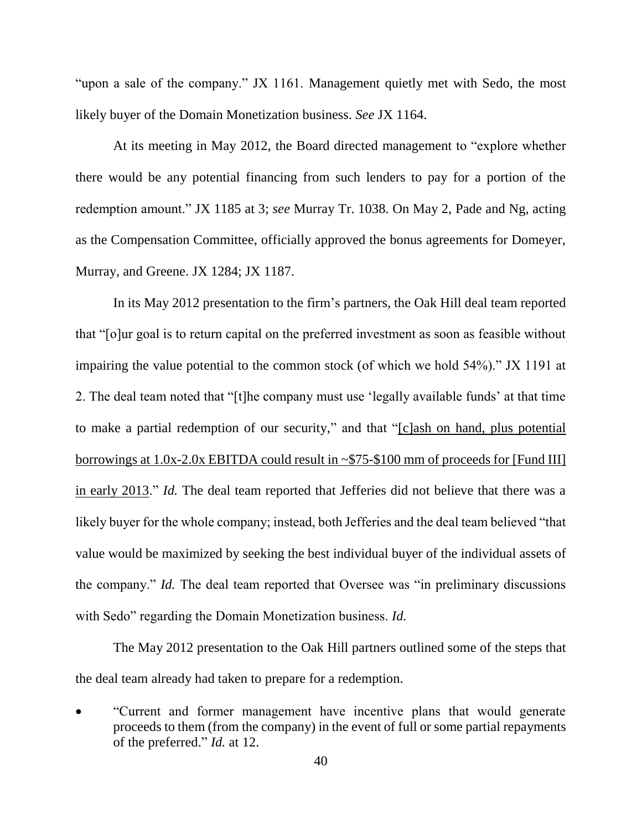"upon a sale of the company." JX 1161. Management quietly met with Sedo, the most likely buyer of the Domain Monetization business. *See* JX 1164.

At its meeting in May 2012, the Board directed management to "explore whether there would be any potential financing from such lenders to pay for a portion of the redemption amount." JX 1185 at 3; *see* Murray Tr. 1038. On May 2, Pade and Ng, acting as the Compensation Committee, officially approved the bonus agreements for Domeyer, Murray, and Greene. JX 1284; JX 1187.

In its May 2012 presentation to the firm's partners, the Oak Hill deal team reported that "[o]ur goal is to return capital on the preferred investment as soon as feasible without impairing the value potential to the common stock (of which we hold 54%)." JX 1191 at 2. The deal team noted that "[t]he company must use 'legally available funds' at that time to make a partial redemption of our security," and that "[c]ash on hand, plus potential borrowings at 1.0x-2.0x EBITDA could result in ~\$75-\$100 mm of proceeds for [Fund III] in early 2013." *Id.* The deal team reported that Jefferies did not believe that there was a likely buyer for the whole company; instead, both Jefferies and the deal team believed "that value would be maximized by seeking the best individual buyer of the individual assets of the company." *Id.* The deal team reported that Oversee was "in preliminary discussions with Sedo" regarding the Domain Monetization business. *Id.* 

The May 2012 presentation to the Oak Hill partners outlined some of the steps that the deal team already had taken to prepare for a redemption.

"Current and former management have incentive plans that would generate proceeds to them (from the company) in the event of full or some partial repayments of the preferred." *Id.* at 12.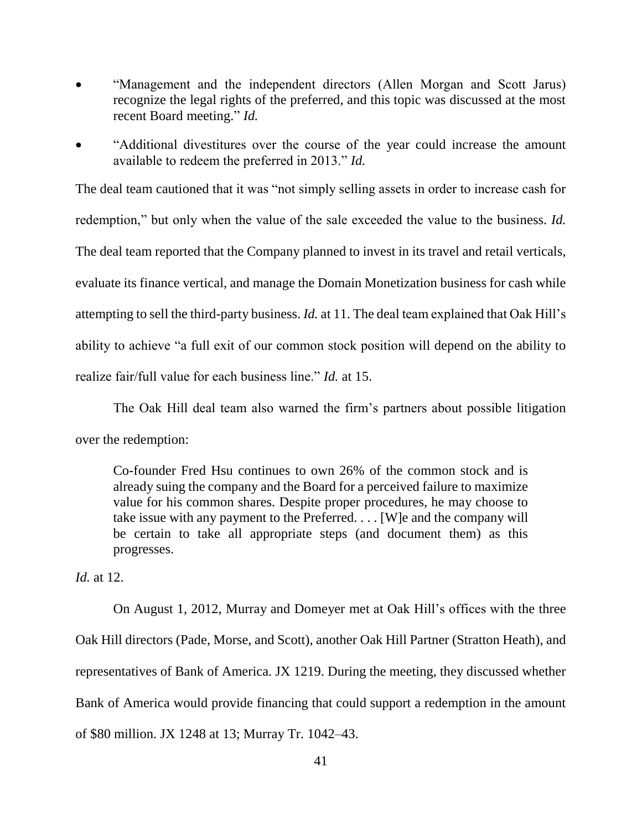- "Management and the independent directors (Allen Morgan and Scott Jarus) recognize the legal rights of the preferred, and this topic was discussed at the most recent Board meeting." *Id.*
- "Additional divestitures over the course of the year could increase the amount available to redeem the preferred in 2013." *Id.*

The deal team cautioned that it was "not simply selling assets in order to increase cash for redemption," but only when the value of the sale exceeded the value to the business. *Id.*  The deal team reported that the Company planned to invest in its travel and retail verticals, evaluate its finance vertical, and manage the Domain Monetization business for cash while attempting to sell the third-party business. *Id.* at 11. The deal team explained that Oak Hill's ability to achieve "a full exit of our common stock position will depend on the ability to realize fair/full value for each business line." *Id.* at 15.

The Oak Hill deal team also warned the firm's partners about possible litigation over the redemption:

Co-founder Fred Hsu continues to own 26% of the common stock and is already suing the company and the Board for a perceived failure to maximize value for his common shares. Despite proper procedures, he may choose to take issue with any payment to the Preferred. . . . [W]e and the company will be certain to take all appropriate steps (and document them) as this progresses.

*Id.* at 12.

On August 1, 2012, Murray and Domeyer met at Oak Hill's offices with the three Oak Hill directors (Pade, Morse, and Scott), another Oak Hill Partner (Stratton Heath), and representatives of Bank of America. JX 1219. During the meeting, they discussed whether Bank of America would provide financing that could support a redemption in the amount of \$80 million. JX 1248 at 13; Murray Tr. 1042–43.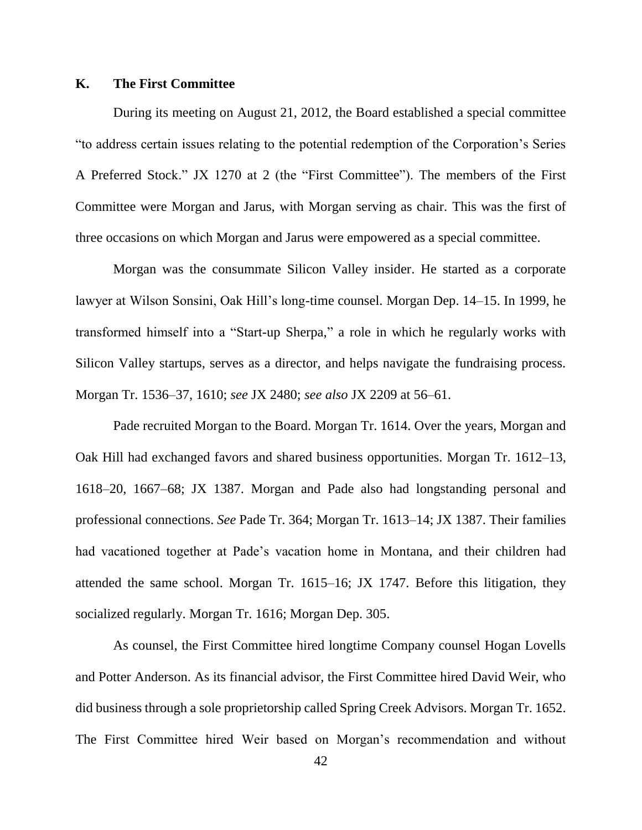## **K. The First Committee**

During its meeting on August 21, 2012, the Board established a special committee "to address certain issues relating to the potential redemption of the Corporation's Series A Preferred Stock." JX 1270 at 2 (the "First Committee"). The members of the First Committee were Morgan and Jarus, with Morgan serving as chair. This was the first of three occasions on which Morgan and Jarus were empowered as a special committee.

Morgan was the consummate Silicon Valley insider. He started as a corporate lawyer at Wilson Sonsini, Oak Hill's long-time counsel. Morgan Dep. 14–15. In 1999, he transformed himself into a "Start-up Sherpa," a role in which he regularly works with Silicon Valley startups, serves as a director, and helps navigate the fundraising process. Morgan Tr. 1536–37, 1610; *see* JX 2480; *see also* JX 2209 at 56–61.

Pade recruited Morgan to the Board. Morgan Tr. 1614. Over the years, Morgan and Oak Hill had exchanged favors and shared business opportunities. Morgan Tr. 1612–13, 1618–20, 1667–68; JX 1387. Morgan and Pade also had longstanding personal and professional connections. *See* Pade Tr. 364; Morgan Tr. 1613–14; JX 1387. Their families had vacationed together at Pade's vacation home in Montana, and their children had attended the same school. Morgan Tr. 1615–16; JX 1747. Before this litigation, they socialized regularly. Morgan Tr. 1616; Morgan Dep. 305.

As counsel, the First Committee hired longtime Company counsel Hogan Lovells and Potter Anderson. As its financial advisor, the First Committee hired David Weir, who did business through a sole proprietorship called Spring Creek Advisors. Morgan Tr. 1652. The First Committee hired Weir based on Morgan's recommendation and without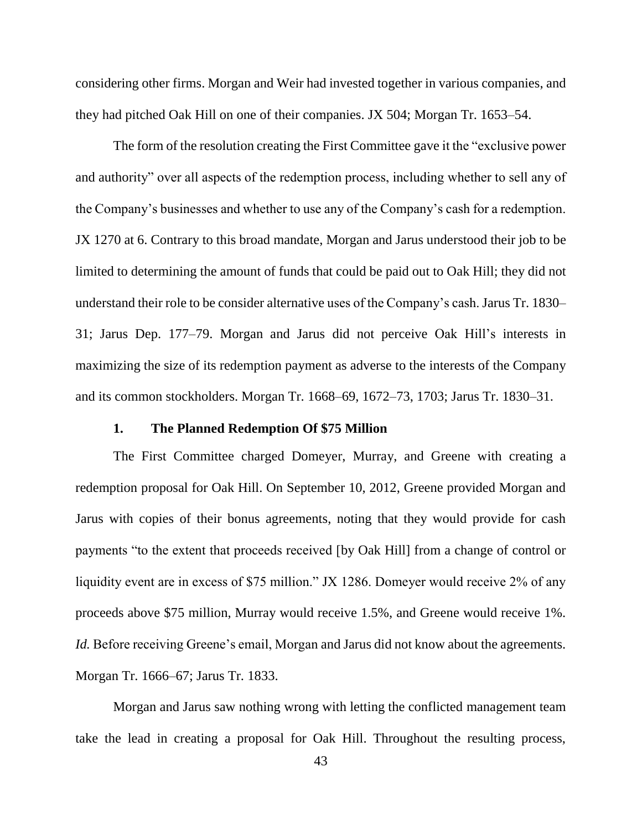considering other firms. Morgan and Weir had invested together in various companies, and they had pitched Oak Hill on one of their companies. JX 504; Morgan Tr. 1653–54.

The form of the resolution creating the First Committee gave it the "exclusive power and authority" over all aspects of the redemption process, including whether to sell any of the Company's businesses and whether to use any of the Company's cash for a redemption. JX 1270 at 6. Contrary to this broad mandate, Morgan and Jarus understood their job to be limited to determining the amount of funds that could be paid out to Oak Hill; they did not understand their role to be consider alternative uses of the Company's cash. Jarus Tr. 1830– 31; Jarus Dep. 177–79. Morgan and Jarus did not perceive Oak Hill's interests in maximizing the size of its redemption payment as adverse to the interests of the Company and its common stockholders. Morgan Tr. 1668–69, 1672–73, 1703; Jarus Tr. 1830–31.

# **1. The Planned Redemption Of \$75 Million**

The First Committee charged Domeyer, Murray, and Greene with creating a redemption proposal for Oak Hill. On September 10, 2012, Greene provided Morgan and Jarus with copies of their bonus agreements, noting that they would provide for cash payments "to the extent that proceeds received [by Oak Hill] from a change of control or liquidity event are in excess of \$75 million." JX 1286. Domeyer would receive 2% of any proceeds above \$75 million, Murray would receive 1.5%, and Greene would receive 1%. *Id.* Before receiving Greene's email, Morgan and Jarus did not know about the agreements. Morgan Tr. 1666–67; Jarus Tr. 1833.

Morgan and Jarus saw nothing wrong with letting the conflicted management team take the lead in creating a proposal for Oak Hill. Throughout the resulting process,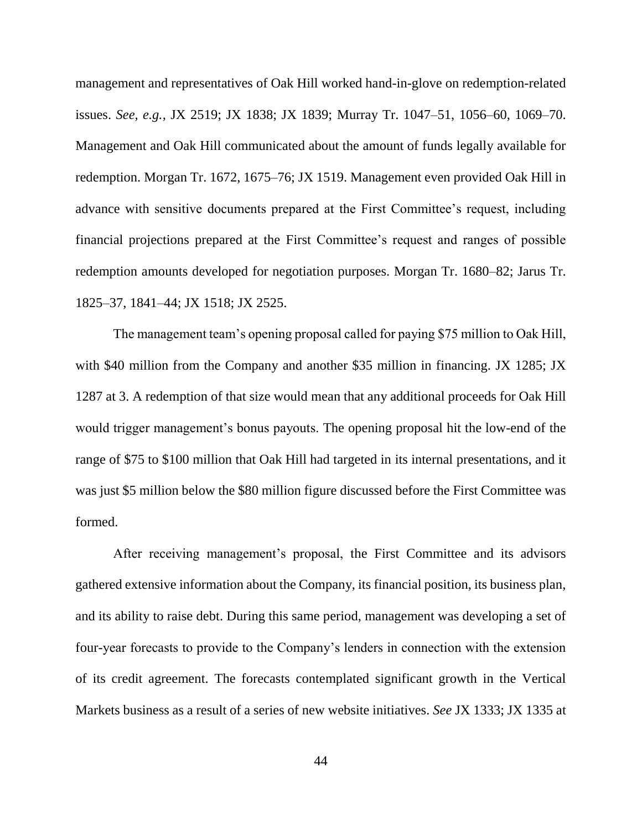management and representatives of Oak Hill worked hand-in-glove on redemption-related issues. *See, e.g.,* JX 2519; JX 1838; JX 1839; Murray Tr. 1047–51, 1056–60, 1069–70. Management and Oak Hill communicated about the amount of funds legally available for redemption. Morgan Tr. 1672, 1675–76; JX 1519. Management even provided Oak Hill in advance with sensitive documents prepared at the First Committee's request, including financial projections prepared at the First Committee's request and ranges of possible redemption amounts developed for negotiation purposes. Morgan Tr. 1680–82; Jarus Tr. 1825–37, 1841–44; JX 1518; JX 2525.

The management team's opening proposal called for paying \$75 million to Oak Hill, with \$40 million from the Company and another \$35 million in financing. JX 1285; JX 1287 at 3. A redemption of that size would mean that any additional proceeds for Oak Hill would trigger management's bonus payouts. The opening proposal hit the low-end of the range of \$75 to \$100 million that Oak Hill had targeted in its internal presentations, and it was just \$5 million below the \$80 million figure discussed before the First Committee was formed.

After receiving management's proposal, the First Committee and its advisors gathered extensive information about the Company, its financial position, its business plan, and its ability to raise debt. During this same period, management was developing a set of four-year forecasts to provide to the Company's lenders in connection with the extension of its credit agreement. The forecasts contemplated significant growth in the Vertical Markets business as a result of a series of new website initiatives. *See* JX 1333; JX 1335 at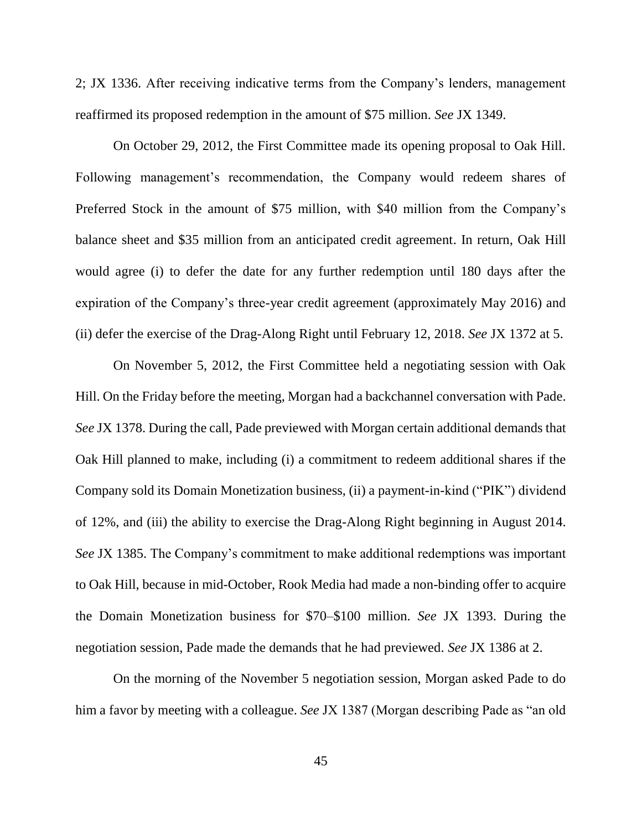2; JX 1336. After receiving indicative terms from the Company's lenders, management reaffirmed its proposed redemption in the amount of \$75 million. *See* JX 1349.

On October 29, 2012, the First Committee made its opening proposal to Oak Hill. Following management's recommendation, the Company would redeem shares of Preferred Stock in the amount of \$75 million, with \$40 million from the Company's balance sheet and \$35 million from an anticipated credit agreement. In return, Oak Hill would agree (i) to defer the date for any further redemption until 180 days after the expiration of the Company's three-year credit agreement (approximately May 2016) and (ii) defer the exercise of the Drag-Along Right until February 12, 2018. *See* JX 1372 at 5.

On November 5, 2012, the First Committee held a negotiating session with Oak Hill. On the Friday before the meeting, Morgan had a backchannel conversation with Pade. *See* JX 1378. During the call, Pade previewed with Morgan certain additional demands that Oak Hill planned to make, including (i) a commitment to redeem additional shares if the Company sold its Domain Monetization business, (ii) a payment-in-kind ("PIK") dividend of 12%, and (iii) the ability to exercise the Drag-Along Right beginning in August 2014. *See* JX 1385. The Company's commitment to make additional redemptions was important to Oak Hill, because in mid-October, Rook Media had made a non-binding offer to acquire the Domain Monetization business for \$70–\$100 million. *See* JX 1393. During the negotiation session, Pade made the demands that he had previewed. *See* JX 1386 at 2.

On the morning of the November 5 negotiation session, Morgan asked Pade to do him a favor by meeting with a colleague. *See* JX 1387 (Morgan describing Pade as "an old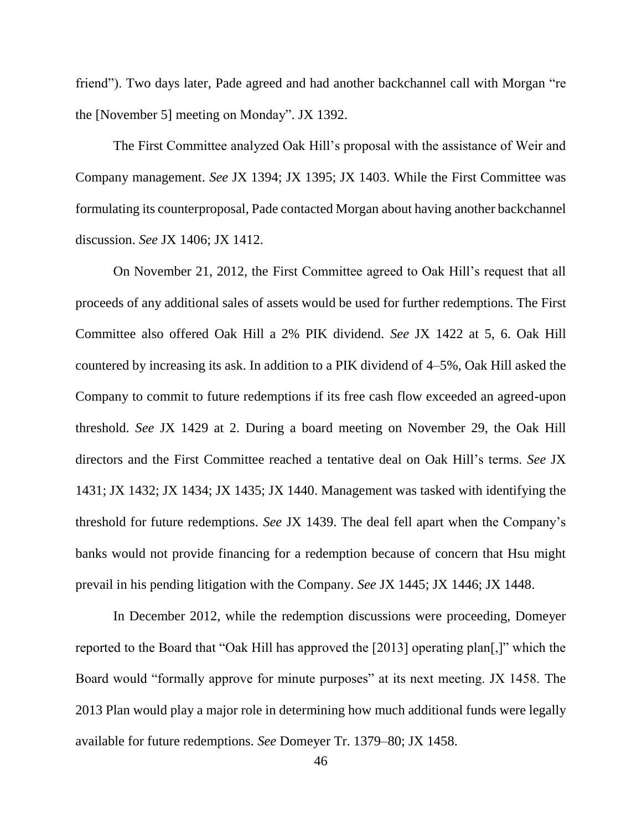friend"). Two days later, Pade agreed and had another backchannel call with Morgan "re the [November 5] meeting on Monday". JX 1392.

The First Committee analyzed Oak Hill's proposal with the assistance of Weir and Company management. *See* JX 1394; JX 1395; JX 1403. While the First Committee was formulating its counterproposal, Pade contacted Morgan about having another backchannel discussion. *See* JX 1406; JX 1412.

On November 21, 2012, the First Committee agreed to Oak Hill's request that all proceeds of any additional sales of assets would be used for further redemptions. The First Committee also offered Oak Hill a 2% PIK dividend. *See* JX 1422 at 5, 6. Oak Hill countered by increasing its ask. In addition to a PIK dividend of 4–5%, Oak Hill asked the Company to commit to future redemptions if its free cash flow exceeded an agreed-upon threshold. *See* JX 1429 at 2. During a board meeting on November 29, the Oak Hill directors and the First Committee reached a tentative deal on Oak Hill's terms. *See* JX 1431; JX 1432; JX 1434; JX 1435; JX 1440. Management was tasked with identifying the threshold for future redemptions. *See* JX 1439. The deal fell apart when the Company's banks would not provide financing for a redemption because of concern that Hsu might prevail in his pending litigation with the Company. *See* JX 1445; JX 1446; JX 1448.

In December 2012, while the redemption discussions were proceeding, Domeyer reported to the Board that "Oak Hill has approved the [2013] operating plan[,]" which the Board would "formally approve for minute purposes" at its next meeting. JX 1458. The 2013 Plan would play a major role in determining how much additional funds were legally available for future redemptions. *See* Domeyer Tr. 1379–80; JX 1458.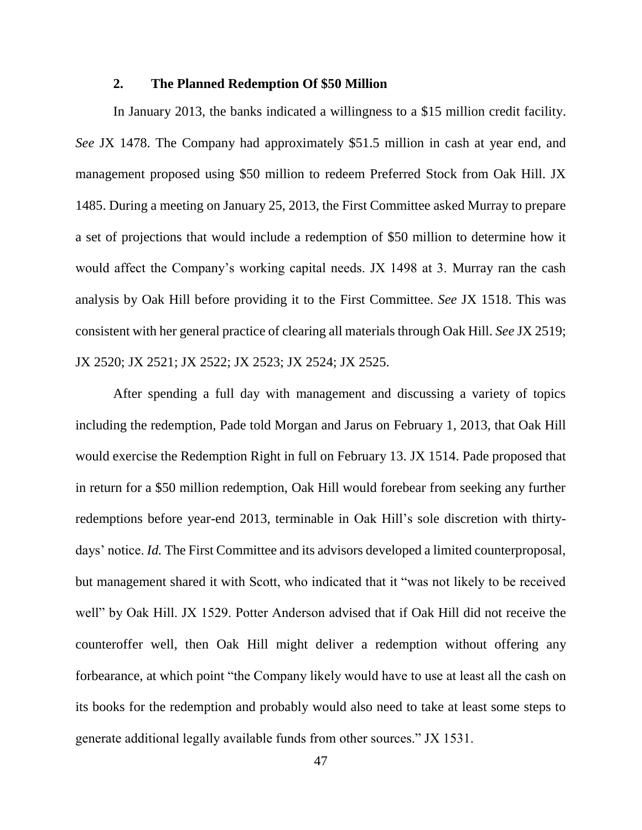## **2. The Planned Redemption Of \$50 Million**

In January 2013, the banks indicated a willingness to a \$15 million credit facility. *See* JX 1478. The Company had approximately \$51.5 million in cash at year end, and management proposed using \$50 million to redeem Preferred Stock from Oak Hill. JX 1485. During a meeting on January 25, 2013, the First Committee asked Murray to prepare a set of projections that would include a redemption of \$50 million to determine how it would affect the Company's working capital needs. JX 1498 at 3. Murray ran the cash analysis by Oak Hill before providing it to the First Committee. *See* JX 1518. This was consistent with her general practice of clearing all materials through Oak Hill. *See* JX 2519; JX 2520; JX 2521; JX 2522; JX 2523; JX 2524; JX 2525.

After spending a full day with management and discussing a variety of topics including the redemption, Pade told Morgan and Jarus on February 1, 2013, that Oak Hill would exercise the Redemption Right in full on February 13. JX 1514. Pade proposed that in return for a \$50 million redemption, Oak Hill would forebear from seeking any further redemptions before year-end 2013, terminable in Oak Hill's sole discretion with thirtydays' notice. *Id.* The First Committee and its advisors developed a limited counterproposal, but management shared it with Scott, who indicated that it "was not likely to be received well" by Oak Hill. JX 1529. Potter Anderson advised that if Oak Hill did not receive the counteroffer well, then Oak Hill might deliver a redemption without offering any forbearance, at which point "the Company likely would have to use at least all the cash on its books for the redemption and probably would also need to take at least some steps to generate additional legally available funds from other sources." JX 1531.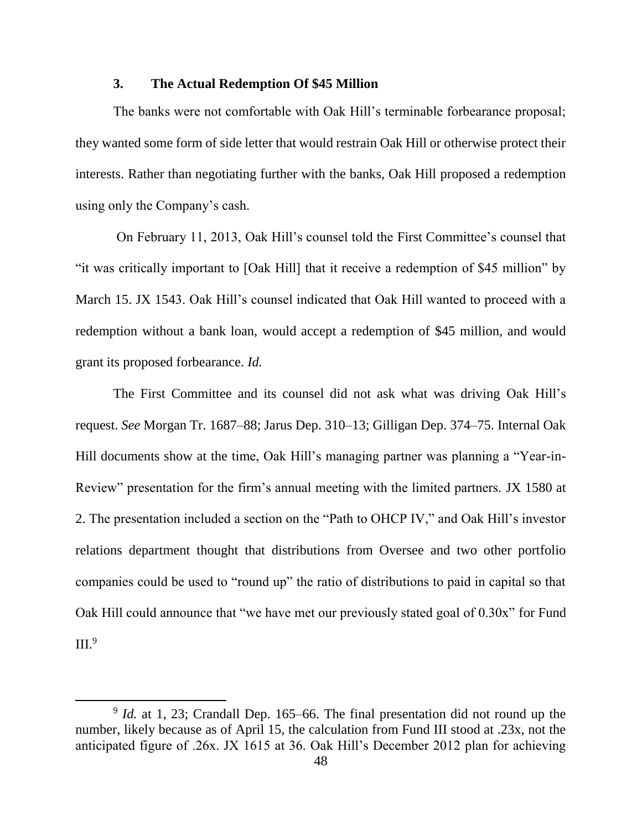## **3. The Actual Redemption Of \$45 Million**

The banks were not comfortable with Oak Hill's terminable forbearance proposal; they wanted some form of side letter that would restrain Oak Hill or otherwise protect their interests. Rather than negotiating further with the banks, Oak Hill proposed a redemption using only the Company's cash.

On February 11, 2013, Oak Hill's counsel told the First Committee's counsel that "it was critically important to [Oak Hill] that it receive a redemption of \$45 million" by March 15. JX 1543. Oak Hill's counsel indicated that Oak Hill wanted to proceed with a redemption without a bank loan, would accept a redemption of \$45 million, and would grant its proposed forbearance. *Id.* 

The First Committee and its counsel did not ask what was driving Oak Hill's request. *See* Morgan Tr. 1687–88; Jarus Dep. 310–13; Gilligan Dep. 374–75. Internal Oak Hill documents show at the time, Oak Hill's managing partner was planning a "Year-in-Review" presentation for the firm's annual meeting with the limited partners. JX 1580 at 2. The presentation included a section on the "Path to OHCP IV," and Oak Hill's investor relations department thought that distributions from Oversee and two other portfolio companies could be used to "round up" the ratio of distributions to paid in capital so that Oak Hill could announce that "we have met our previously stated goal of 0.30x" for Fund  $III.<sup>9</sup>$ 

 $\overline{a}$ 

<sup>&</sup>lt;sup>9</sup> *Id.* at 1, 23; Crandall Dep. 165–66. The final presentation did not round up the number, likely because as of April 15, the calculation from Fund III stood at .23x, not the anticipated figure of .26x. JX 1615 at 36. Oak Hill's December 2012 plan for achieving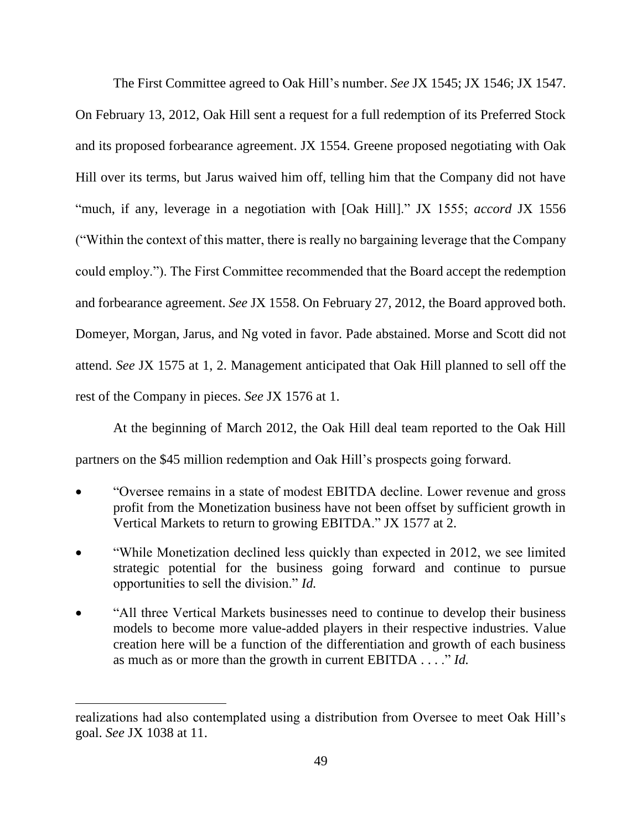The First Committee agreed to Oak Hill's number. *See* JX 1545; JX 1546; JX 1547. On February 13, 2012, Oak Hill sent a request for a full redemption of its Preferred Stock and its proposed forbearance agreement. JX 1554. Greene proposed negotiating with Oak Hill over its terms, but Jarus waived him off, telling him that the Company did not have "much, if any, leverage in a negotiation with [Oak Hill]." JX 1555; *accord* JX 1556 ("Within the context of this matter, there is really no bargaining leverage that the Company could employ."). The First Committee recommended that the Board accept the redemption and forbearance agreement. *See* JX 1558. On February 27, 2012, the Board approved both. Domeyer, Morgan, Jarus, and Ng voted in favor. Pade abstained. Morse and Scott did not attend. *See* JX 1575 at 1, 2. Management anticipated that Oak Hill planned to sell off the rest of the Company in pieces. *See* JX 1576 at 1.

At the beginning of March 2012, the Oak Hill deal team reported to the Oak Hill partners on the \$45 million redemption and Oak Hill's prospects going forward.

- "Oversee remains in a state of modest EBITDA decline. Lower revenue and gross profit from the Monetization business have not been offset by sufficient growth in Vertical Markets to return to growing EBITDA." JX 1577 at 2.
- "While Monetization declined less quickly than expected in 2012, we see limited strategic potential for the business going forward and continue to pursue opportunities to sell the division." *Id.*
- "All three Vertical Markets businesses need to continue to develop their business models to become more value-added players in their respective industries. Value creation here will be a function of the differentiation and growth of each business as much as or more than the growth in current EBITDA . . . ." *Id.*

 $\overline{a}$ 

realizations had also contemplated using a distribution from Oversee to meet Oak Hill's goal. *See* JX 1038 at 11.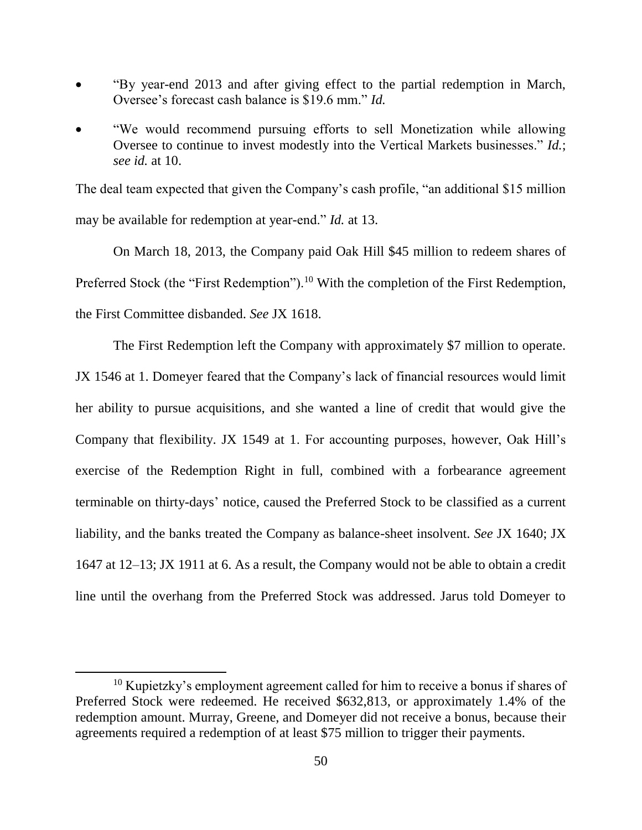- "By year-end 2013 and after giving effect to the partial redemption in March, Oversee's forecast cash balance is \$19.6 mm." *Id.*
- "We would recommend pursuing efforts to sell Monetization while allowing Oversee to continue to invest modestly into the Vertical Markets businesses." *Id.*; *see id.* at 10.

The deal team expected that given the Company's cash profile, "an additional \$15 million may be available for redemption at year-end." *Id.* at 13.

On March 18, 2013, the Company paid Oak Hill \$45 million to redeem shares of Preferred Stock (the "First Redemption").<sup>10</sup> With the completion of the First Redemption, the First Committee disbanded. *See* JX 1618.

The First Redemption left the Company with approximately \$7 million to operate. JX 1546 at 1. Domeyer feared that the Company's lack of financial resources would limit her ability to pursue acquisitions, and she wanted a line of credit that would give the Company that flexibility. JX 1549 at 1. For accounting purposes, however, Oak Hill's exercise of the Redemption Right in full, combined with a forbearance agreement terminable on thirty-days' notice, caused the Preferred Stock to be classified as a current liability, and the banks treated the Company as balance-sheet insolvent. *See* JX 1640; JX 1647 at 12–13; JX 1911 at 6. As a result, the Company would not be able to obtain a credit line until the overhang from the Preferred Stock was addressed. Jarus told Domeyer to

l

<sup>&</sup>lt;sup>10</sup> Kupietzky's employment agreement called for him to receive a bonus if shares of Preferred Stock were redeemed. He received \$632,813, or approximately 1.4% of the redemption amount. Murray, Greene, and Domeyer did not receive a bonus, because their agreements required a redemption of at least \$75 million to trigger their payments.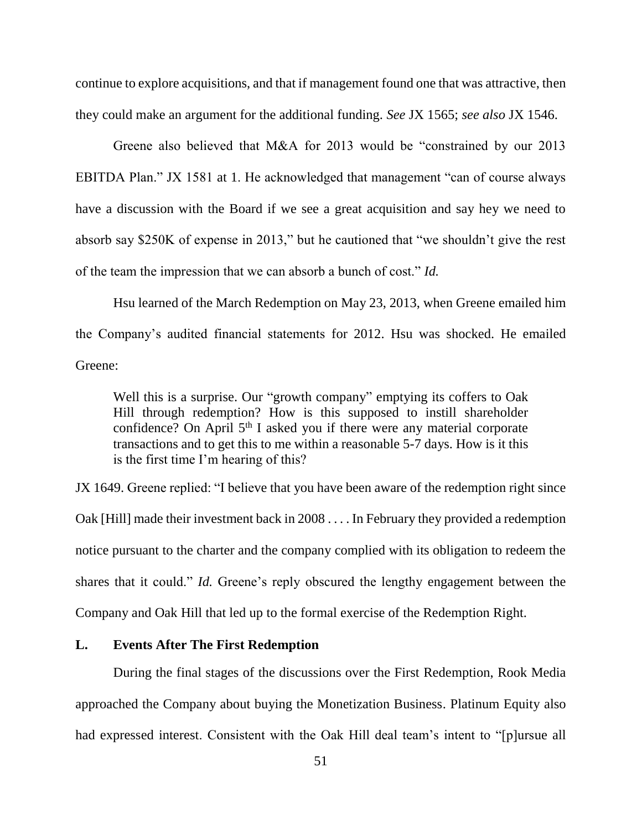continue to explore acquisitions, and that if management found one that was attractive, then they could make an argument for the additional funding. *See* JX 1565; *see also* JX 1546.

Greene also believed that M&A for 2013 would be "constrained by our 2013 EBITDA Plan." JX 1581 at 1. He acknowledged that management "can of course always have a discussion with the Board if we see a great acquisition and say hey we need to absorb say \$250K of expense in 2013," but he cautioned that "we shouldn't give the rest of the team the impression that we can absorb a bunch of cost." *Id.*

Hsu learned of the March Redemption on May 23, 2013, when Greene emailed him the Company's audited financial statements for 2012. Hsu was shocked. He emailed Greene:

Well this is a surprise. Our "growth company" emptying its coffers to Oak Hill through redemption? How is this supposed to instill shareholder confidence? On April 5<sup>th</sup> I asked you if there were any material corporate transactions and to get this to me within a reasonable 5-7 days. How is it this is the first time I'm hearing of this?

JX 1649. Greene replied: "I believe that you have been aware of the redemption right since Oak [Hill] made their investment back in 2008 . . . . In February they provided a redemption notice pursuant to the charter and the company complied with its obligation to redeem the shares that it could." *Id.* Greene's reply obscured the lengthy engagement between the Company and Oak Hill that led up to the formal exercise of the Redemption Right.

### **L. Events After The First Redemption**

During the final stages of the discussions over the First Redemption, Rook Media approached the Company about buying the Monetization Business. Platinum Equity also had expressed interest. Consistent with the Oak Hill deal team's intent to "[p]ursue all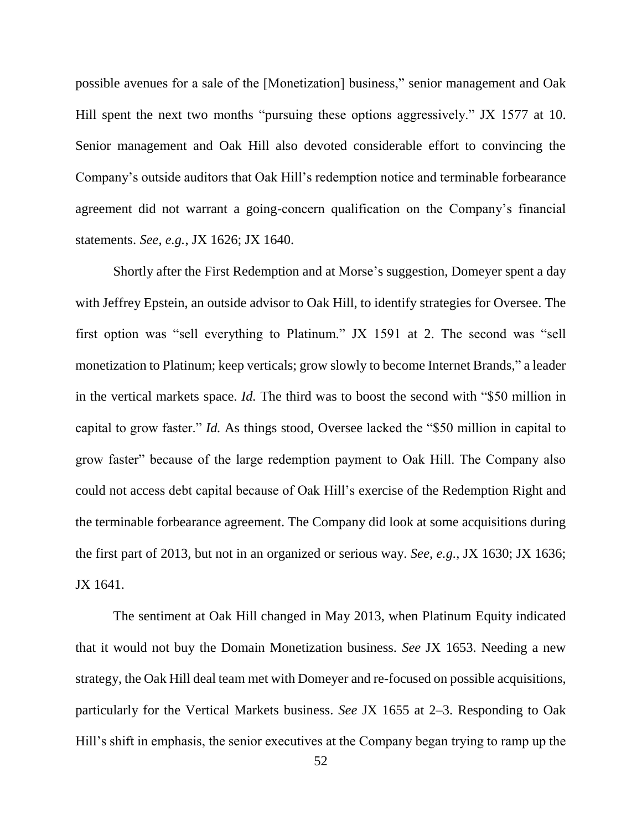possible avenues for a sale of the [Monetization] business," senior management and Oak Hill spent the next two months "pursuing these options aggressively." JX 1577 at 10. Senior management and Oak Hill also devoted considerable effort to convincing the Company's outside auditors that Oak Hill's redemption notice and terminable forbearance agreement did not warrant a going-concern qualification on the Company's financial statements. *See, e.g.*, JX 1626; JX 1640.

Shortly after the First Redemption and at Morse's suggestion, Domeyer spent a day with Jeffrey Epstein, an outside advisor to Oak Hill, to identify strategies for Oversee. The first option was "sell everything to Platinum." JX 1591 at 2. The second was "sell monetization to Platinum; keep verticals; grow slowly to become Internet Brands," a leader in the vertical markets space. *Id.* The third was to boost the second with "\$50 million in capital to grow faster." *Id.* As things stood, Oversee lacked the "\$50 million in capital to grow faster" because of the large redemption payment to Oak Hill. The Company also could not access debt capital because of Oak Hill's exercise of the Redemption Right and the terminable forbearance agreement. The Company did look at some acquisitions during the first part of 2013, but not in an organized or serious way. *See, e.g.*, JX 1630; JX 1636; JX 1641.

The sentiment at Oak Hill changed in May 2013, when Platinum Equity indicated that it would not buy the Domain Monetization business. *See* JX 1653. Needing a new strategy, the Oak Hill deal team met with Domeyer and re-focused on possible acquisitions, particularly for the Vertical Markets business. *See* JX 1655 at 2–3. Responding to Oak Hill's shift in emphasis, the senior executives at the Company began trying to ramp up the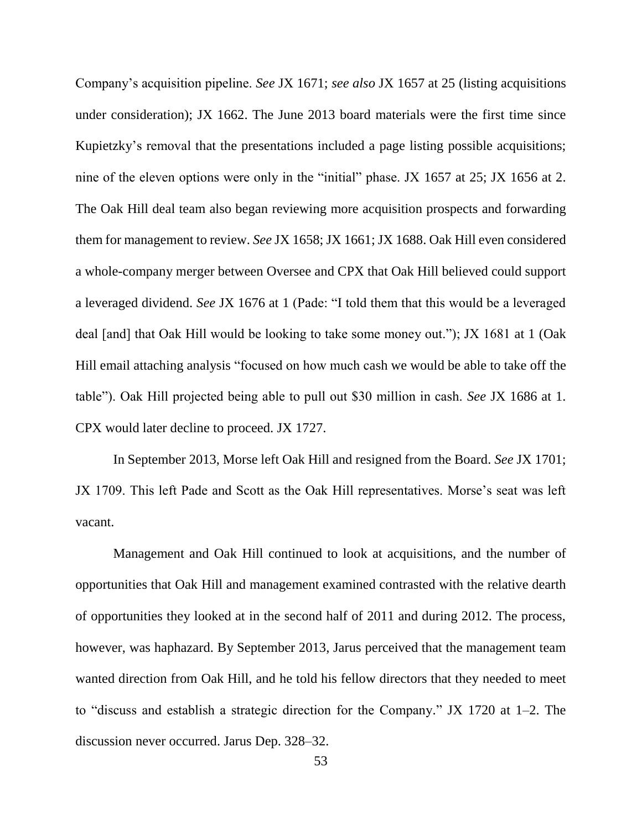Company's acquisition pipeline. *See* JX 1671; *see also* JX 1657 at 25 (listing acquisitions under consideration); JX 1662. The June 2013 board materials were the first time since Kupietzky's removal that the presentations included a page listing possible acquisitions; nine of the eleven options were only in the "initial" phase. JX 1657 at 25; JX 1656 at 2. The Oak Hill deal team also began reviewing more acquisition prospects and forwarding them for management to review. *See* JX 1658; JX 1661; JX 1688. Oak Hill even considered a whole-company merger between Oversee and CPX that Oak Hill believed could support a leveraged dividend. *See* JX 1676 at 1 (Pade: "I told them that this would be a leveraged deal [and] that Oak Hill would be looking to take some money out."); JX 1681 at 1 (Oak Hill email attaching analysis "focused on how much cash we would be able to take off the table"). Oak Hill projected being able to pull out \$30 million in cash. *See* JX 1686 at 1. CPX would later decline to proceed. JX 1727.

In September 2013, Morse left Oak Hill and resigned from the Board. *See* JX 1701; JX 1709. This left Pade and Scott as the Oak Hill representatives. Morse's seat was left vacant.

Management and Oak Hill continued to look at acquisitions, and the number of opportunities that Oak Hill and management examined contrasted with the relative dearth of opportunities they looked at in the second half of 2011 and during 2012. The process, however, was haphazard. By September 2013, Jarus perceived that the management team wanted direction from Oak Hill, and he told his fellow directors that they needed to meet to "discuss and establish a strategic direction for the Company." JX 1720 at 1–2. The discussion never occurred. Jarus Dep. 328–32.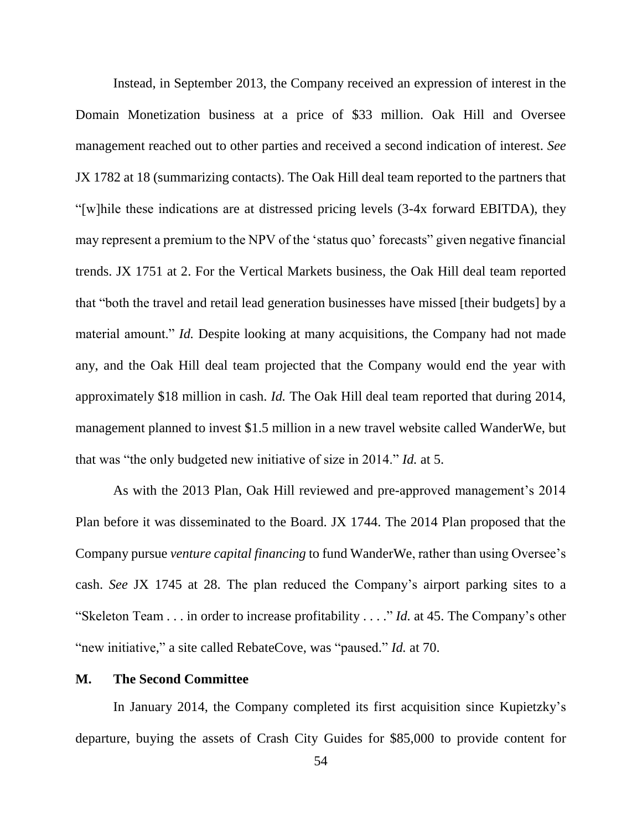Instead, in September 2013, the Company received an expression of interest in the Domain Monetization business at a price of \$33 million. Oak Hill and Oversee management reached out to other parties and received a second indication of interest. *See*  JX 1782 at 18 (summarizing contacts). The Oak Hill deal team reported to the partners that "[w]hile these indications are at distressed pricing levels (3-4x forward EBITDA), they may represent a premium to the NPV of the 'status quo' forecasts" given negative financial trends. JX 1751 at 2. For the Vertical Markets business, the Oak Hill deal team reported that "both the travel and retail lead generation businesses have missed [their budgets] by a material amount." *Id.* Despite looking at many acquisitions, the Company had not made any, and the Oak Hill deal team projected that the Company would end the year with approximately \$18 million in cash. *Id.* The Oak Hill deal team reported that during 2014, management planned to invest \$1.5 million in a new travel website called WanderWe, but that was "the only budgeted new initiative of size in 2014." *Id.* at 5.

As with the 2013 Plan, Oak Hill reviewed and pre-approved management's 2014 Plan before it was disseminated to the Board. JX 1744. The 2014 Plan proposed that the Company pursue *venture capital financing* to fund WanderWe, rather than using Oversee's cash. *See* JX 1745 at 28. The plan reduced the Company's airport parking sites to a "Skeleton Team . . . in order to increase profitability . . . ." *Id.* at 45. The Company's other "new initiative," a site called RebateCove, was "paused." *Id.* at 70.

## **M. The Second Committee**

In January 2014, the Company completed its first acquisition since Kupietzky's departure, buying the assets of Crash City Guides for \$85,000 to provide content for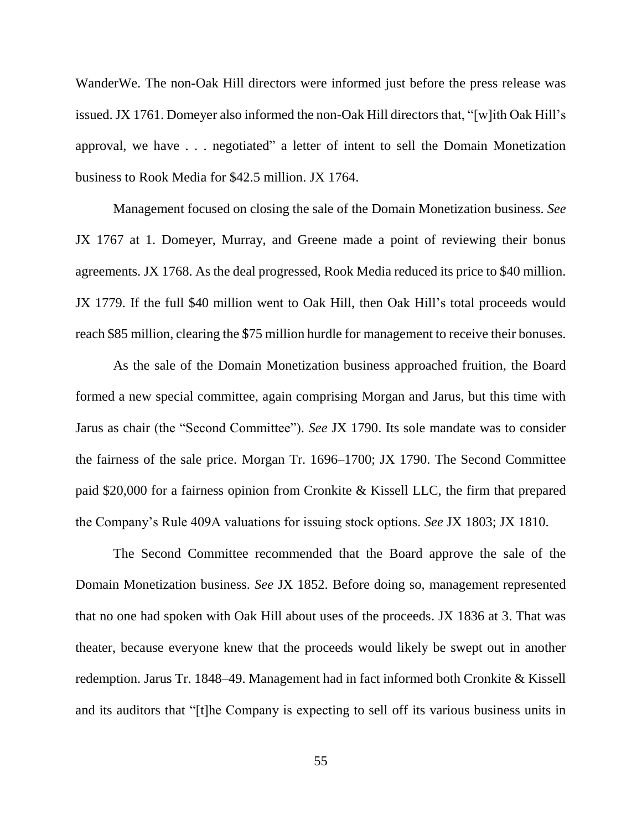WanderWe. The non-Oak Hill directors were informed just before the press release was issued. JX 1761. Domeyer also informed the non-Oak Hill directors that, "[w]ith Oak Hill's approval, we have . . . negotiated" a letter of intent to sell the Domain Monetization business to Rook Media for \$42.5 million. JX 1764.

Management focused on closing the sale of the Domain Monetization business. *See*  JX 1767 at 1. Domeyer, Murray, and Greene made a point of reviewing their bonus agreements. JX 1768. As the deal progressed, Rook Media reduced its price to \$40 million. JX 1779. If the full \$40 million went to Oak Hill, then Oak Hill's total proceeds would reach \$85 million, clearing the \$75 million hurdle for management to receive their bonuses.

As the sale of the Domain Monetization business approached fruition, the Board formed a new special committee, again comprising Morgan and Jarus, but this time with Jarus as chair (the "Second Committee"). *See* JX 1790. Its sole mandate was to consider the fairness of the sale price. Morgan Tr. 1696–1700; JX 1790. The Second Committee paid \$20,000 for a fairness opinion from Cronkite & Kissell LLC, the firm that prepared the Company's Rule 409A valuations for issuing stock options. *See* JX 1803; JX 1810.

The Second Committee recommended that the Board approve the sale of the Domain Monetization business. *See* JX 1852. Before doing so, management represented that no one had spoken with Oak Hill about uses of the proceeds. JX 1836 at 3. That was theater, because everyone knew that the proceeds would likely be swept out in another redemption. Jarus Tr. 1848–49. Management had in fact informed both Cronkite & Kissell and its auditors that "[t]he Company is expecting to sell off its various business units in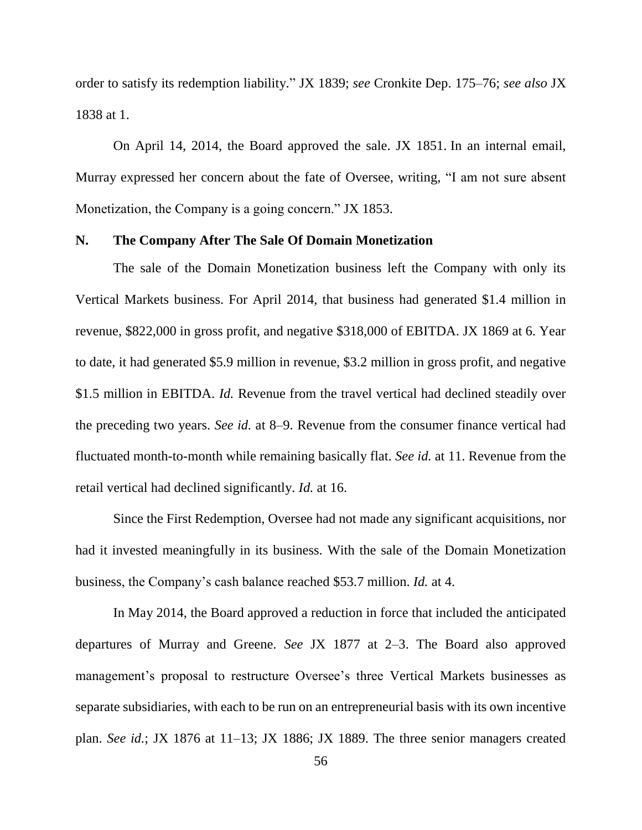order to satisfy its redemption liability." JX 1839; *see* Cronkite Dep. 175–76; *see also* JX 1838 at 1.

On April 14, 2014, the Board approved the sale. JX 1851. In an internal email, Murray expressed her concern about the fate of Oversee, writing, "I am not sure absent Monetization, the Company is a going concern." JX 1853.

#### **N. The Company After The Sale Of Domain Monetization**

The sale of the Domain Monetization business left the Company with only its Vertical Markets business. For April 2014, that business had generated \$1.4 million in revenue, \$822,000 in gross profit, and negative \$318,000 of EBITDA. JX 1869 at 6. Year to date, it had generated \$5.9 million in revenue, \$3.2 million in gross profit, and negative \$1.5 million in EBITDA. *Id.* Revenue from the travel vertical had declined steadily over the preceding two years. *See id.* at 8–9. Revenue from the consumer finance vertical had fluctuated month-to-month while remaining basically flat. *See id.* at 11. Revenue from the retail vertical had declined significantly. *Id.* at 16.

Since the First Redemption, Oversee had not made any significant acquisitions, nor had it invested meaningfully in its business. With the sale of the Domain Monetization business, the Company's cash balance reached \$53.7 million. *Id.* at 4.

In May 2014, the Board approved a reduction in force that included the anticipated departures of Murray and Greene. *See* JX 1877 at 2–3. The Board also approved management's proposal to restructure Oversee's three Vertical Markets businesses as separate subsidiaries, with each to be run on an entrepreneurial basis with its own incentive plan. *See id.*; JX 1876 at 11–13; JX 1886; JX 1889. The three senior managers created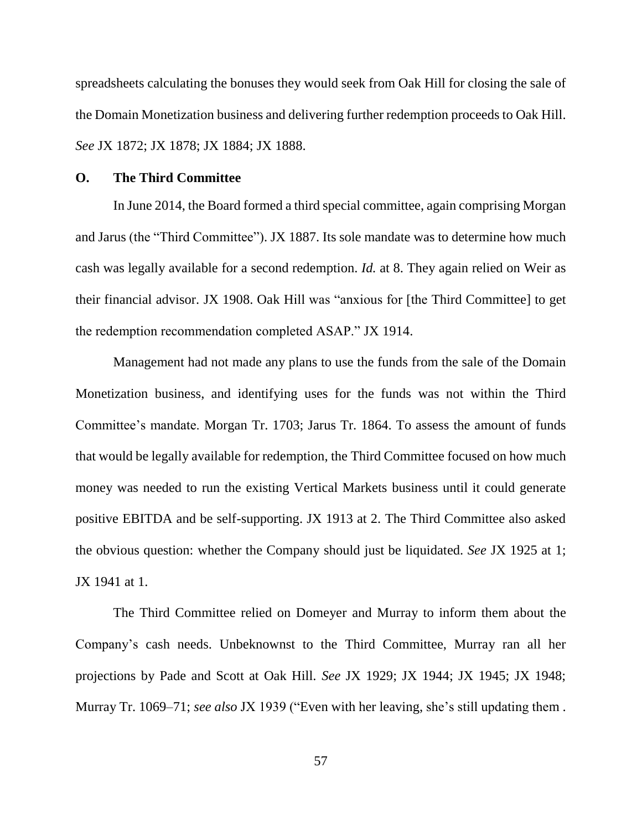spreadsheets calculating the bonuses they would seek from Oak Hill for closing the sale of the Domain Monetization business and delivering further redemption proceeds to Oak Hill. *See* JX 1872; JX 1878; JX 1884; JX 1888.

### **O. The Third Committee**

In June 2014, the Board formed a third special committee, again comprising Morgan and Jarus (the "Third Committee"). JX 1887. Its sole mandate was to determine how much cash was legally available for a second redemption. *Id.* at 8. They again relied on Weir as their financial advisor. JX 1908. Oak Hill was "anxious for [the Third Committee] to get the redemption recommendation completed ASAP." JX 1914.

Management had not made any plans to use the funds from the sale of the Domain Monetization business, and identifying uses for the funds was not within the Third Committee's mandate. Morgan Tr. 1703; Jarus Tr. 1864. To assess the amount of funds that would be legally available for redemption, the Third Committee focused on how much money was needed to run the existing Vertical Markets business until it could generate positive EBITDA and be self-supporting. JX 1913 at 2. The Third Committee also asked the obvious question: whether the Company should just be liquidated. *See* JX 1925 at 1; JX 1941 at 1.

The Third Committee relied on Domeyer and Murray to inform them about the Company's cash needs. Unbeknownst to the Third Committee, Murray ran all her projections by Pade and Scott at Oak Hill. *See* JX 1929; JX 1944; JX 1945; JX 1948; Murray Tr. 1069–71; *see also* JX 1939 ("Even with her leaving, she's still updating them .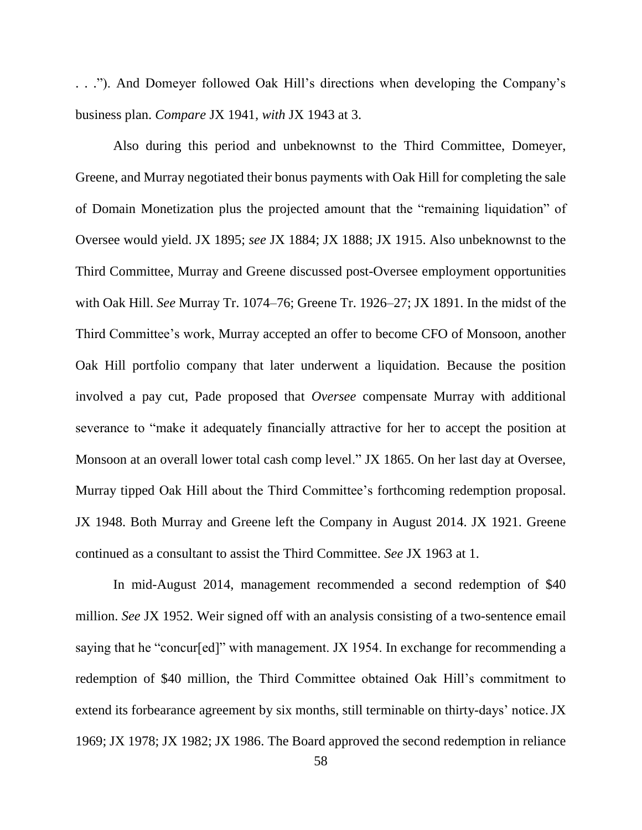. . ."). And Domeyer followed Oak Hill's directions when developing the Company's business plan. *Compare* JX 1941, *with* JX 1943 at 3.

Also during this period and unbeknownst to the Third Committee, Domeyer, Greene, and Murray negotiated their bonus payments with Oak Hill for completing the sale of Domain Monetization plus the projected amount that the "remaining liquidation" of Oversee would yield. JX 1895; *see* JX 1884; JX 1888; JX 1915. Also unbeknownst to the Third Committee, Murray and Greene discussed post-Oversee employment opportunities with Oak Hill. *See* Murray Tr. 1074–76; Greene Tr. 1926–27; JX 1891. In the midst of the Third Committee's work, Murray accepted an offer to become CFO of Monsoon, another Oak Hill portfolio company that later underwent a liquidation. Because the position involved a pay cut, Pade proposed that *Oversee* compensate Murray with additional severance to "make it adequately financially attractive for her to accept the position at Monsoon at an overall lower total cash comp level." JX 1865. On her last day at Oversee, Murray tipped Oak Hill about the Third Committee's forthcoming redemption proposal. JX 1948. Both Murray and Greene left the Company in August 2014. JX 1921. Greene continued as a consultant to assist the Third Committee. *See* JX 1963 at 1.

In mid-August 2014, management recommended a second redemption of \$40 million. *See* JX 1952. Weir signed off with an analysis consisting of a two-sentence email saying that he "concur[ed]" with management. JX 1954. In exchange for recommending a redemption of \$40 million, the Third Committee obtained Oak Hill's commitment to extend its forbearance agreement by six months, still terminable on thirty-days' notice.JX 1969; JX 1978; JX 1982; JX 1986. The Board approved the second redemption in reliance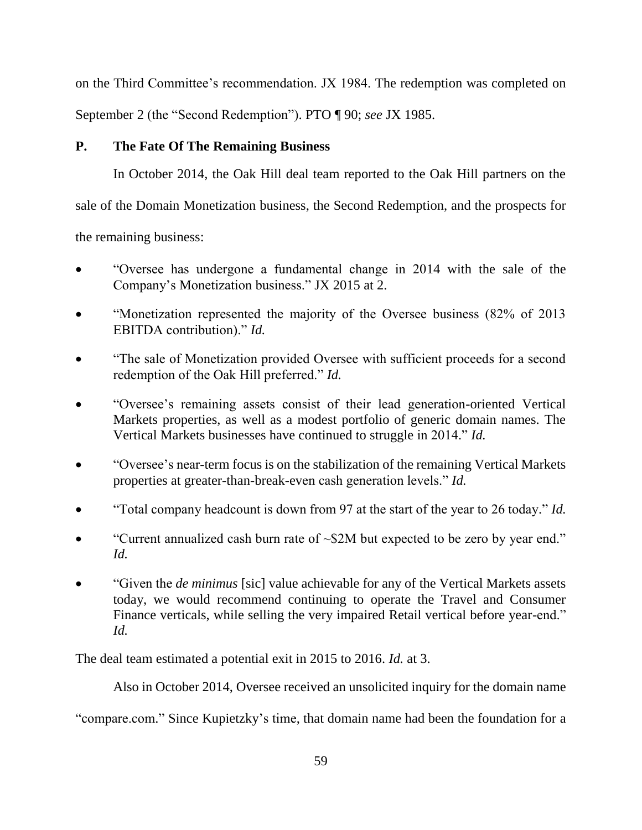on the Third Committee's recommendation. JX 1984. The redemption was completed on September 2 (the "Second Redemption"). PTO ¶ 90; *see* JX 1985.

# **P. The Fate Of The Remaining Business**

In October 2014, the Oak Hill deal team reported to the Oak Hill partners on the

sale of the Domain Monetization business, the Second Redemption, and the prospects for

the remaining business:

- "Oversee has undergone a fundamental change in 2014 with the sale of the Company's Monetization business." JX 2015 at 2.
- "Monetization represented the majority of the Oversee business (82% of 2013) EBITDA contribution)." *Id.*
- "The sale of Monetization provided Oversee with sufficient proceeds for a second redemption of the Oak Hill preferred." *Id.*
- "Oversee's remaining assets consist of their lead generation-oriented Vertical Markets properties, as well as a modest portfolio of generic domain names. The Vertical Markets businesses have continued to struggle in 2014." *Id.*
- "Oversee's near-term focus is on the stabilization of the remaining Vertical Markets properties at greater-than-break-even cash generation levels." *Id.*
- "Total company headcount is down from 97 at the start of the year to 26 today." *Id.*
- "Current annualized cash burn rate of  $\sim$ \$2M but expected to be zero by year end." *Id.*
- "Given the *de minimus* [sic] value achievable for any of the Vertical Markets assets today, we would recommend continuing to operate the Travel and Consumer Finance verticals, while selling the very impaired Retail vertical before year-end." *Id.*

The deal team estimated a potential exit in 2015 to 2016. *Id.* at 3.

Also in October 2014, Oversee received an unsolicited inquiry for the domain name

"compare.com." Since Kupietzky's time, that domain name had been the foundation for a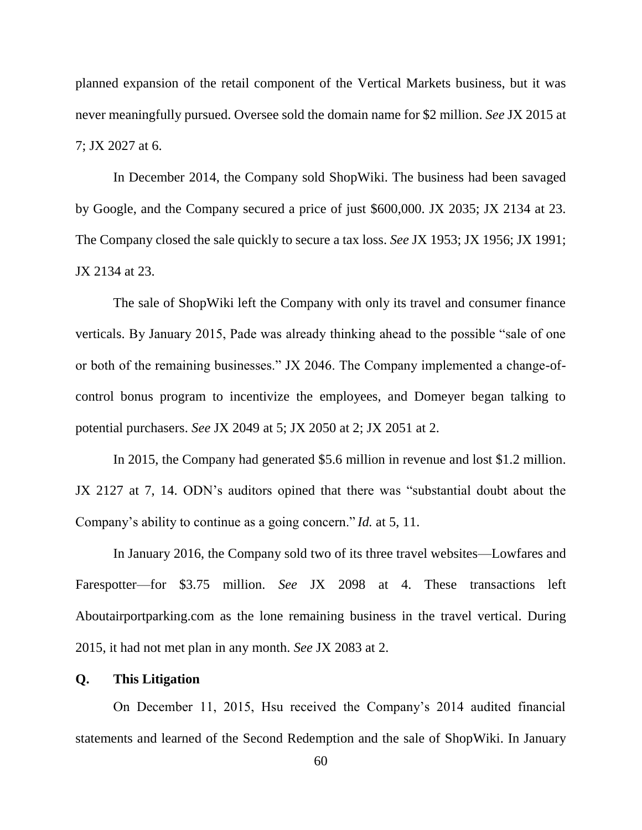planned expansion of the retail component of the Vertical Markets business, but it was never meaningfully pursued. Oversee sold the domain name for \$2 million. *See* JX 2015 at 7; JX 2027 at 6.

In December 2014, the Company sold ShopWiki. The business had been savaged by Google, and the Company secured a price of just \$600,000. JX 2035; JX 2134 at 23. The Company closed the sale quickly to secure a tax loss. *See* JX 1953; JX 1956; JX 1991; JX 2134 at 23.

The sale of ShopWiki left the Company with only its travel and consumer finance verticals. By January 2015, Pade was already thinking ahead to the possible "sale of one or both of the remaining businesses." JX 2046. The Company implemented a change-ofcontrol bonus program to incentivize the employees, and Domeyer began talking to potential purchasers. *See* JX 2049 at 5; JX 2050 at 2; JX 2051 at 2.

In 2015, the Company had generated \$5.6 million in revenue and lost \$1.2 million. JX 2127 at 7, 14. ODN's auditors opined that there was "substantial doubt about the Company's ability to continue as a going concern." *Id.* at 5, 11.

In January 2016, the Company sold two of its three travel websites—Lowfares and Farespotter—for \$3.75 million. *See* JX 2098 at 4. These transactions left Aboutairportparking.com as the lone remaining business in the travel vertical. During 2015, it had not met plan in any month. *See* JX 2083 at 2.

#### **Q. This Litigation**

On December 11, 2015, Hsu received the Company's 2014 audited financial statements and learned of the Second Redemption and the sale of ShopWiki. In January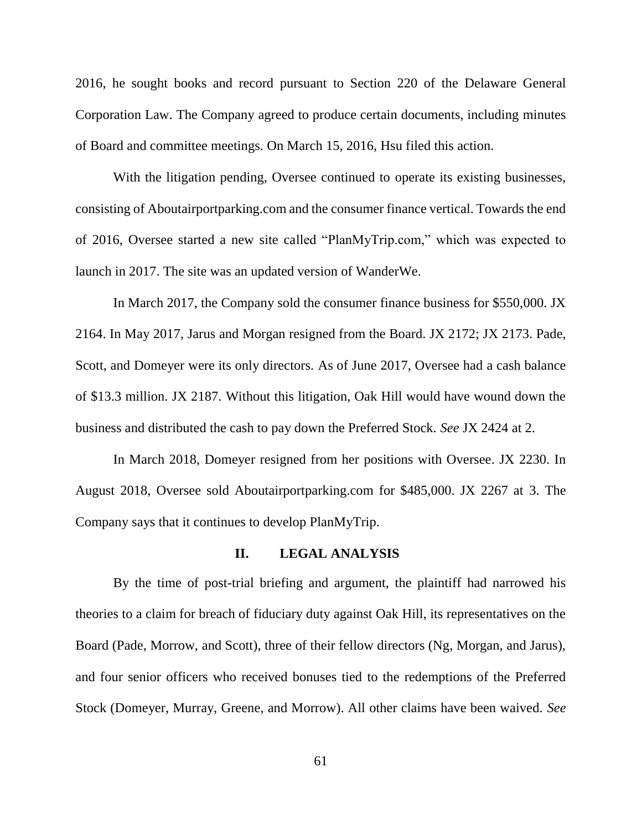2016, he sought books and record pursuant to Section 220 of the Delaware General Corporation Law. The Company agreed to produce certain documents, including minutes of Board and committee meetings. On March 15, 2016, Hsu filed this action.

With the litigation pending, Oversee continued to operate its existing businesses, consisting of Aboutairportparking.com and the consumer finance vertical. Towards the end of 2016, Oversee started a new site called "PlanMyTrip.com," which was expected to launch in 2017. The site was an updated version of WanderWe.

In March 2017, the Company sold the consumer finance business for \$550,000. JX 2164. In May 2017, Jarus and Morgan resigned from the Board. JX 2172; JX 2173. Pade, Scott, and Domeyer were its only directors. As of June 2017, Oversee had a cash balance of \$13.3 million. JX 2187. Without this litigation, Oak Hill would have wound down the business and distributed the cash to pay down the Preferred Stock. *See* JX 2424 at 2.

In March 2018, Domeyer resigned from her positions with Oversee. JX 2230. In August 2018, Oversee sold Aboutairportparking.com for \$485,000. JX 2267 at 3. The Company says that it continues to develop PlanMyTrip.

# **II. LEGAL ANALYSIS**

By the time of post-trial briefing and argument, the plaintiff had narrowed his theories to a claim for breach of fiduciary duty against Oak Hill, its representatives on the Board (Pade, Morrow, and Scott), three of their fellow directors (Ng, Morgan, and Jarus), and four senior officers who received bonuses tied to the redemptions of the Preferred Stock (Domeyer, Murray, Greene, and Morrow). All other claims have been waived. *See*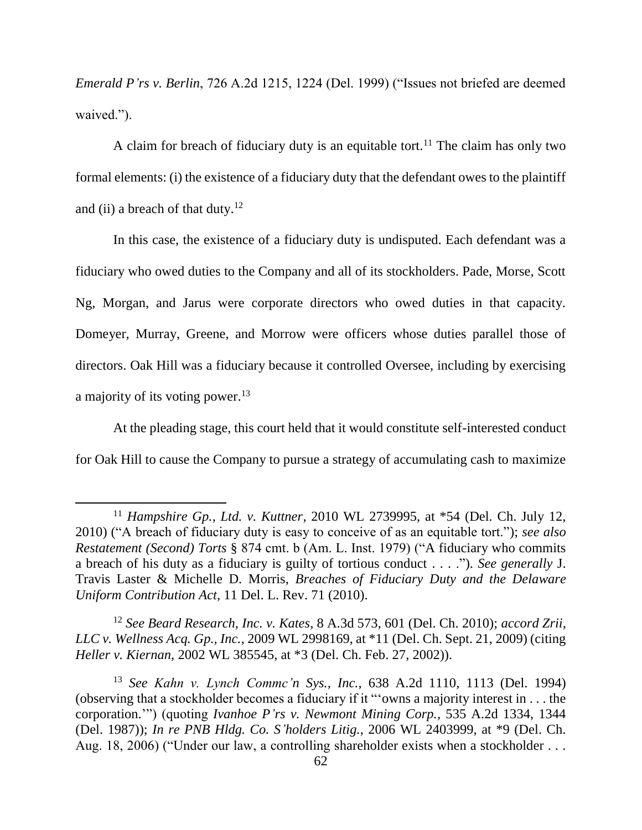*Emerald P'rs v. Berlin*, 726 A.2d 1215, 1224 (Del. 1999) ("Issues not briefed are deemed waived.").

A claim for breach of fiduciary duty is an equitable tort.<sup>11</sup> The claim has only two formal elements: (i) the existence of a fiduciary duty that the defendant owes to the plaintiff and (ii) a breach of that duty.<sup>12</sup>

In this case, the existence of a fiduciary duty is undisputed. Each defendant was a fiduciary who owed duties to the Company and all of its stockholders. Pade, Morse, Scott Ng, Morgan, and Jarus were corporate directors who owed duties in that capacity. Domeyer, Murray, Greene, and Morrow were officers whose duties parallel those of directors. Oak Hill was a fiduciary because it controlled Oversee, including by exercising a majority of its voting power.<sup>13</sup>

At the pleading stage, this court held that it would constitute self-interested conduct for Oak Hill to cause the Company to pursue a strategy of accumulating cash to maximize

 $\overline{\phantom{a}}$ 

<sup>12</sup> *See Beard Research, Inc. v. Kates*, 8 A.3d 573, 601 (Del. Ch. 2010); *accord Zrii, LLC v. Wellness Acq. Gp., Inc.*, 2009 WL 2998169, at \*11 (Del. Ch. Sept. 21, 2009) (citing *Heller v. Kiernan*, 2002 WL 385545, at \*3 (Del. Ch. Feb. 27, 2002)).

<sup>13</sup> *See Kahn v. Lynch Commc'n Sys., Inc.*, 638 A.2d 1110, 1113 (Del. 1994) (observing that a stockholder becomes a fiduciary if it "'owns a majority interest in . . . the corporation.'") (quoting *Ivanhoe P'rs v. Newmont Mining Corp.*, 535 A.2d 1334, 1344 (Del. 1987)); *In re PNB Hldg. Co. S'holders Litig.*, 2006 WL 2403999, at \*9 (Del. Ch. Aug. 18, 2006) ("Under our law, a controlling shareholder exists when a stockholder . . .

<sup>11</sup> *Hampshire Gp., Ltd. v. Kuttner*, 2010 WL 2739995, at \*54 (Del. Ch. July 12, 2010) ("A breach of fiduciary duty is easy to conceive of as an equitable tort."); *see also Restatement (Second) Torts* § 874 cmt. b (Am. L. Inst. 1979) ("A fiduciary who commits a breach of his duty as a fiduciary is guilty of tortious conduct . . . ."). *See generally* J. Travis Laster & Michelle D. Morris, *Breaches of Fiduciary Duty and the Delaware Uniform Contribution Act*, 11 Del. L. Rev. 71 (2010).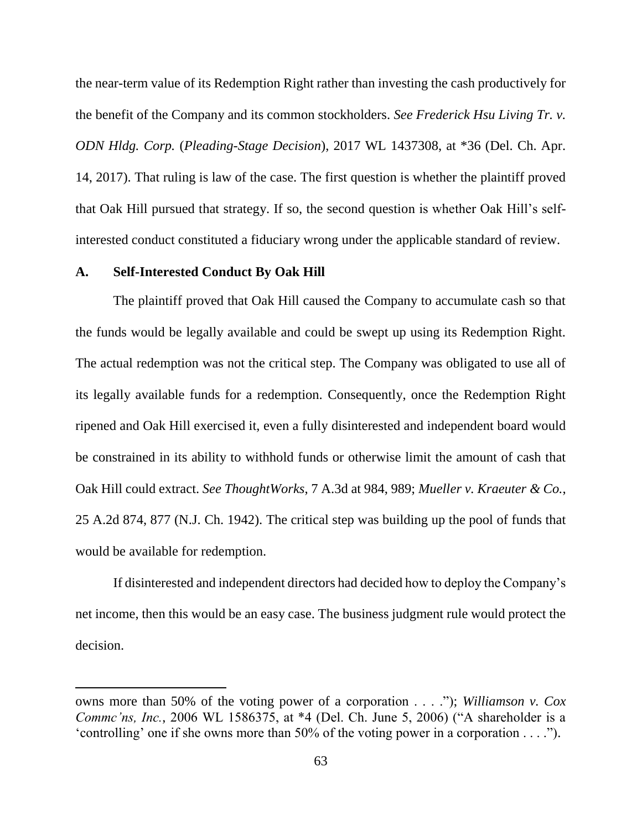the near-term value of its Redemption Right rather than investing the cash productively for the benefit of the Company and its common stockholders. *See Frederick Hsu Living Tr. v. ODN Hldg. Corp.* (*Pleading-Stage Decision*), 2017 WL 1437308, at \*36 (Del. Ch. Apr. 14, 2017). That ruling is law of the case. The first question is whether the plaintiff proved that Oak Hill pursued that strategy. If so, the second question is whether Oak Hill's selfinterested conduct constituted a fiduciary wrong under the applicable standard of review.

## **A. Self-Interested Conduct By Oak Hill**

 $\overline{a}$ 

The plaintiff proved that Oak Hill caused the Company to accumulate cash so that the funds would be legally available and could be swept up using its Redemption Right. The actual redemption was not the critical step. The Company was obligated to use all of its legally available funds for a redemption. Consequently, once the Redemption Right ripened and Oak Hill exercised it, even a fully disinterested and independent board would be constrained in its ability to withhold funds or otherwise limit the amount of cash that Oak Hill could extract. *See ThoughtWorks*, 7 A.3d at 984, 989; *Mueller v. Kraeuter & Co.*, 25 A.2d 874, 877 (N.J. Ch. 1942). The critical step was building up the pool of funds that would be available for redemption.

If disinterested and independent directors had decided how to deploy the Company's net income, then this would be an easy case. The business judgment rule would protect the decision.

owns more than 50% of the voting power of a corporation . . . ."); *Williamson v. Cox Commc'ns, Inc.*, 2006 WL 1586375, at \*4 (Del. Ch. June 5, 2006) ("A shareholder is a 'controlling' one if she owns more than 50% of the voting power in a corporation . . . .").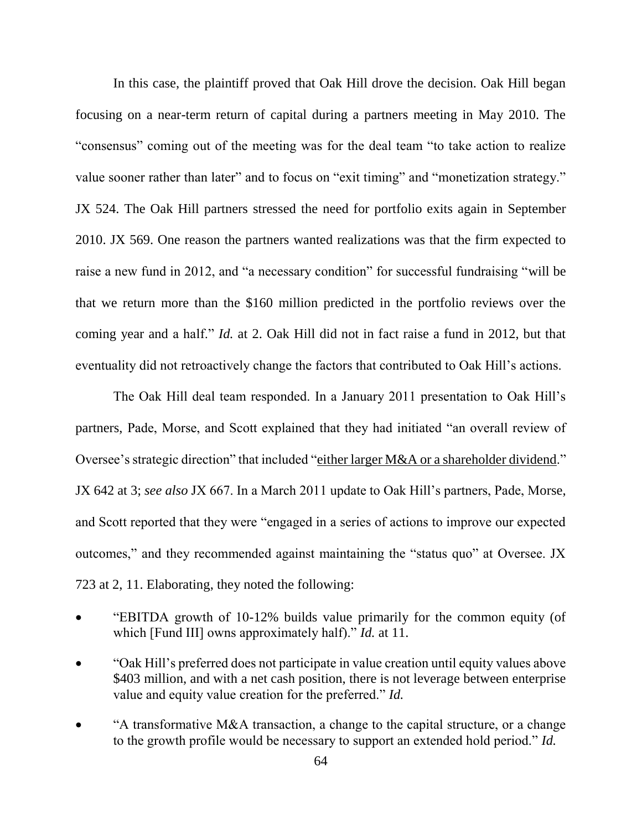In this case, the plaintiff proved that Oak Hill drove the decision. Oak Hill began focusing on a near-term return of capital during a partners meeting in May 2010. The "consensus" coming out of the meeting was for the deal team "to take action to realize value sooner rather than later" and to focus on "exit timing" and "monetization strategy." JX 524. The Oak Hill partners stressed the need for portfolio exits again in September 2010. JX 569. One reason the partners wanted realizations was that the firm expected to raise a new fund in 2012, and "a necessary condition" for successful fundraising "will be that we return more than the \$160 million predicted in the portfolio reviews over the coming year and a half." *Id.* at 2. Oak Hill did not in fact raise a fund in 2012, but that eventuality did not retroactively change the factors that contributed to Oak Hill's actions.

The Oak Hill deal team responded. In a January 2011 presentation to Oak Hill's partners, Pade, Morse, and Scott explained that they had initiated "an overall review of Oversee's strategic direction" that included "either larger M&A or a shareholder dividend." JX 642 at 3; *see also* JX 667. In a March 2011 update to Oak Hill's partners, Pade, Morse, and Scott reported that they were "engaged in a series of actions to improve our expected outcomes," and they recommended against maintaining the "status quo" at Oversee. JX 723 at 2, 11. Elaborating, they noted the following:

- "EBITDA growth of 10-12% builds value primarily for the common equity (of which [Fund III] owns approximately half)." *Id.* at 11.
- "Oak Hill's preferred does not participate in value creation until equity values above \$403 million, and with a net cash position, there is not leverage between enterprise value and equity value creation for the preferred." *Id.*
- "A transformative M&A transaction, a change to the capital structure, or a change to the growth profile would be necessary to support an extended hold period." *Id.*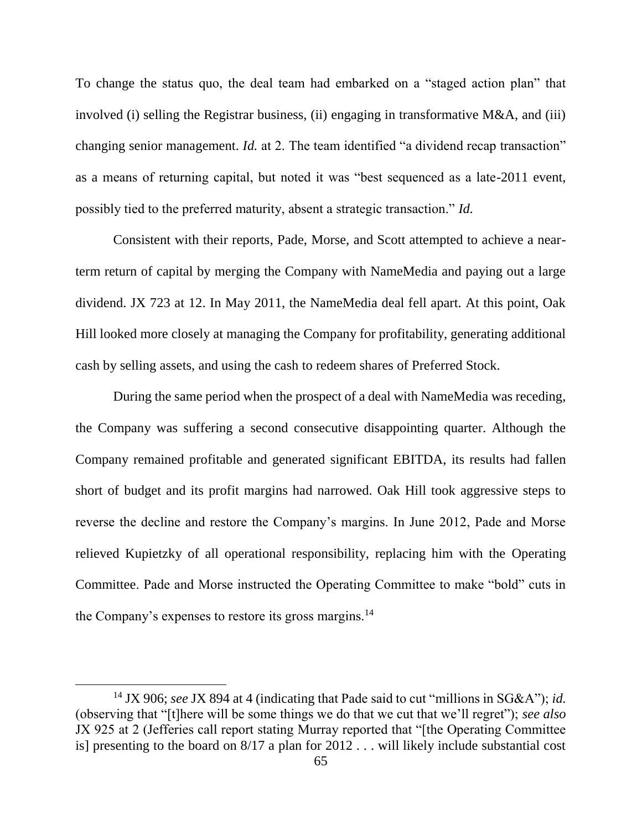To change the status quo, the deal team had embarked on a "staged action plan" that involved (i) selling the Registrar business, (ii) engaging in transformative M&A, and (iii) changing senior management. *Id.* at 2. The team identified "a dividend recap transaction" as a means of returning capital, but noted it was "best sequenced as a late-2011 event, possibly tied to the preferred maturity, absent a strategic transaction." *Id.*

Consistent with their reports, Pade, Morse, and Scott attempted to achieve a nearterm return of capital by merging the Company with NameMedia and paying out a large dividend. JX 723 at 12. In May 2011, the NameMedia deal fell apart. At this point, Oak Hill looked more closely at managing the Company for profitability, generating additional cash by selling assets, and using the cash to redeem shares of Preferred Stock.

During the same period when the prospect of a deal with NameMedia was receding, the Company was suffering a second consecutive disappointing quarter. Although the Company remained profitable and generated significant EBITDA, its results had fallen short of budget and its profit margins had narrowed. Oak Hill took aggressive steps to reverse the decline and restore the Company's margins. In June 2012, Pade and Morse relieved Kupietzky of all operational responsibility, replacing him with the Operating Committee. Pade and Morse instructed the Operating Committee to make "bold" cuts in the Company's expenses to restore its gross margins.<sup>14</sup>

l

<sup>14</sup> JX 906; *see* JX 894 at 4 (indicating that Pade said to cut "millions in SG&A"); *id.* (observing that "[t]here will be some things we do that we cut that we'll regret"); *see also* JX 925 at 2 (Jefferies call report stating Murray reported that "[the Operating Committee is] presenting to the board on 8/17 a plan for 2012 . . . will likely include substantial cost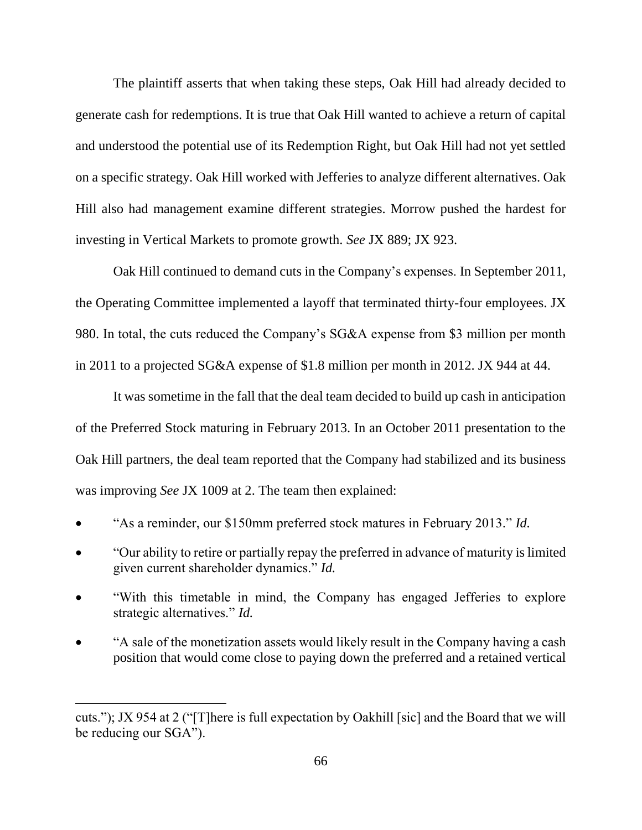The plaintiff asserts that when taking these steps, Oak Hill had already decided to generate cash for redemptions. It is true that Oak Hill wanted to achieve a return of capital and understood the potential use of its Redemption Right, but Oak Hill had not yet settled on a specific strategy. Oak Hill worked with Jefferies to analyze different alternatives. Oak Hill also had management examine different strategies. Morrow pushed the hardest for investing in Vertical Markets to promote growth. *See* JX 889; JX 923.

Oak Hill continued to demand cuts in the Company's expenses. In September 2011, the Operating Committee implemented a layoff that terminated thirty-four employees. JX 980. In total, the cuts reduced the Company's SG&A expense from \$3 million per month in 2011 to a projected SG&A expense of \$1.8 million per month in 2012. JX 944 at 44.

It was sometime in the fall that the deal team decided to build up cash in anticipation of the Preferred Stock maturing in February 2013. In an October 2011 presentation to the Oak Hill partners, the deal team reported that the Company had stabilized and its business was improving *See* JX 1009 at 2. The team then explained:

- "As a reminder, our \$150mm preferred stock matures in February 2013." *Id.*
- "Our ability to retire or partially repay the preferred in advance of maturity is limited given current shareholder dynamics." *Id.*
- "With this timetable in mind, the Company has engaged Jefferies to explore strategic alternatives." *Id.*
- "A sale of the monetization assets would likely result in the Company having a cash position that would come close to paying down the preferred and a retained vertical

 $\overline{a}$ 

cuts."); JX 954 at 2 ("[T]here is full expectation by Oakhill [sic] and the Board that we will be reducing our SGA").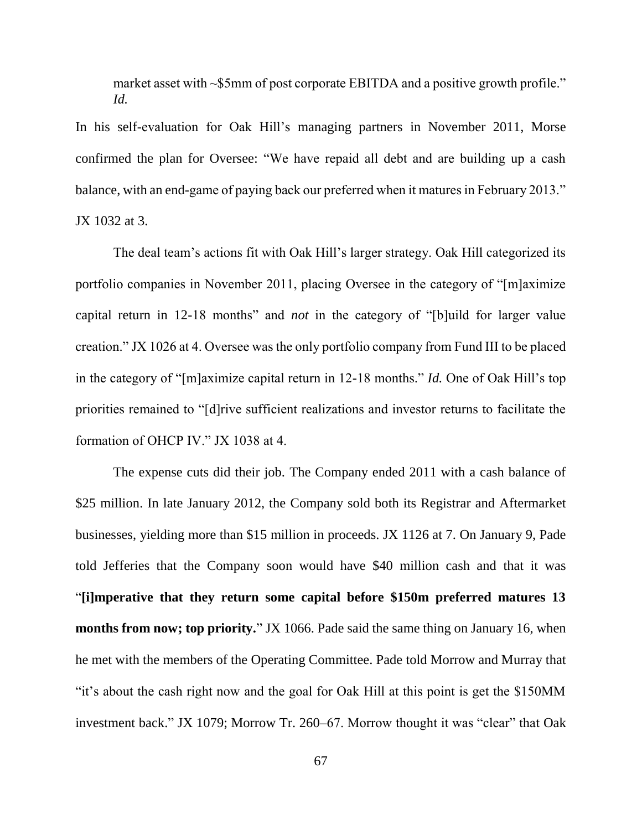market asset with ~\$5mm of post corporate EBITDA and a positive growth profile." *Id.*

In his self-evaluation for Oak Hill's managing partners in November 2011, Morse confirmed the plan for Oversee: "We have repaid all debt and are building up a cash balance, with an end-game of paying back our preferred when it matures in February 2013." JX 1032 at 3.

The deal team's actions fit with Oak Hill's larger strategy. Oak Hill categorized its portfolio companies in November 2011, placing Oversee in the category of "[m]aximize capital return in 12-18 months" and *not* in the category of "[b]uild for larger value creation." JX 1026 at 4. Oversee was the only portfolio company from Fund III to be placed in the category of "[m]aximize capital return in 12-18 months." *Id.* One of Oak Hill's top priorities remained to "[d]rive sufficient realizations and investor returns to facilitate the formation of OHCP IV." JX 1038 at 4.

The expense cuts did their job. The Company ended 2011 with a cash balance of \$25 million. In late January 2012, the Company sold both its Registrar and Aftermarket businesses, yielding more than \$15 million in proceeds. JX 1126 at 7. On January 9, Pade told Jefferies that the Company soon would have \$40 million cash and that it was "**[i]mperative that they return some capital before \$150m preferred matures 13 months from now; top priority.**" JX 1066. Pade said the same thing on January 16, when he met with the members of the Operating Committee. Pade told Morrow and Murray that "it's about the cash right now and the goal for Oak Hill at this point is get the \$150MM investment back." JX 1079; Morrow Tr. 260–67. Morrow thought it was "clear" that Oak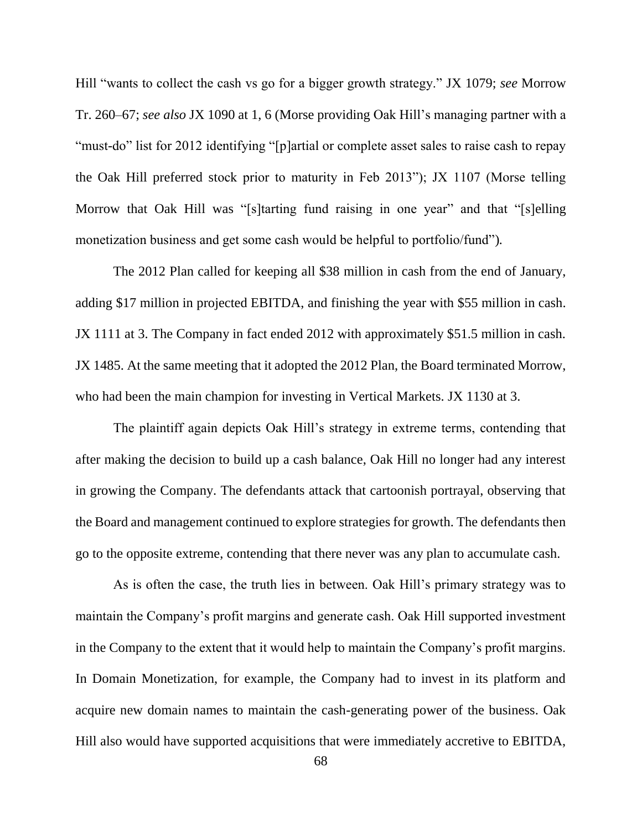Hill "wants to collect the cash vs go for a bigger growth strategy." JX 1079; *see* Morrow Tr. 260–67; *see also* JX 1090 at 1, 6 (Morse providing Oak Hill's managing partner with a "must-do" list for 2012 identifying "[p]artial or complete asset sales to raise cash to repay the Oak Hill preferred stock prior to maturity in Feb 2013"); JX 1107 (Morse telling Morrow that Oak Hill was "[s]tarting fund raising in one year" and that "[s]elling monetization business and get some cash would be helpful to portfolio/fund")*.* 

The 2012 Plan called for keeping all \$38 million in cash from the end of January, adding \$17 million in projected EBITDA, and finishing the year with \$55 million in cash. JX 1111 at 3. The Company in fact ended 2012 with approximately \$51.5 million in cash. JX 1485. At the same meeting that it adopted the 2012 Plan, the Board terminated Morrow, who had been the main champion for investing in Vertical Markets. JX 1130 at 3.

The plaintiff again depicts Oak Hill's strategy in extreme terms, contending that after making the decision to build up a cash balance, Oak Hill no longer had any interest in growing the Company. The defendants attack that cartoonish portrayal, observing that the Board and management continued to explore strategies for growth. The defendants then go to the opposite extreme, contending that there never was any plan to accumulate cash.

As is often the case, the truth lies in between. Oak Hill's primary strategy was to maintain the Company's profit margins and generate cash. Oak Hill supported investment in the Company to the extent that it would help to maintain the Company's profit margins. In Domain Monetization, for example, the Company had to invest in its platform and acquire new domain names to maintain the cash-generating power of the business. Oak Hill also would have supported acquisitions that were immediately accretive to EBITDA,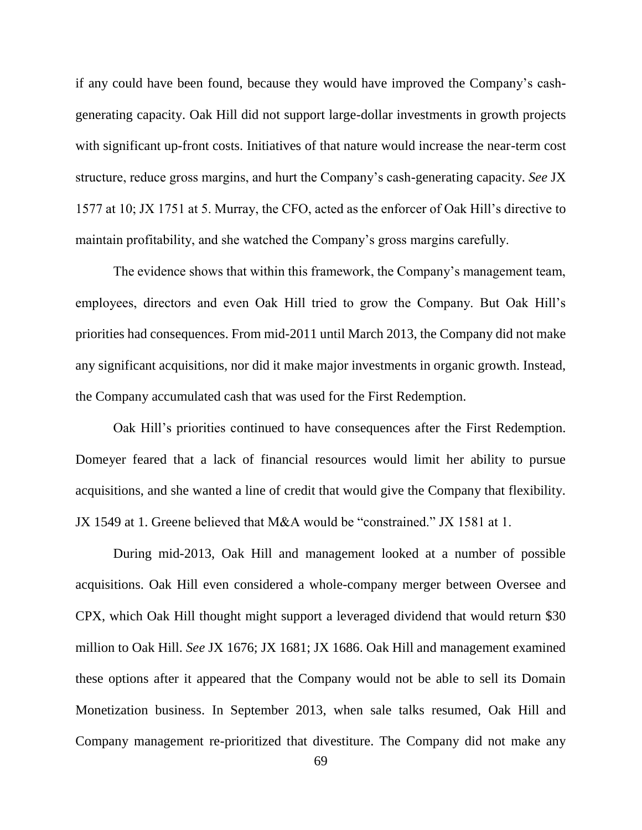if any could have been found, because they would have improved the Company's cashgenerating capacity. Oak Hill did not support large-dollar investments in growth projects with significant up-front costs. Initiatives of that nature would increase the near-term cost structure, reduce gross margins, and hurt the Company's cash-generating capacity. *See* JX 1577 at 10; JX 1751 at 5. Murray, the CFO, acted as the enforcer of Oak Hill's directive to maintain profitability, and she watched the Company's gross margins carefully.

The evidence shows that within this framework, the Company's management team, employees, directors and even Oak Hill tried to grow the Company. But Oak Hill's priorities had consequences. From mid-2011 until March 2013, the Company did not make any significant acquisitions, nor did it make major investments in organic growth. Instead, the Company accumulated cash that was used for the First Redemption.

Oak Hill's priorities continued to have consequences after the First Redemption. Domeyer feared that a lack of financial resources would limit her ability to pursue acquisitions, and she wanted a line of credit that would give the Company that flexibility. JX 1549 at 1. Greene believed that M&A would be "constrained." JX 1581 at 1.

During mid-2013, Oak Hill and management looked at a number of possible acquisitions. Oak Hill even considered a whole-company merger between Oversee and CPX, which Oak Hill thought might support a leveraged dividend that would return \$30 million to Oak Hill. *See* JX 1676; JX 1681; JX 1686. Oak Hill and management examined these options after it appeared that the Company would not be able to sell its Domain Monetization business. In September 2013, when sale talks resumed, Oak Hill and Company management re-prioritized that divestiture. The Company did not make any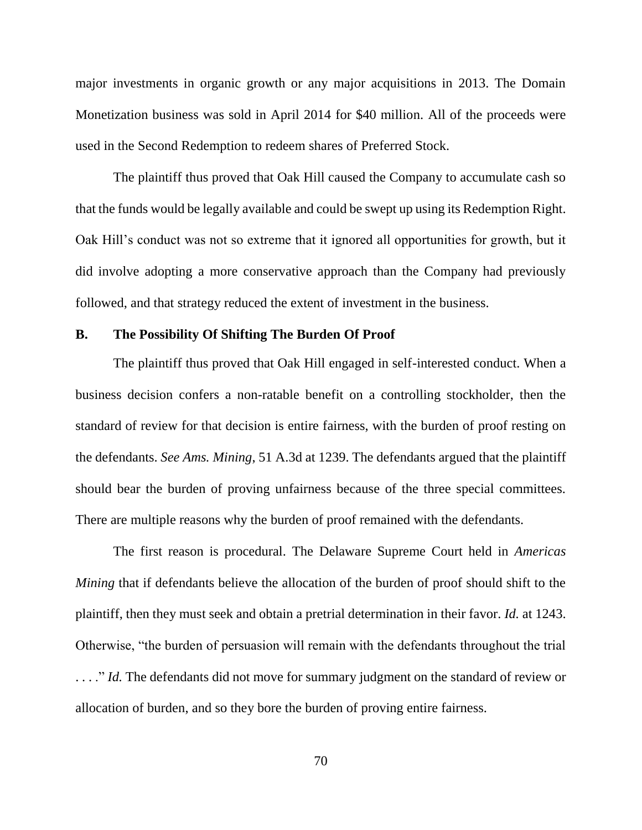major investments in organic growth or any major acquisitions in 2013. The Domain Monetization business was sold in April 2014 for \$40 million. All of the proceeds were used in the Second Redemption to redeem shares of Preferred Stock.

The plaintiff thus proved that Oak Hill caused the Company to accumulate cash so that the funds would be legally available and could be swept up using its Redemption Right. Oak Hill's conduct was not so extreme that it ignored all opportunities for growth, but it did involve adopting a more conservative approach than the Company had previously followed, and that strategy reduced the extent of investment in the business.

## **B. The Possibility Of Shifting The Burden Of Proof**

The plaintiff thus proved that Oak Hill engaged in self-interested conduct. When a business decision confers a non-ratable benefit on a controlling stockholder, then the standard of review for that decision is entire fairness, with the burden of proof resting on the defendants. *See Ams. Mining*, 51 A.3d at 1239. The defendants argued that the plaintiff should bear the burden of proving unfairness because of the three special committees. There are multiple reasons why the burden of proof remained with the defendants.

The first reason is procedural. The Delaware Supreme Court held in *Americas Mining* that if defendants believe the allocation of the burden of proof should shift to the plaintiff, then they must seek and obtain a pretrial determination in their favor. *Id.* at 1243. Otherwise, "the burden of persuasion will remain with the defendants throughout the trial ..." *Id.* The defendants did not move for summary judgment on the standard of review or allocation of burden, and so they bore the burden of proving entire fairness.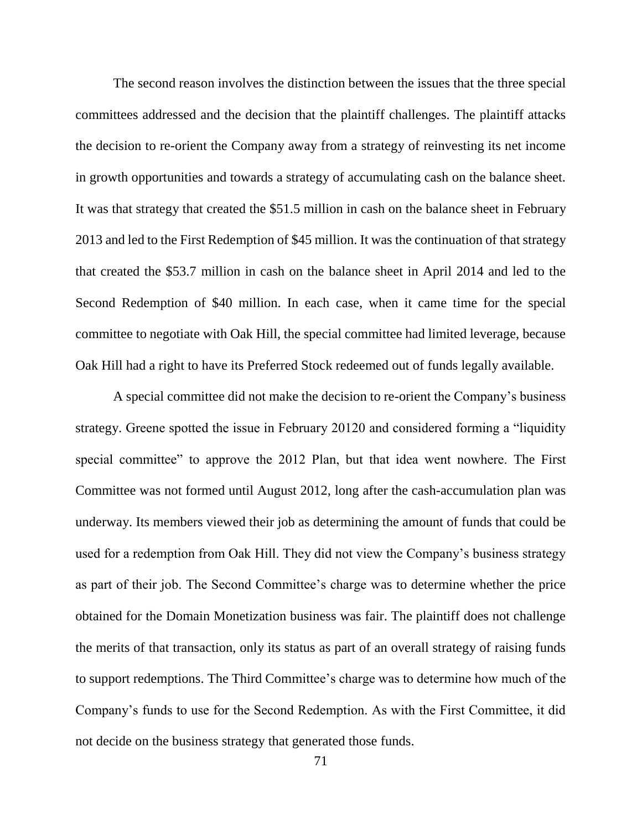The second reason involves the distinction between the issues that the three special committees addressed and the decision that the plaintiff challenges. The plaintiff attacks the decision to re-orient the Company away from a strategy of reinvesting its net income in growth opportunities and towards a strategy of accumulating cash on the balance sheet. It was that strategy that created the \$51.5 million in cash on the balance sheet in February 2013 and led to the First Redemption of \$45 million. It was the continuation of that strategy that created the \$53.7 million in cash on the balance sheet in April 2014 and led to the Second Redemption of \$40 million. In each case, when it came time for the special committee to negotiate with Oak Hill, the special committee had limited leverage, because Oak Hill had a right to have its Preferred Stock redeemed out of funds legally available.

A special committee did not make the decision to re-orient the Company's business strategy. Greene spotted the issue in February 20120 and considered forming a "liquidity special committee" to approve the 2012 Plan, but that idea went nowhere. The First Committee was not formed until August 2012, long after the cash-accumulation plan was underway. Its members viewed their job as determining the amount of funds that could be used for a redemption from Oak Hill. They did not view the Company's business strategy as part of their job. The Second Committee's charge was to determine whether the price obtained for the Domain Monetization business was fair. The plaintiff does not challenge the merits of that transaction, only its status as part of an overall strategy of raising funds to support redemptions. The Third Committee's charge was to determine how much of the Company's funds to use for the Second Redemption. As with the First Committee, it did not decide on the business strategy that generated those funds.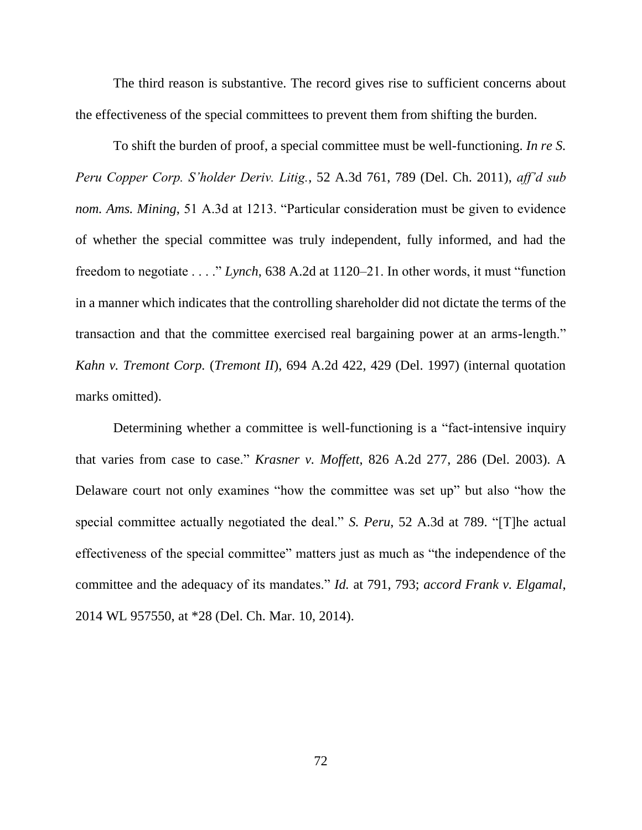The third reason is substantive. The record gives rise to sufficient concerns about the effectiveness of the special committees to prevent them from shifting the burden.

To shift the burden of proof, a special committee must be well-functioning. *In re S. Peru Copper Corp. S'holder Deriv. Litig.*, 52 A.3d 761, 789 (Del. Ch. 2011), *aff'd sub nom. Ams. Mining*, 51 A.3d at 1213. "Particular consideration must be given to evidence of whether the special committee was truly independent, fully informed, and had the freedom to negotiate . . . ." *Lynch*, 638 A.2d at 1120–21. In other words, it must "function in a manner which indicates that the controlling shareholder did not dictate the terms of the transaction and that the committee exercised real bargaining power at an arms-length." *Kahn v. Tremont Corp.* (*Tremont II*), 694 A.2d 422, 429 (Del. 1997) (internal quotation marks omitted).

Determining whether a committee is well-functioning is a "fact-intensive inquiry" that varies from case to case." *Krasner v. Moffett*, 826 A.2d 277, 286 (Del. 2003). A Delaware court not only examines "how the committee was set up" but also "how the special committee actually negotiated the deal." *S. Peru*, 52 A.3d at 789. "[T]he actual effectiveness of the special committee" matters just as much as "the independence of the committee and the adequacy of its mandates." *Id.* at 791, 793; *accord Frank v. Elgamal*, 2014 WL 957550, at \*28 (Del. Ch. Mar. 10, 2014).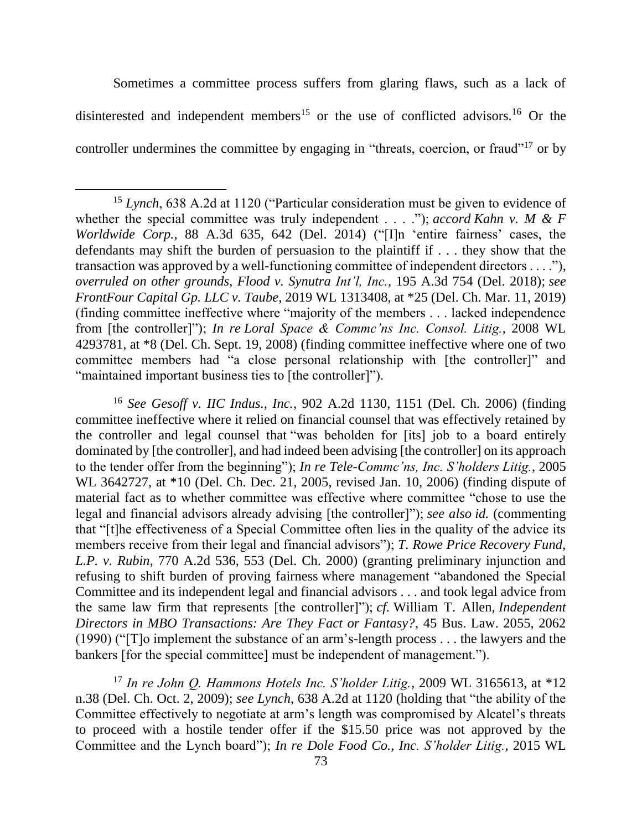Sometimes a committee process suffers from glaring flaws, such as a lack of disinterested and independent members<sup>15</sup> or the use of conflicted advisors.<sup>16</sup> Or the controller undermines the committee by engaging in "threats, coercion, or fraud"<sup>17</sup> or by

l

<sup>16</sup> *See Gesoff v. IIC Indus., Inc.*, 902 A.2d 1130, 1151 (Del. Ch. 2006) (finding committee ineffective where it relied on financial counsel that was effectively retained by the controller and legal counsel that "was beholden for [its] job to a board entirely dominated by [the controller], and had indeed been advising [the controller] on its approach to the tender offer from the beginning"); *In re Tele-Commc'ns, Inc. S'holders Litig.*, 2005 WL 3642727, at \*10 (Del. Ch. Dec. 21, 2005, revised Jan. 10, 2006) (finding dispute of material fact as to whether committee was effective where committee "chose to use the legal and financial advisors already advising [the controller]"); *see also id.* (commenting that "[t]he effectiveness of a Special Committee often lies in the quality of the advice its members receive from their legal and financial advisors"); *T. Rowe Price Recovery Fund, L.P. v. Rubin*, 770 A.2d 536, 553 (Del. Ch. 2000) (granting preliminary injunction and refusing to shift burden of proving fairness where management "abandoned the Special Committee and its independent legal and financial advisors . . . and took legal advice from the same law firm that represents [the controller]"); *cf.* William T. Allen, *Independent Directors in MBO Transactions: Are They Fact or Fantasy?*, 45 Bus. Law. 2055, 2062 (1990) ("[T]o implement the substance of an arm's-length process . . . the lawyers and the bankers [for the special committee] must be independent of management.").

<sup>17</sup> *In re John Q. Hammons Hotels Inc. S'holder Litig.*, 2009 WL 3165613, at \*12 n.38 (Del. Ch. Oct. 2, 2009); *see Lynch*, 638 A.2d at 1120 (holding that "the ability of the Committee effectively to negotiate at arm's length was compromised by Alcatel's threats to proceed with a hostile tender offer if the \$15.50 price was not approved by the Committee and the Lynch board"); *In re Dole Food Co., Inc. S'holder Litig.*, 2015 WL

<sup>15</sup> *Lynch*, 638 A.2d at 1120 ("Particular consideration must be given to evidence of whether the special committee was truly independent . . . ."); *accord Kahn v. M & F Worldwide Corp.*, 88 A.3d 635, 642 (Del. 2014) ("[I]n 'entire fairness' cases, the defendants may shift the burden of persuasion to the plaintiff if . . . they show that the transaction was approved by a well-functioning committee of independent directors . . . ."), *overruled on other grounds*, *Flood v. Synutra Int'l, Inc.*, 195 A.3d 754 (Del. 2018); *see FrontFour Capital Gp. LLC v. Taube*, 2019 WL 1313408, at \*25 (Del. Ch. Mar. 11, 2019) (finding committee ineffective where "majority of the members . . . lacked independence from [the controller]"); *In re Loral Space & Commc'ns Inc. Consol. Litig.*, 2008 WL 4293781, at \*8 (Del. Ch. Sept. 19, 2008) (finding committee ineffective where one of two committee members had "a close personal relationship with [the controller]" and "maintained important business ties to [the controller]").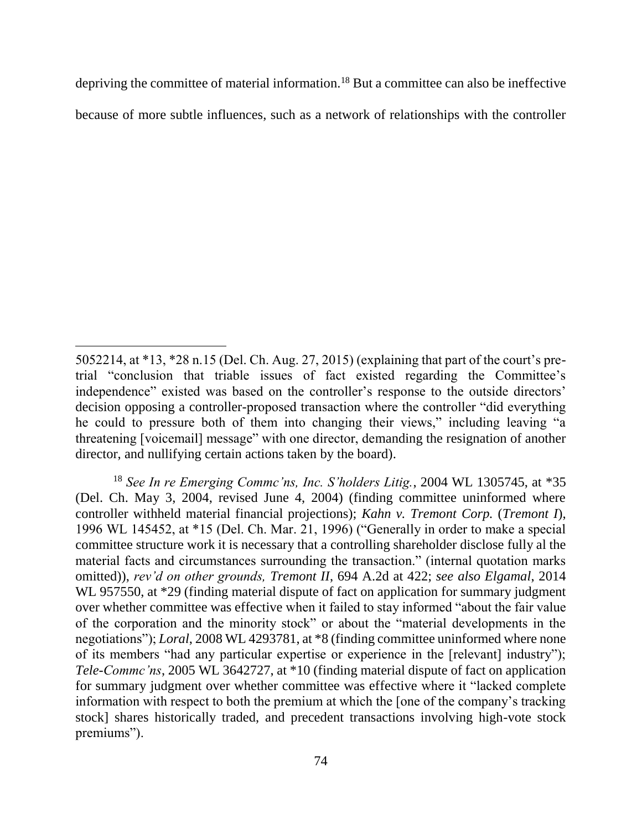depriving the committee of material information.<sup>18</sup> But a committee can also be ineffective because of more subtle influences, such as a network of relationships with the controller

 $\overline{\phantom{a}}$ 

<sup>5052214,</sup> at \*13, \*28 n.15 (Del. Ch. Aug. 27, 2015) (explaining that part of the court's pretrial "conclusion that triable issues of fact existed regarding the Committee's independence" existed was based on the controller's response to the outside directors' decision opposing a controller-proposed transaction where the controller "did everything he could to pressure both of them into changing their views," including leaving "a threatening [voicemail] message" with one director, demanding the resignation of another director, and nullifying certain actions taken by the board).

<sup>18</sup> *See In re Emerging Commc'ns, Inc. S'holders Litig.*, 2004 WL 1305745, at \*35 (Del. Ch. May 3, 2004, revised June 4, 2004) (finding committee uninformed where controller withheld material financial projections); *Kahn v. Tremont Corp.* (*Tremont I*), 1996 WL 145452, at \*15 (Del. Ch. Mar. 21, 1996) ("Generally in order to make a special committee structure work it is necessary that a controlling shareholder disclose fully al the material facts and circumstances surrounding the transaction." (internal quotation marks omitted)), *rev'd on other grounds, Tremont II*, 694 A.2d at 422; *see also Elgamal*, 2014 WL 957550, at \*29 (finding material dispute of fact on application for summary judgment over whether committee was effective when it failed to stay informed "about the fair value of the corporation and the minority stock" or about the "material developments in the negotiations"); *Loral*, 2008 WL 4293781, at \*8 (finding committee uninformed where none of its members "had any particular expertise or experience in the [relevant] industry"); *Tele-Commc'ns*, 2005 WL 3642727, at \*10 (finding material dispute of fact on application for summary judgment over whether committee was effective where it "lacked complete information with respect to both the premium at which the [one of the company's tracking stock] shares historically traded, and precedent transactions involving high-vote stock premiums").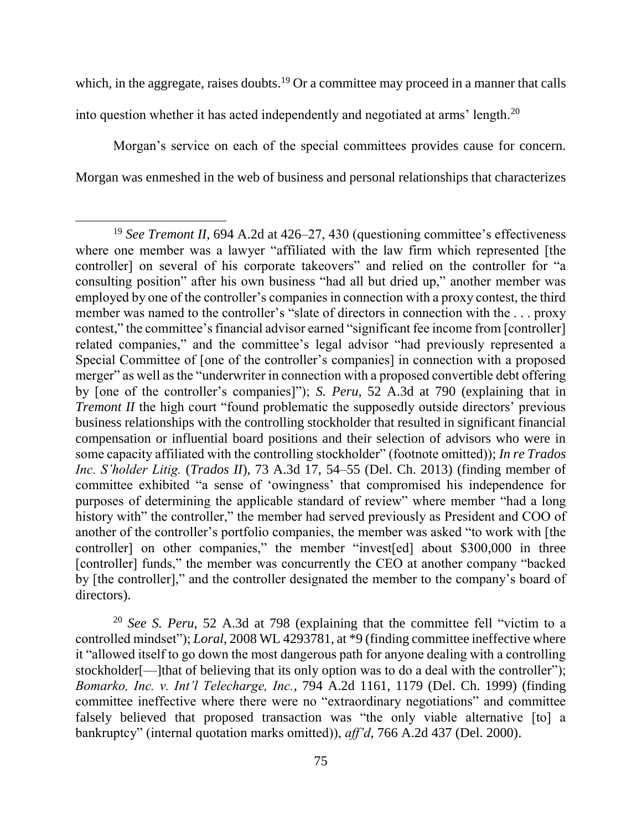which, in the aggregate, raises doubts.<sup>19</sup> Or a committee may proceed in a manner that calls into question whether it has acted independently and negotiated at arms' length.<sup>20</sup>

Morgan's service on each of the special committees provides cause for concern. Morgan was enmeshed in the web of business and personal relationships that characterizes

 $\overline{a}$ 

<sup>20</sup> *See S. Peru*, 52 A.3d at 798 (explaining that the committee fell "victim to a controlled mindset"); *Loral*, 2008 WL 4293781, at \*9 (finding committee ineffective where it "allowed itself to go down the most dangerous path for anyone dealing with a controlling stockholder[—]that of believing that its only option was to do a deal with the controller"); *Bomarko, Inc. v. Int'l Telecharge, Inc.*, 794 A.2d 1161, 1179 (Del. Ch. 1999) (finding committee ineffective where there were no "extraordinary negotiations" and committee falsely believed that proposed transaction was "the only viable alternative [to] a bankruptcy" (internal quotation marks omitted)), *aff'd*, 766 A.2d 437 (Del. 2000).

<sup>&</sup>lt;sup>19</sup> *See Tremont II*, 694 A.2d at 426–27, 430 (questioning committee's effectiveness where one member was a lawyer "affiliated with the law firm which represented [the controller] on several of his corporate takeovers" and relied on the controller for "a consulting position" after his own business "had all but dried up," another member was employed by one of the controller's companies in connection with a proxy contest, the third member was named to the controller's "slate of directors in connection with the . . . proxy contest," the committee's financial advisor earned "significant fee income from [controller] related companies," and the committee's legal advisor "had previously represented a Special Committee of [one of the controller's companies] in connection with a proposed merger" as well as the "underwriter in connection with a proposed convertible debt offering by [one of the controller's companies]"); *S. Peru*, 52 A.3d at 790 (explaining that in *Tremont II* the high court "found problematic the supposedly outside directors' previous business relationships with the controlling stockholder that resulted in significant financial compensation or influential board positions and their selection of advisors who were in some capacity affiliated with the controlling stockholder" (footnote omitted)); *In re Trados Inc. S'holder Litig.* (*Trados II*), 73 A.3d 17, 54–55 (Del. Ch. 2013) (finding member of committee exhibited "a sense of 'owingness' that compromised his independence for purposes of determining the applicable standard of review" where member "had a long history with" the controller," the member had served previously as President and COO of another of the controller's portfolio companies, the member was asked "to work with [the controller] on other companies," the member "invest[ed] about \$300,000 in three [controller] funds," the member was concurrently the CEO at another company "backed by [the controller]," and the controller designated the member to the company's board of directors).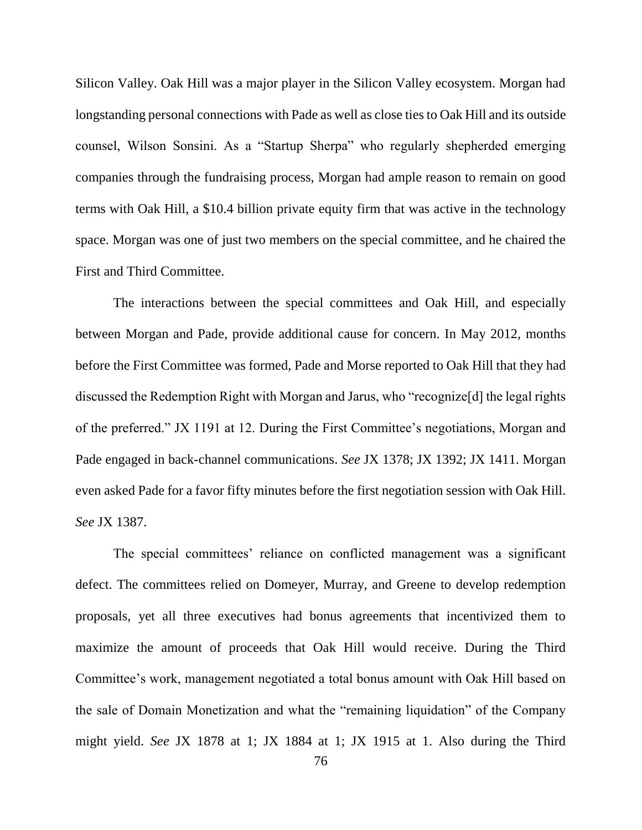Silicon Valley. Oak Hill was a major player in the Silicon Valley ecosystem. Morgan had longstanding personal connections with Pade as well as close ties to Oak Hill and its outside counsel, Wilson Sonsini. As a "Startup Sherpa" who regularly shepherded emerging companies through the fundraising process, Morgan had ample reason to remain on good terms with Oak Hill, a \$10.4 billion private equity firm that was active in the technology space. Morgan was one of just two members on the special committee, and he chaired the First and Third Committee.

The interactions between the special committees and Oak Hill, and especially between Morgan and Pade, provide additional cause for concern. In May 2012, months before the First Committee was formed, Pade and Morse reported to Oak Hill that they had discussed the Redemption Right with Morgan and Jarus, who "recognize[d] the legal rights of the preferred." JX 1191 at 12. During the First Committee's negotiations, Morgan and Pade engaged in back-channel communications. *See* JX 1378; JX 1392; JX 1411. Morgan even asked Pade for a favor fifty minutes before the first negotiation session with Oak Hill. *See* JX 1387.

The special committees' reliance on conflicted management was a significant defect. The committees relied on Domeyer, Murray, and Greene to develop redemption proposals, yet all three executives had bonus agreements that incentivized them to maximize the amount of proceeds that Oak Hill would receive. During the Third Committee's work, management negotiated a total bonus amount with Oak Hill based on the sale of Domain Monetization and what the "remaining liquidation" of the Company might yield. *See* JX 1878 at 1; JX 1884 at 1; JX 1915 at 1. Also during the Third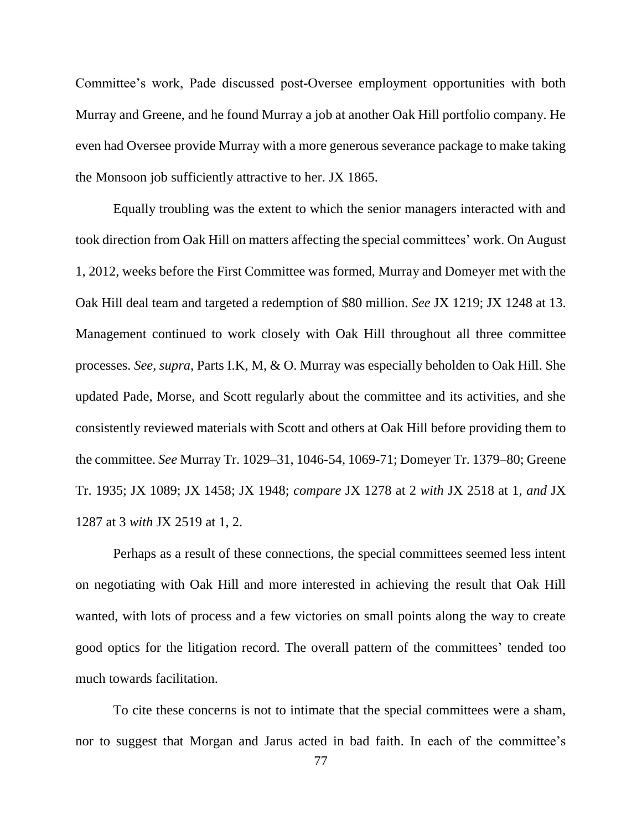Committee's work, Pade discussed post-Oversee employment opportunities with both Murray and Greene, and he found Murray a job at another Oak Hill portfolio company. He even had Oversee provide Murray with a more generous severance package to make taking the Monsoon job sufficiently attractive to her. JX 1865.

Equally troubling was the extent to which the senior managers interacted with and took direction from Oak Hill on matters affecting the special committees' work. On August 1, 2012, weeks before the First Committee was formed, Murray and Domeyer met with the Oak Hill deal team and targeted a redemption of \$80 million. *See* JX 1219; JX 1248 at 13. Management continued to work closely with Oak Hill throughout all three committee processes. *See*, *supra*, Parts I.K, M, & O. Murray was especially beholden to Oak Hill. She updated Pade, Morse, and Scott regularly about the committee and its activities, and she consistently reviewed materials with Scott and others at Oak Hill before providing them to the committee. *See* Murray Tr. 1029–31, 1046-54, 1069-71; Domeyer Tr. 1379–80; Greene Tr. 1935; JX 1089; JX 1458; JX 1948; *compare* JX 1278 at 2 *with* JX 2518 at 1, *and* JX 1287 at 3 *with* JX 2519 at 1, 2.

Perhaps as a result of these connections, the special committees seemed less intent on negotiating with Oak Hill and more interested in achieving the result that Oak Hill wanted, with lots of process and a few victories on small points along the way to create good optics for the litigation record. The overall pattern of the committees' tended too much towards facilitation.

To cite these concerns is not to intimate that the special committees were a sham, nor to suggest that Morgan and Jarus acted in bad faith. In each of the committee's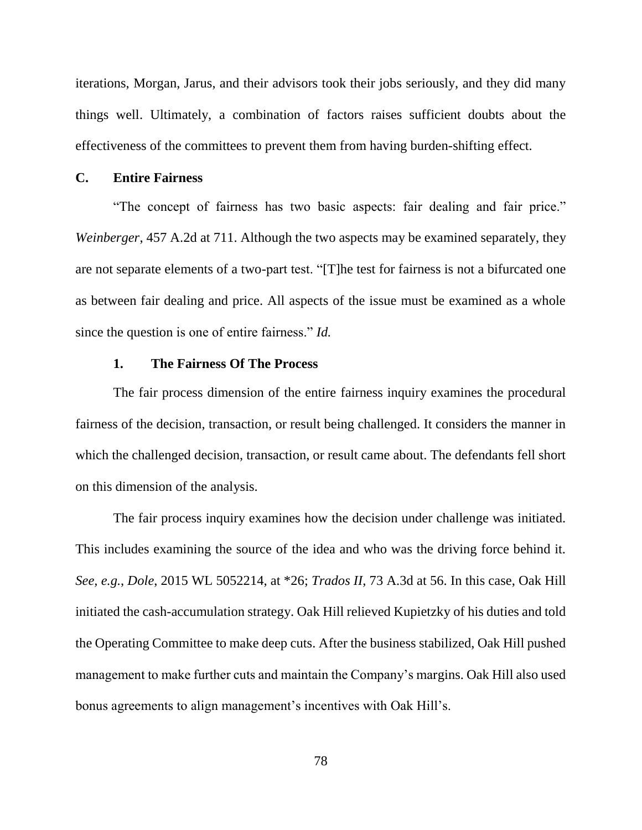iterations, Morgan, Jarus, and their advisors took their jobs seriously, and they did many things well. Ultimately, a combination of factors raises sufficient doubts about the effectiveness of the committees to prevent them from having burden-shifting effect.

## **C. Entire Fairness**

"The concept of fairness has two basic aspects: fair dealing and fair price." *Weinberger*, 457 A.2d at 711. Although the two aspects may be examined separately, they are not separate elements of a two-part test. "[T]he test for fairness is not a bifurcated one as between fair dealing and price. All aspects of the issue must be examined as a whole since the question is one of entire fairness." *Id.*

# **1. The Fairness Of The Process**

The fair process dimension of the entire fairness inquiry examines the procedural fairness of the decision, transaction, or result being challenged. It considers the manner in which the challenged decision, transaction, or result came about. The defendants fell short on this dimension of the analysis.

The fair process inquiry examines how the decision under challenge was initiated. This includes examining the source of the idea and who was the driving force behind it. *See, e.g.*, *Dole*, 2015 WL 5052214, at \*26; *Trados II*, 73 A.3d at 56. In this case, Oak Hill initiated the cash-accumulation strategy. Oak Hill relieved Kupietzky of his duties and told the Operating Committee to make deep cuts. After the business stabilized, Oak Hill pushed management to make further cuts and maintain the Company's margins. Oak Hill also used bonus agreements to align management's incentives with Oak Hill's.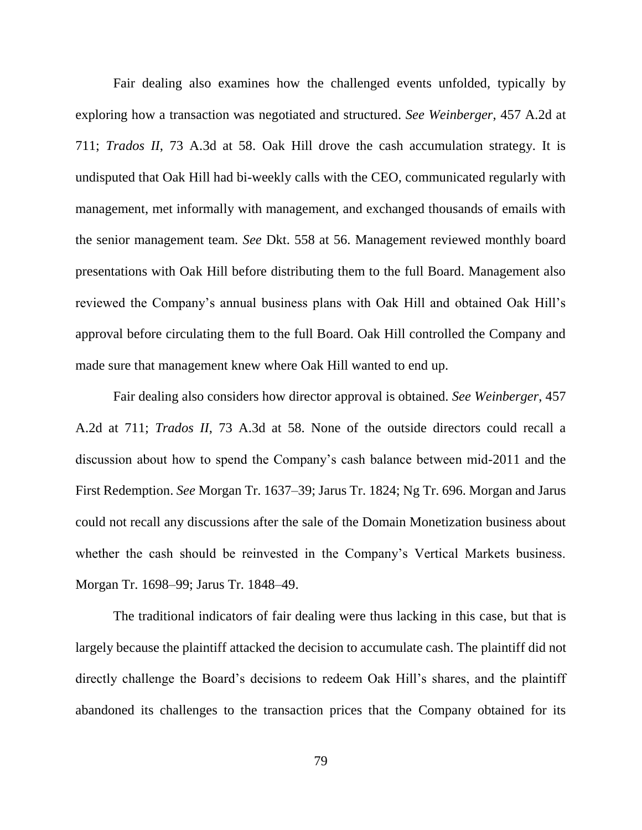Fair dealing also examines how the challenged events unfolded, typically by exploring how a transaction was negotiated and structured. *See Weinberger*, 457 A.2d at 711; *Trados II*, 73 A.3d at 58. Oak Hill drove the cash accumulation strategy. It is undisputed that Oak Hill had bi-weekly calls with the CEO, communicated regularly with management, met informally with management, and exchanged thousands of emails with the senior management team. *See* Dkt. 558 at 56. Management reviewed monthly board presentations with Oak Hill before distributing them to the full Board. Management also reviewed the Company's annual business plans with Oak Hill and obtained Oak Hill's approval before circulating them to the full Board. Oak Hill controlled the Company and made sure that management knew where Oak Hill wanted to end up.

Fair dealing also considers how director approval is obtained. *See Weinberger*, 457 A.2d at 711; *Trados II*, 73 A.3d at 58. None of the outside directors could recall a discussion about how to spend the Company's cash balance between mid-2011 and the First Redemption. *See* Morgan Tr. 1637–39; Jarus Tr. 1824; Ng Tr. 696. Morgan and Jarus could not recall any discussions after the sale of the Domain Monetization business about whether the cash should be reinvested in the Company's Vertical Markets business. Morgan Tr. 1698–99; Jarus Tr. 1848–49.

The traditional indicators of fair dealing were thus lacking in this case, but that is largely because the plaintiff attacked the decision to accumulate cash. The plaintiff did not directly challenge the Board's decisions to redeem Oak Hill's shares, and the plaintiff abandoned its challenges to the transaction prices that the Company obtained for its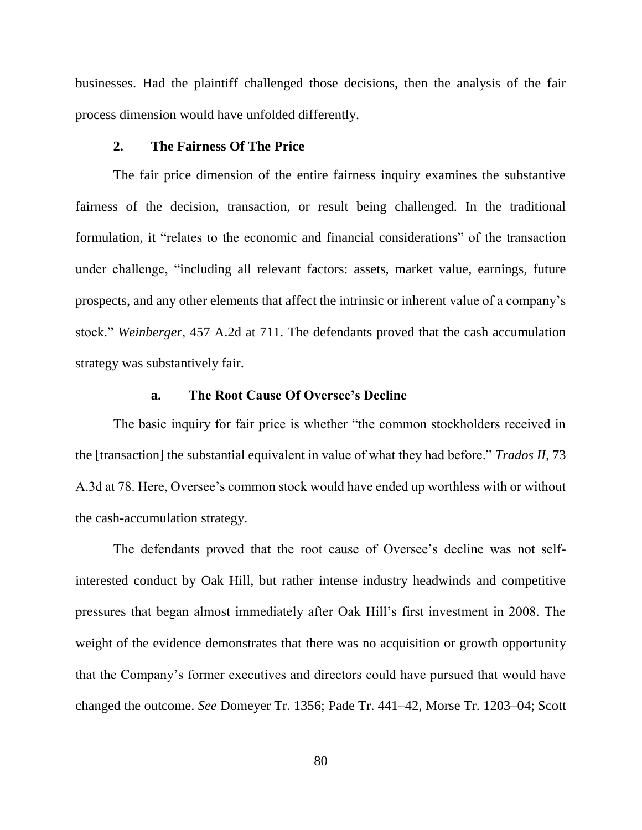businesses. Had the plaintiff challenged those decisions, then the analysis of the fair process dimension would have unfolded differently.

# **2. The Fairness Of The Price**

The fair price dimension of the entire fairness inquiry examines the substantive fairness of the decision, transaction, or result being challenged. In the traditional formulation, it "relates to the economic and financial considerations" of the transaction under challenge, "including all relevant factors: assets, market value, earnings, future prospects, and any other elements that affect the intrinsic or inherent value of a company's stock." *Weinberger*, 457 A.2d at 711. The defendants proved that the cash accumulation strategy was substantively fair.

# **a. The Root Cause Of Oversee's Decline**

The basic inquiry for fair price is whether "the common stockholders received in the [transaction] the substantial equivalent in value of what they had before." *Trados II*, 73 A.3d at 78. Here, Oversee's common stock would have ended up worthless with or without the cash-accumulation strategy.

The defendants proved that the root cause of Oversee's decline was not selfinterested conduct by Oak Hill, but rather intense industry headwinds and competitive pressures that began almost immediately after Oak Hill's first investment in 2008. The weight of the evidence demonstrates that there was no acquisition or growth opportunity that the Company's former executives and directors could have pursued that would have changed the outcome. *See* Domeyer Tr. 1356; Pade Tr. 441–42, Morse Tr. 1203–04; Scott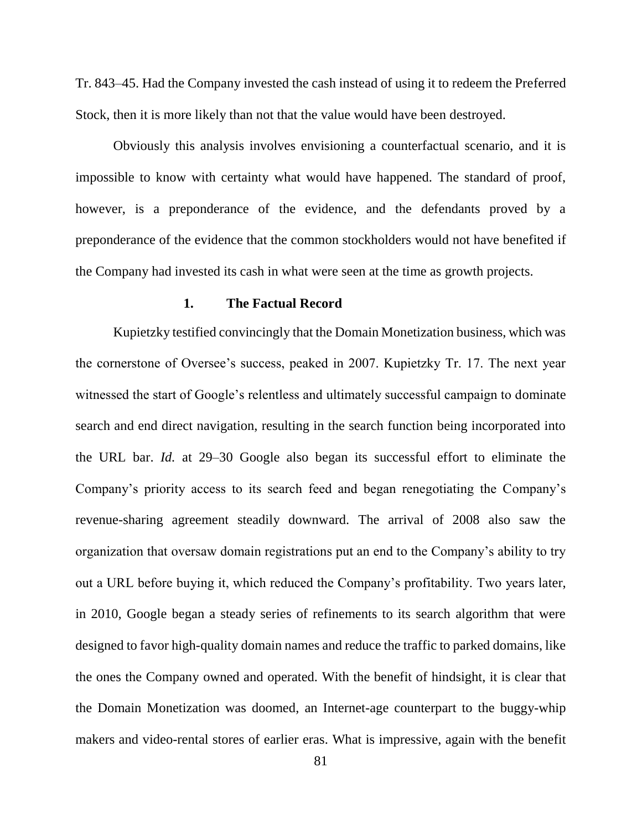Tr. 843–45. Had the Company invested the cash instead of using it to redeem the Preferred Stock, then it is more likely than not that the value would have been destroyed.

Obviously this analysis involves envisioning a counterfactual scenario, and it is impossible to know with certainty what would have happened. The standard of proof, however, is a preponderance of the evidence, and the defendants proved by a preponderance of the evidence that the common stockholders would not have benefited if the Company had invested its cash in what were seen at the time as growth projects.

### **1. The Factual Record**

Kupietzky testified convincingly that the Domain Monetization business, which was the cornerstone of Oversee's success, peaked in 2007. Kupietzky Tr. 17. The next year witnessed the start of Google's relentless and ultimately successful campaign to dominate search and end direct navigation, resulting in the search function being incorporated into the URL bar. *Id.* at 29–30 Google also began its successful effort to eliminate the Company's priority access to its search feed and began renegotiating the Company's revenue-sharing agreement steadily downward. The arrival of 2008 also saw the organization that oversaw domain registrations put an end to the Company's ability to try out a URL before buying it, which reduced the Company's profitability. Two years later, in 2010, Google began a steady series of refinements to its search algorithm that were designed to favor high-quality domain names and reduce the traffic to parked domains, like the ones the Company owned and operated. With the benefit of hindsight, it is clear that the Domain Monetization was doomed, an Internet-age counterpart to the buggy-whip makers and video-rental stores of earlier eras. What is impressive, again with the benefit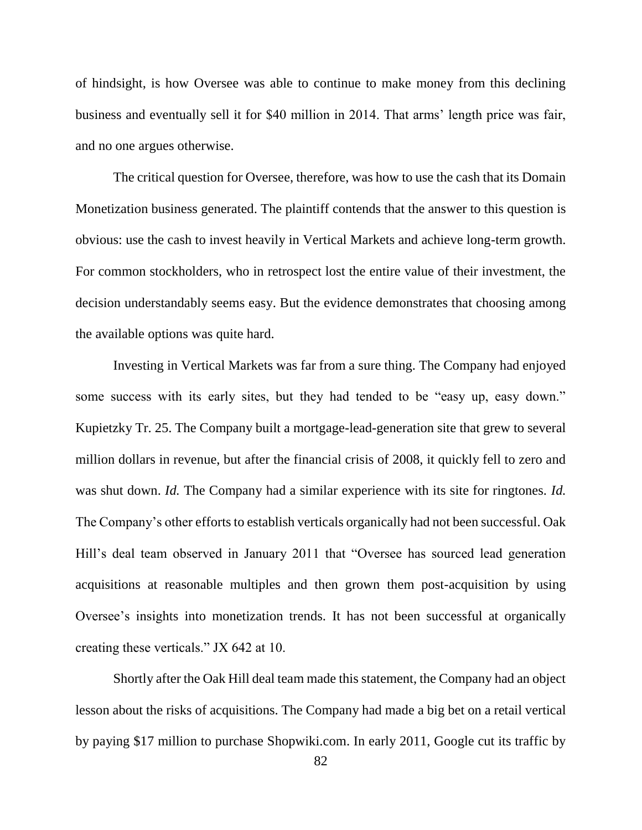of hindsight, is how Oversee was able to continue to make money from this declining business and eventually sell it for \$40 million in 2014. That arms' length price was fair, and no one argues otherwise.

The critical question for Oversee, therefore, was how to use the cash that its Domain Monetization business generated. The plaintiff contends that the answer to this question is obvious: use the cash to invest heavily in Vertical Markets and achieve long-term growth. For common stockholders, who in retrospect lost the entire value of their investment, the decision understandably seems easy. But the evidence demonstrates that choosing among the available options was quite hard.

Investing in Vertical Markets was far from a sure thing. The Company had enjoyed some success with its early sites, but they had tended to be "easy up, easy down." Kupietzky Tr. 25. The Company built a mortgage-lead-generation site that grew to several million dollars in revenue, but after the financial crisis of 2008, it quickly fell to zero and was shut down. *Id.* The Company had a similar experience with its site for ringtones. *Id.* The Company's other efforts to establish verticals organically had not been successful. Oak Hill's deal team observed in January 2011 that "Oversee has sourced lead generation acquisitions at reasonable multiples and then grown them post-acquisition by using Oversee's insights into monetization trends. It has not been successful at organically creating these verticals." JX 642 at 10.

Shortly after the Oak Hill deal team made this statement, the Company had an object lesson about the risks of acquisitions. The Company had made a big bet on a retail vertical by paying \$17 million to purchase Shopwiki.com. In early 2011, Google cut its traffic by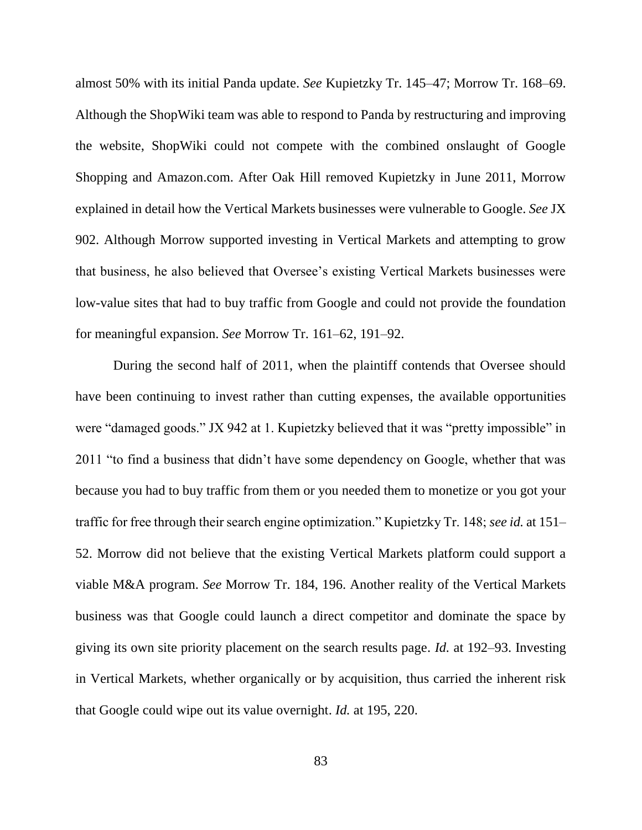almost 50% with its initial Panda update. *See* Kupietzky Tr. 145–47; Morrow Tr. 168–69. Although the ShopWiki team was able to respond to Panda by restructuring and improving the website, ShopWiki could not compete with the combined onslaught of Google Shopping and Amazon.com. After Oak Hill removed Kupietzky in June 2011, Morrow explained in detail how the Vertical Markets businesses were vulnerable to Google. *See* JX 902. Although Morrow supported investing in Vertical Markets and attempting to grow that business, he also believed that Oversee's existing Vertical Markets businesses were low-value sites that had to buy traffic from Google and could not provide the foundation for meaningful expansion. *See* Morrow Tr. 161–62, 191–92.

During the second half of 2011, when the plaintiff contends that Oversee should have been continuing to invest rather than cutting expenses, the available opportunities were "damaged goods." JX 942 at 1. Kupietzky believed that it was "pretty impossible" in 2011 "to find a business that didn't have some dependency on Google, whether that was because you had to buy traffic from them or you needed them to monetize or you got your traffic for free through their search engine optimization." Kupietzky Tr. 148; *see id.* at 151– 52. Morrow did not believe that the existing Vertical Markets platform could support a viable M&A program. *See* Morrow Tr. 184, 196. Another reality of the Vertical Markets business was that Google could launch a direct competitor and dominate the space by giving its own site priority placement on the search results page. *Id.* at 192–93. Investing in Vertical Markets, whether organically or by acquisition, thus carried the inherent risk that Google could wipe out its value overnight. *Id.* at 195, 220.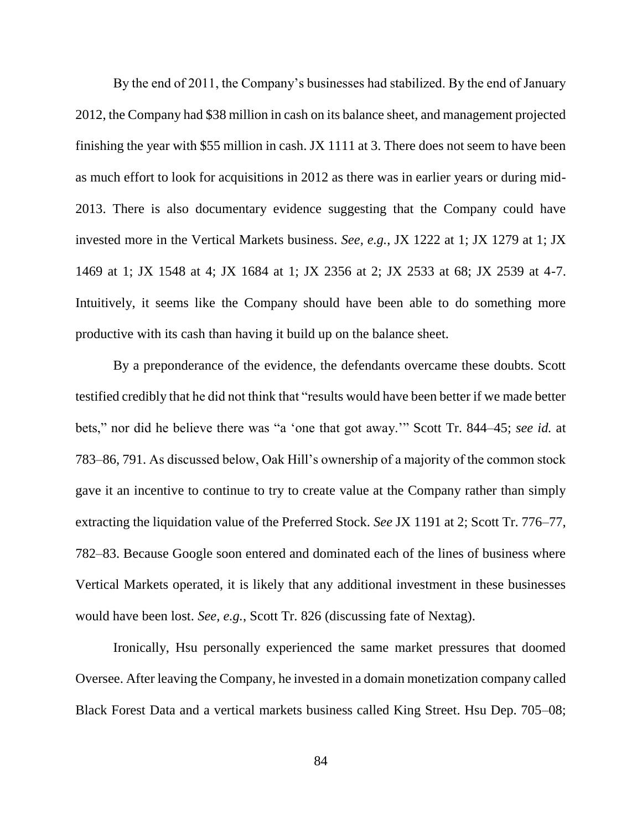By the end of 2011, the Company's businesses had stabilized. By the end of January 2012, the Company had \$38 million in cash on its balance sheet, and management projected finishing the year with \$55 million in cash. JX 1111 at 3. There does not seem to have been as much effort to look for acquisitions in 2012 as there was in earlier years or during mid-2013. There is also documentary evidence suggesting that the Company could have invested more in the Vertical Markets business. *See, e.g.*, JX 1222 at 1; JX 1279 at 1; JX 1469 at 1; JX 1548 at 4; JX 1684 at 1; JX 2356 at 2; JX 2533 at 68; JX 2539 at 4-7. Intuitively, it seems like the Company should have been able to do something more productive with its cash than having it build up on the balance sheet.

By a preponderance of the evidence, the defendants overcame these doubts. Scott testified credibly that he did not think that "results would have been better if we made better bets," nor did he believe there was "a 'one that got away.'" Scott Tr. 844–45; *see id.* at 783–86, 791. As discussed below, Oak Hill's ownership of a majority of the common stock gave it an incentive to continue to try to create value at the Company rather than simply extracting the liquidation value of the Preferred Stock. *See* JX 1191 at 2; Scott Tr. 776–77, 782–83. Because Google soon entered and dominated each of the lines of business where Vertical Markets operated, it is likely that any additional investment in these businesses would have been lost. *See, e.g.*, Scott Tr. 826 (discussing fate of Nextag).

Ironically, Hsu personally experienced the same market pressures that doomed Oversee. After leaving the Company, he invested in a domain monetization company called Black Forest Data and a vertical markets business called King Street. Hsu Dep. 705–08;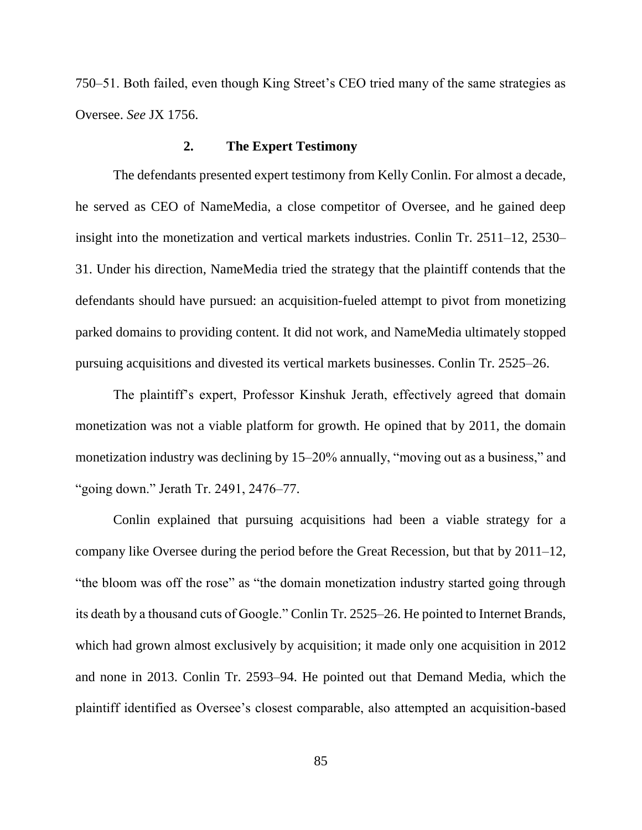750–51. Both failed, even though King Street's CEO tried many of the same strategies as Oversee. *See* JX 1756.

### **2. The Expert Testimony**

The defendants presented expert testimony from Kelly Conlin. For almost a decade, he served as CEO of NameMedia, a close competitor of Oversee, and he gained deep insight into the monetization and vertical markets industries. Conlin Tr. 2511–12, 2530– 31. Under his direction, NameMedia tried the strategy that the plaintiff contends that the defendants should have pursued: an acquisition-fueled attempt to pivot from monetizing parked domains to providing content. It did not work, and NameMedia ultimately stopped pursuing acquisitions and divested its vertical markets businesses. Conlin Tr. 2525–26.

The plaintiff's expert, Professor Kinshuk Jerath, effectively agreed that domain monetization was not a viable platform for growth. He opined that by 2011, the domain monetization industry was declining by 15–20% annually, "moving out as a business," and "going down." Jerath Tr. 2491, 2476–77.

Conlin explained that pursuing acquisitions had been a viable strategy for a company like Oversee during the period before the Great Recession, but that by 2011–12, "the bloom was off the rose" as "the domain monetization industry started going through its death by a thousand cuts of Google." Conlin Tr. 2525–26. He pointed to Internet Brands, which had grown almost exclusively by acquisition; it made only one acquisition in 2012 and none in 2013. Conlin Tr. 2593–94. He pointed out that Demand Media, which the plaintiff identified as Oversee's closest comparable, also attempted an acquisition-based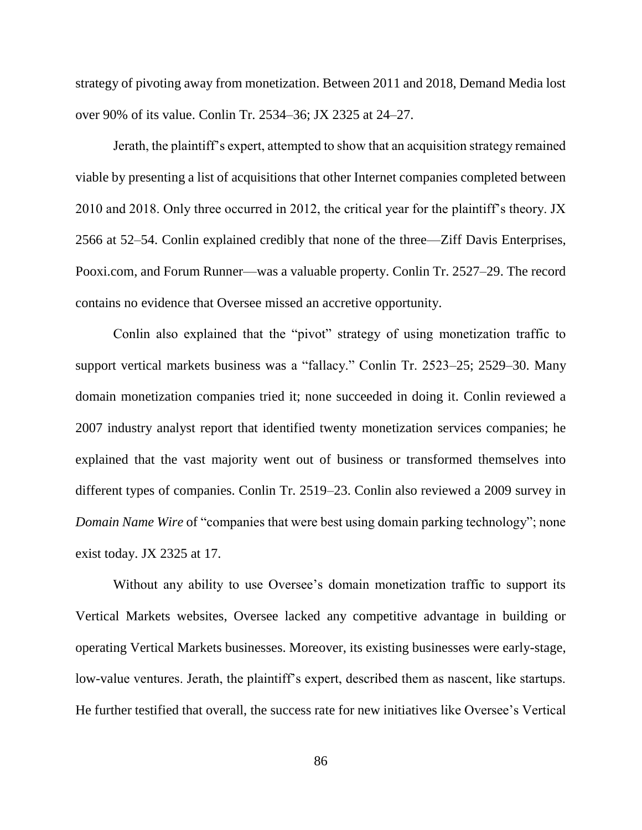strategy of pivoting away from monetization. Between 2011 and 2018, Demand Media lost over 90% of its value. Conlin Tr. 2534–36; JX 2325 at 24–27.

Jerath, the plaintiff's expert, attempted to show that an acquisition strategy remained viable by presenting a list of acquisitions that other Internet companies completed between 2010 and 2018. Only three occurred in 2012, the critical year for the plaintiff's theory. JX 2566 at 52–54. Conlin explained credibly that none of the three—Ziff Davis Enterprises, Pooxi.com, and Forum Runner—was a valuable property. Conlin Tr. 2527–29. The record contains no evidence that Oversee missed an accretive opportunity.

Conlin also explained that the "pivot" strategy of using monetization traffic to support vertical markets business was a "fallacy." Conlin Tr. 2523–25; 2529–30. Many domain monetization companies tried it; none succeeded in doing it. Conlin reviewed a 2007 industry analyst report that identified twenty monetization services companies; he explained that the vast majority went out of business or transformed themselves into different types of companies. Conlin Tr. 2519–23. Conlin also reviewed a 2009 survey in *Domain Name Wire* of "companies that were best using domain parking technology"; none exist today. JX 2325 at 17.

Without any ability to use Oversee's domain monetization traffic to support its Vertical Markets websites, Oversee lacked any competitive advantage in building or operating Vertical Markets businesses. Moreover, its existing businesses were early-stage, low-value ventures. Jerath, the plaintiff's expert, described them as nascent, like startups. He further testified that overall, the success rate for new initiatives like Oversee's Vertical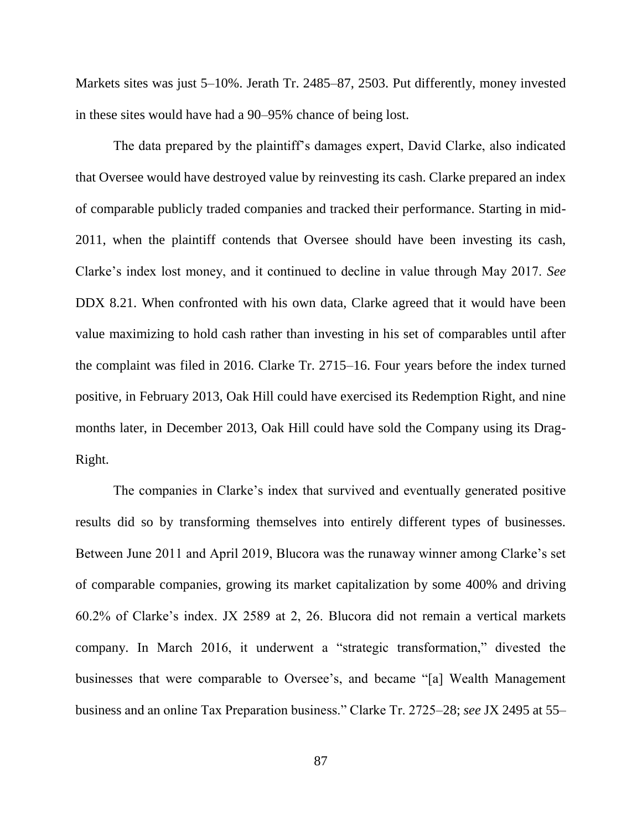Markets sites was just 5–10%. Jerath Tr. 2485–87, 2503. Put differently, money invested in these sites would have had a 90–95% chance of being lost.

The data prepared by the plaintiff's damages expert, David Clarke, also indicated that Oversee would have destroyed value by reinvesting its cash. Clarke prepared an index of comparable publicly traded companies and tracked their performance. Starting in mid-2011, when the plaintiff contends that Oversee should have been investing its cash, Clarke's index lost money, and it continued to decline in value through May 2017. *See*  DDX 8.21. When confronted with his own data, Clarke agreed that it would have been value maximizing to hold cash rather than investing in his set of comparables until after the complaint was filed in 2016. Clarke Tr. 2715–16. Four years before the index turned positive, in February 2013, Oak Hill could have exercised its Redemption Right, and nine months later, in December 2013, Oak Hill could have sold the Company using its Drag-Right.

The companies in Clarke's index that survived and eventually generated positive results did so by transforming themselves into entirely different types of businesses. Between June 2011 and April 2019, Blucora was the runaway winner among Clarke's set of comparable companies, growing its market capitalization by some 400% and driving 60.2% of Clarke's index. JX 2589 at 2, 26. Blucora did not remain a vertical markets company. In March 2016, it underwent a "strategic transformation," divested the businesses that were comparable to Oversee's, and became "[a] Wealth Management business and an online Tax Preparation business." Clarke Tr. 2725–28; *see* JX 2495 at 55–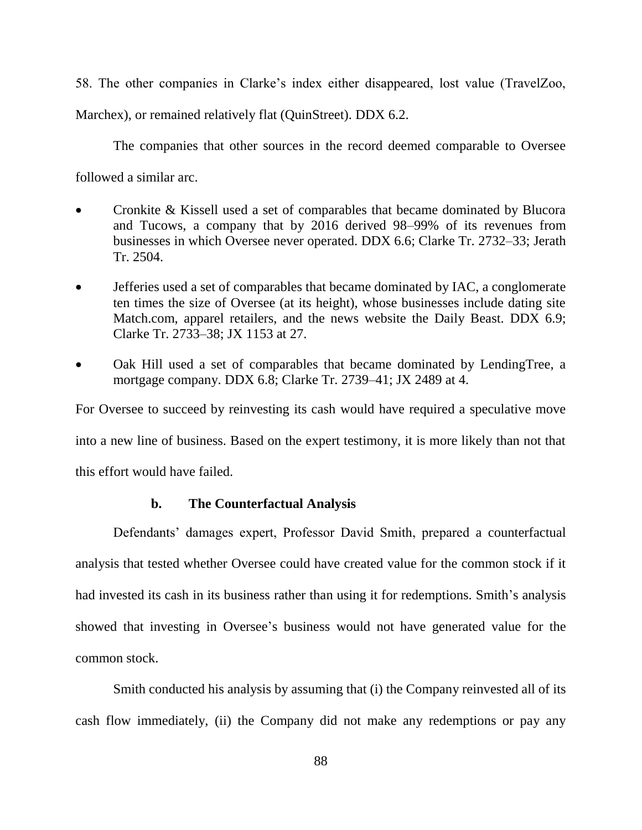58. The other companies in Clarke's index either disappeared, lost value (TravelZoo,

Marchex), or remained relatively flat (QuinStreet). DDX 6.2.

The companies that other sources in the record deemed comparable to Oversee

followed a similar arc.

- Cronkite & Kissell used a set of comparables that became dominated by Blucora and Tucows, a company that by 2016 derived 98–99% of its revenues from businesses in which Oversee never operated. DDX 6.6; Clarke Tr. 2732–33; Jerath Tr. 2504.
- Jefferies used a set of comparables that became dominated by IAC, a conglomerate ten times the size of Oversee (at its height), whose businesses include dating site Match.com, apparel retailers, and the news website the Daily Beast. DDX 6.9; Clarke Tr. 2733–38; JX 1153 at 27.
- Oak Hill used a set of comparables that became dominated by LendingTree, a mortgage company. DDX 6.8; Clarke Tr. 2739–41; JX 2489 at 4.

For Oversee to succeed by reinvesting its cash would have required a speculative move

into a new line of business. Based on the expert testimony, it is more likely than not that

this effort would have failed.

### **b. The Counterfactual Analysis**

Defendants' damages expert, Professor David Smith, prepared a counterfactual analysis that tested whether Oversee could have created value for the common stock if it had invested its cash in its business rather than using it for redemptions. Smith's analysis showed that investing in Oversee's business would not have generated value for the common stock.

Smith conducted his analysis by assuming that (i) the Company reinvested all of its cash flow immediately, (ii) the Company did not make any redemptions or pay any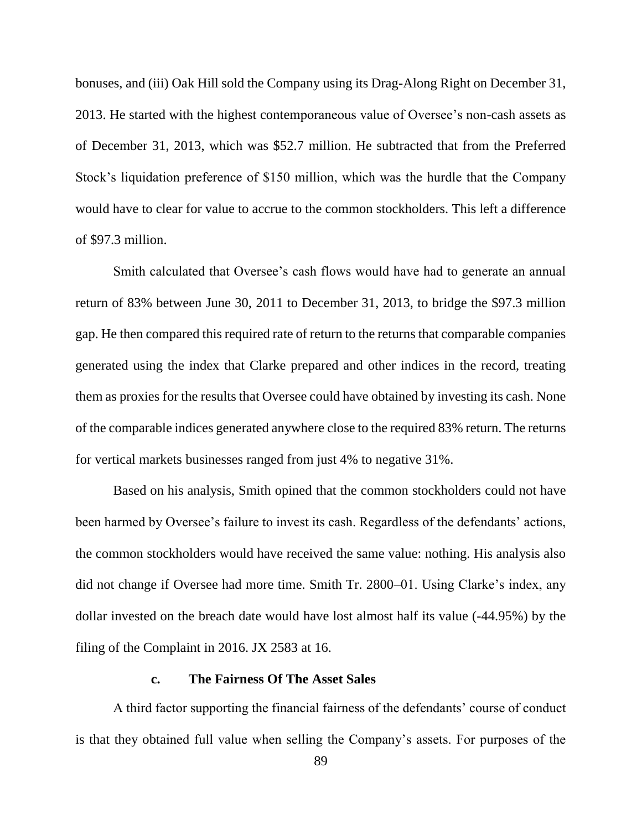bonuses, and (iii) Oak Hill sold the Company using its Drag-Along Right on December 31, 2013. He started with the highest contemporaneous value of Oversee's non-cash assets as of December 31, 2013, which was \$52.7 million. He subtracted that from the Preferred Stock's liquidation preference of \$150 million, which was the hurdle that the Company would have to clear for value to accrue to the common stockholders. This left a difference of \$97.3 million.

Smith calculated that Oversee's cash flows would have had to generate an annual return of 83% between June 30, 2011 to December 31, 2013, to bridge the \$97.3 million gap. He then compared this required rate of return to the returns that comparable companies generated using the index that Clarke prepared and other indices in the record, treating them as proxies for the results that Oversee could have obtained by investing its cash. None of the comparable indices generated anywhere close to the required 83% return. The returns for vertical markets businesses ranged from just 4% to negative 31%.

Based on his analysis, Smith opined that the common stockholders could not have been harmed by Oversee's failure to invest its cash. Regardless of the defendants' actions, the common stockholders would have received the same value: nothing. His analysis also did not change if Oversee had more time. Smith Tr. 2800–01. Using Clarke's index, any dollar invested on the breach date would have lost almost half its value (-44.95%) by the filing of the Complaint in 2016. JX 2583 at 16.

## **c. The Fairness Of The Asset Sales**

A third factor supporting the financial fairness of the defendants' course of conduct is that they obtained full value when selling the Company's assets. For purposes of the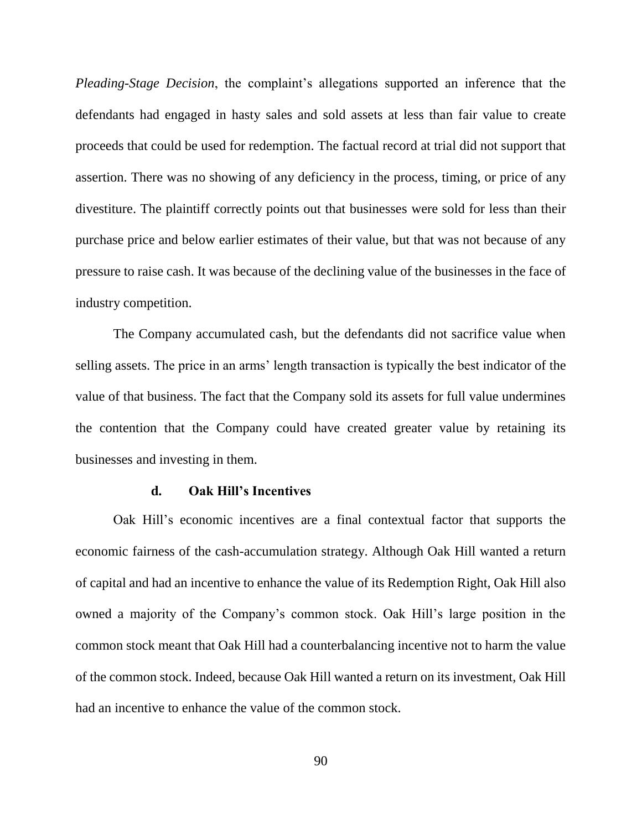*Pleading-Stage Decision*, the complaint's allegations supported an inference that the defendants had engaged in hasty sales and sold assets at less than fair value to create proceeds that could be used for redemption. The factual record at trial did not support that assertion. There was no showing of any deficiency in the process, timing, or price of any divestiture. The plaintiff correctly points out that businesses were sold for less than their purchase price and below earlier estimates of their value, but that was not because of any pressure to raise cash. It was because of the declining value of the businesses in the face of industry competition.

The Company accumulated cash, but the defendants did not sacrifice value when selling assets. The price in an arms' length transaction is typically the best indicator of the value of that business. The fact that the Company sold its assets for full value undermines the contention that the Company could have created greater value by retaining its businesses and investing in them.

## **d. Oak Hill's Incentives**

Oak Hill's economic incentives are a final contextual factor that supports the economic fairness of the cash-accumulation strategy. Although Oak Hill wanted a return of capital and had an incentive to enhance the value of its Redemption Right, Oak Hill also owned a majority of the Company's common stock. Oak Hill's large position in the common stock meant that Oak Hill had a counterbalancing incentive not to harm the value of the common stock. Indeed, because Oak Hill wanted a return on its investment, Oak Hill had an incentive to enhance the value of the common stock.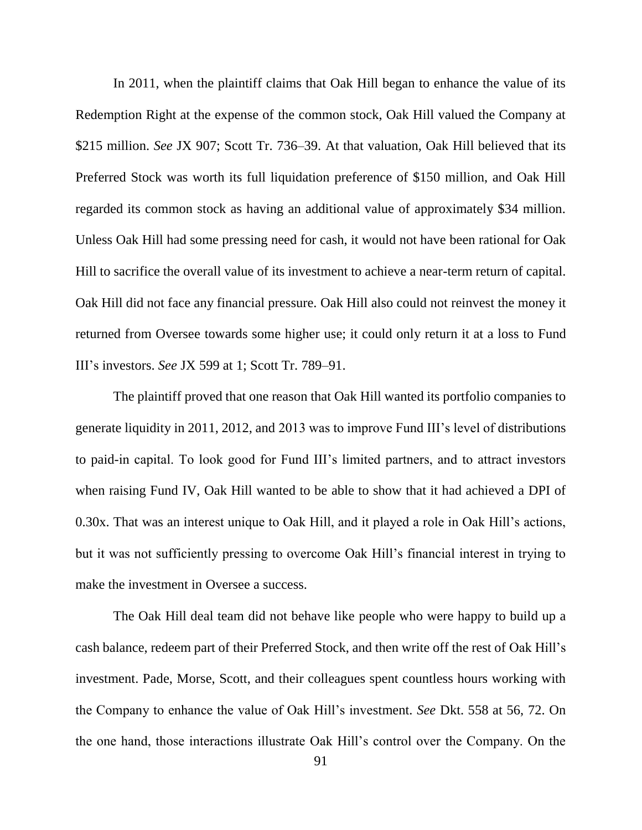In 2011, when the plaintiff claims that Oak Hill began to enhance the value of its Redemption Right at the expense of the common stock, Oak Hill valued the Company at \$215 million. *See* JX 907; Scott Tr. 736–39. At that valuation, Oak Hill believed that its Preferred Stock was worth its full liquidation preference of \$150 million, and Oak Hill regarded its common stock as having an additional value of approximately \$34 million. Unless Oak Hill had some pressing need for cash, it would not have been rational for Oak Hill to sacrifice the overall value of its investment to achieve a near-term return of capital. Oak Hill did not face any financial pressure. Oak Hill also could not reinvest the money it returned from Oversee towards some higher use; it could only return it at a loss to Fund III's investors. *See* JX 599 at 1; Scott Tr. 789–91.

The plaintiff proved that one reason that Oak Hill wanted its portfolio companies to generate liquidity in 2011, 2012, and 2013 was to improve Fund III's level of distributions to paid-in capital. To look good for Fund III's limited partners, and to attract investors when raising Fund IV, Oak Hill wanted to be able to show that it had achieved a DPI of 0.30x. That was an interest unique to Oak Hill, and it played a role in Oak Hill's actions, but it was not sufficiently pressing to overcome Oak Hill's financial interest in trying to make the investment in Oversee a success.

The Oak Hill deal team did not behave like people who were happy to build up a cash balance, redeem part of their Preferred Stock, and then write off the rest of Oak Hill's investment. Pade, Morse, Scott, and their colleagues spent countless hours working with the Company to enhance the value of Oak Hill's investment. *See* Dkt. 558 at 56, 72. On the one hand, those interactions illustrate Oak Hill's control over the Company. On the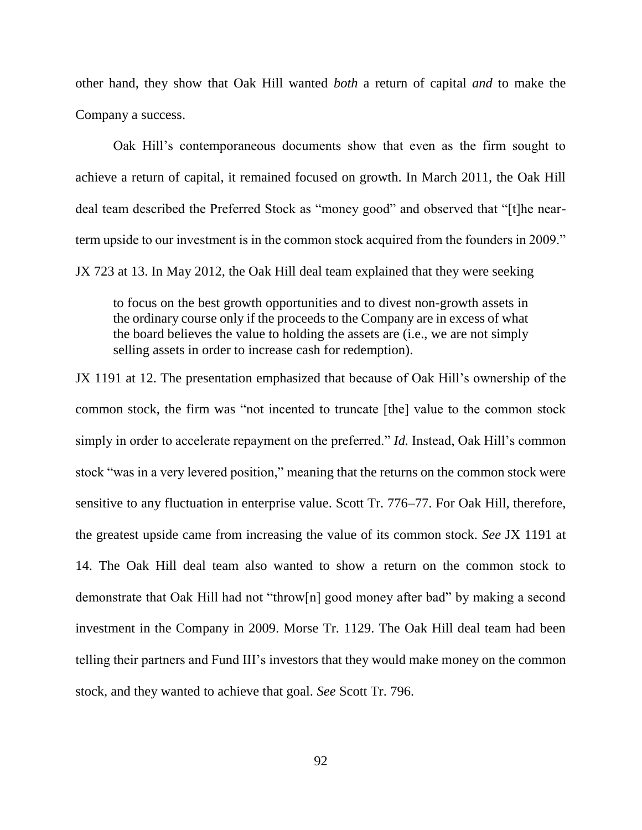other hand, they show that Oak Hill wanted *both* a return of capital *and* to make the Company a success.

Oak Hill's contemporaneous documents show that even as the firm sought to achieve a return of capital, it remained focused on growth. In March 2011, the Oak Hill deal team described the Preferred Stock as "money good" and observed that "[t]he nearterm upside to our investment is in the common stock acquired from the founders in 2009." JX 723 at 13. In May 2012, the Oak Hill deal team explained that they were seeking

to focus on the best growth opportunities and to divest non-growth assets in the ordinary course only if the proceeds to the Company are in excess of what the board believes the value to holding the assets are (i.e., we are not simply selling assets in order to increase cash for redemption).

JX 1191 at 12. The presentation emphasized that because of Oak Hill's ownership of the common stock, the firm was "not incented to truncate [the] value to the common stock simply in order to accelerate repayment on the preferred." *Id.* Instead, Oak Hill's common stock "was in a very levered position," meaning that the returns on the common stock were sensitive to any fluctuation in enterprise value. Scott Tr. 776–77. For Oak Hill, therefore, the greatest upside came from increasing the value of its common stock. *See* JX 1191 at 14. The Oak Hill deal team also wanted to show a return on the common stock to demonstrate that Oak Hill had not "throw[n] good money after bad" by making a second investment in the Company in 2009. Morse Tr. 1129. The Oak Hill deal team had been telling their partners and Fund III's investors that they would make money on the common stock, and they wanted to achieve that goal. *See* Scott Tr. 796.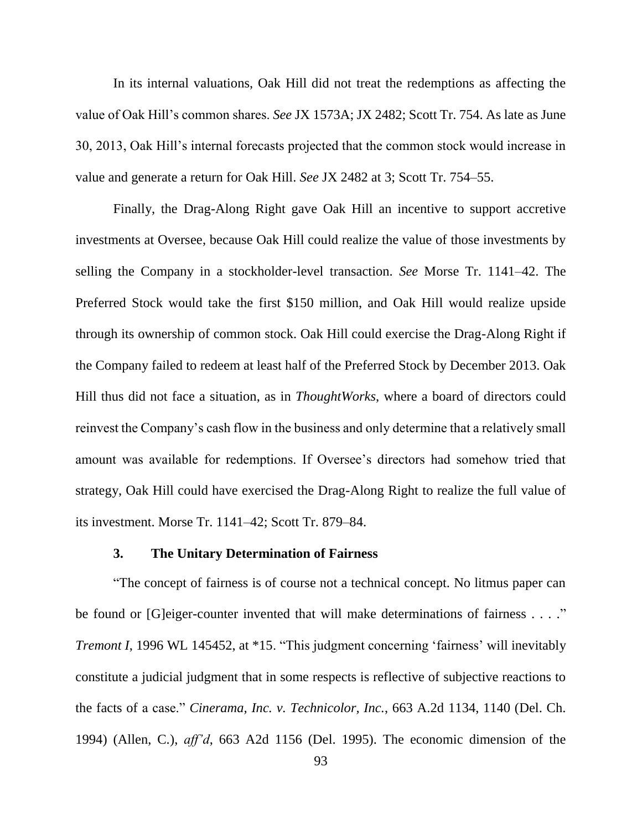In its internal valuations, Oak Hill did not treat the redemptions as affecting the value of Oak Hill's common shares. *See* JX 1573A; JX 2482; Scott Tr. 754. As late as June 30, 2013, Oak Hill's internal forecasts projected that the common stock would increase in value and generate a return for Oak Hill. *See* JX 2482 at 3; Scott Tr. 754–55.

Finally, the Drag-Along Right gave Oak Hill an incentive to support accretive investments at Oversee, because Oak Hill could realize the value of those investments by selling the Company in a stockholder-level transaction. *See* Morse Tr. 1141–42. The Preferred Stock would take the first \$150 million, and Oak Hill would realize upside through its ownership of common stock. Oak Hill could exercise the Drag-Along Right if the Company failed to redeem at least half of the Preferred Stock by December 2013. Oak Hill thus did not face a situation, as in *ThoughtWorks*, where a board of directors could reinvest the Company's cash flow in the business and only determine that a relatively small amount was available for redemptions. If Oversee's directors had somehow tried that strategy, Oak Hill could have exercised the Drag-Along Right to realize the full value of its investment. Morse Tr. 1141–42; Scott Tr. 879–84.

### **3. The Unitary Determination of Fairness**

"The concept of fairness is of course not a technical concept. No litmus paper can be found or [G]eiger-counter invented that will make determinations of fairness . . . ." *Tremont I*, 1996 WL 145452, at \*15. "This judgment concerning 'fairness' will inevitably constitute a judicial judgment that in some respects is reflective of subjective reactions to the facts of a case." *Cinerama, Inc. v. Technicolor, Inc.*, 663 A.2d 1134, 1140 (Del. Ch. 1994) (Allen, C.), *aff'd*, 663 A2d 1156 (Del. 1995). The economic dimension of the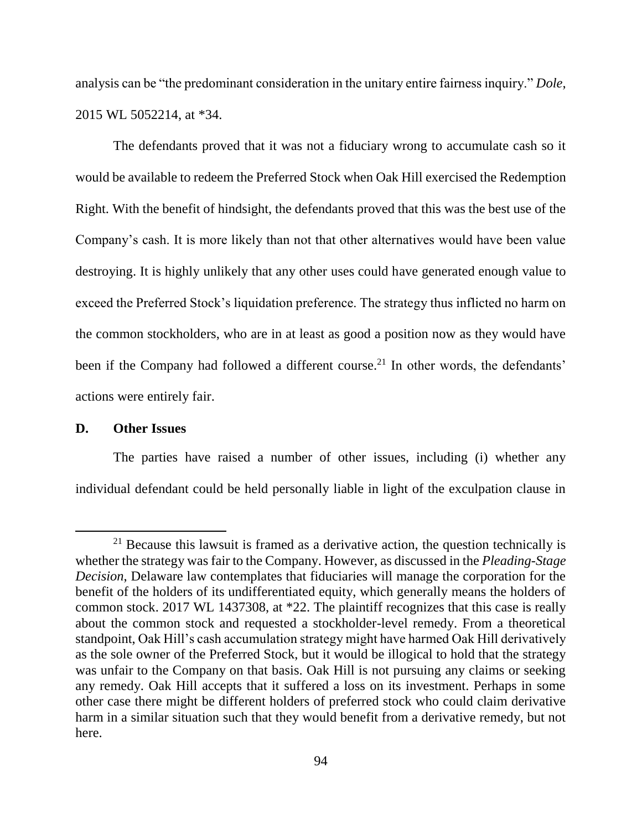analysis can be "the predominant consideration in the unitary entire fairness inquiry." *Dole*, 2015 WL 5052214, at \*34.

The defendants proved that it was not a fiduciary wrong to accumulate cash so it would be available to redeem the Preferred Stock when Oak Hill exercised the Redemption Right. With the benefit of hindsight, the defendants proved that this was the best use of the Company's cash. It is more likely than not that other alternatives would have been value destroying. It is highly unlikely that any other uses could have generated enough value to exceed the Preferred Stock's liquidation preference. The strategy thus inflicted no harm on the common stockholders, who are in at least as good a position now as they would have been if the Company had followed a different course.<sup>21</sup> In other words, the defendants' actions were entirely fair.

# **D. Other Issues**

 $\overline{\phantom{a}}$ 

The parties have raised a number of other issues, including (i) whether any individual defendant could be held personally liable in light of the exculpation clause in

 $21$  Because this lawsuit is framed as a derivative action, the question technically is whether the strategy was fair to the Company. However, as discussed in the *Pleading-Stage Decision*, Delaware law contemplates that fiduciaries will manage the corporation for the benefit of the holders of its undifferentiated equity, which generally means the holders of common stock. 2017 WL 1437308, at \*22. The plaintiff recognizes that this case is really about the common stock and requested a stockholder-level remedy. From a theoretical standpoint, Oak Hill's cash accumulation strategy might have harmed Oak Hill derivatively as the sole owner of the Preferred Stock, but it would be illogical to hold that the strategy was unfair to the Company on that basis. Oak Hill is not pursuing any claims or seeking any remedy. Oak Hill accepts that it suffered a loss on its investment. Perhaps in some other case there might be different holders of preferred stock who could claim derivative harm in a similar situation such that they would benefit from a derivative remedy, but not here.